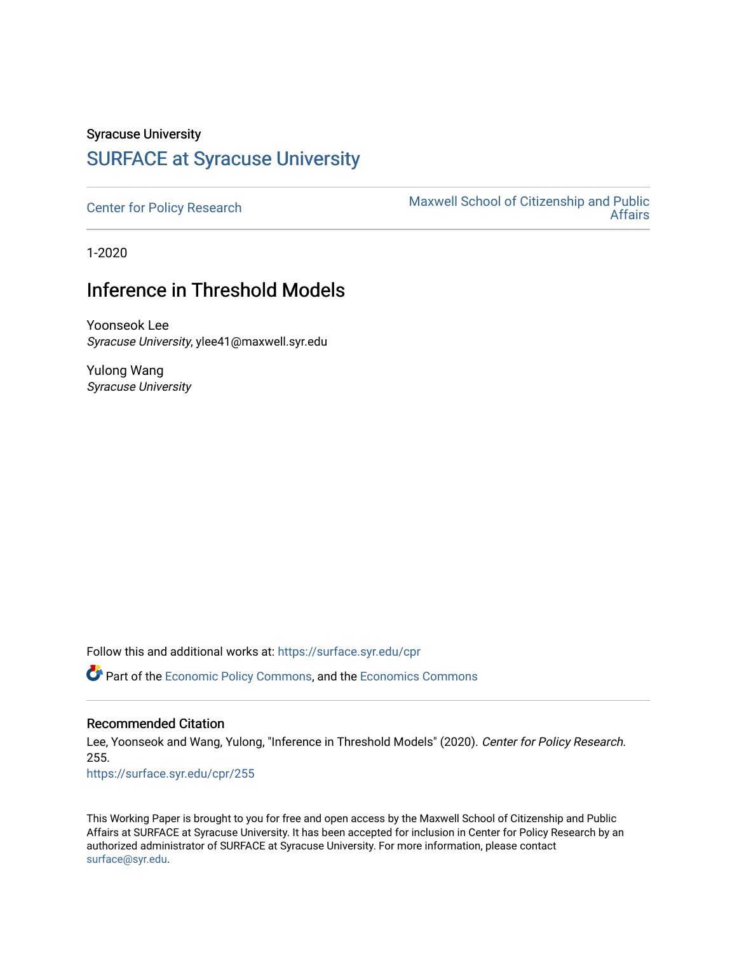# Syracuse University [SURFACE at Syracuse University](https://surface.syr.edu/)

[Center for Policy Research](https://surface.syr.edu/cpr) Maxwell School of Citizenship and Public<br>Affairs [Affairs](https://surface.syr.edu/maxwell) 

1-2020

# Inference in Threshold Models

Yoonseok Lee Syracuse University, ylee41@maxwell.syr.edu

Yulong Wang Syracuse University

Follow this and additional works at: [https://surface.syr.edu/cpr](https://surface.syr.edu/cpr?utm_source=surface.syr.edu%2Fcpr%2F255&utm_medium=PDF&utm_campaign=PDFCoverPages) 

**C** Part of the [Economic Policy Commons](http://network.bepress.com/hgg/discipline/1025?utm_source=surface.syr.edu%2Fcpr%2F255&utm_medium=PDF&utm_campaign=PDFCoverPages), and the [Economics Commons](http://network.bepress.com/hgg/discipline/340?utm_source=surface.syr.edu%2Fcpr%2F255&utm_medium=PDF&utm_campaign=PDFCoverPages)

### Recommended Citation

Lee, Yoonseok and Wang, Yulong, "Inference in Threshold Models" (2020). Center for Policy Research. 255.

[https://surface.syr.edu/cpr/255](https://surface.syr.edu/cpr/255?utm_source=surface.syr.edu%2Fcpr%2F255&utm_medium=PDF&utm_campaign=PDFCoverPages) 

This Working Paper is brought to you for free and open access by the Maxwell School of Citizenship and Public Affairs at SURFACE at Syracuse University. It has been accepted for inclusion in Center for Policy Research by an authorized administrator of SURFACE at Syracuse University. For more information, please contact [surface@syr.edu.](mailto:surface@syr.edu)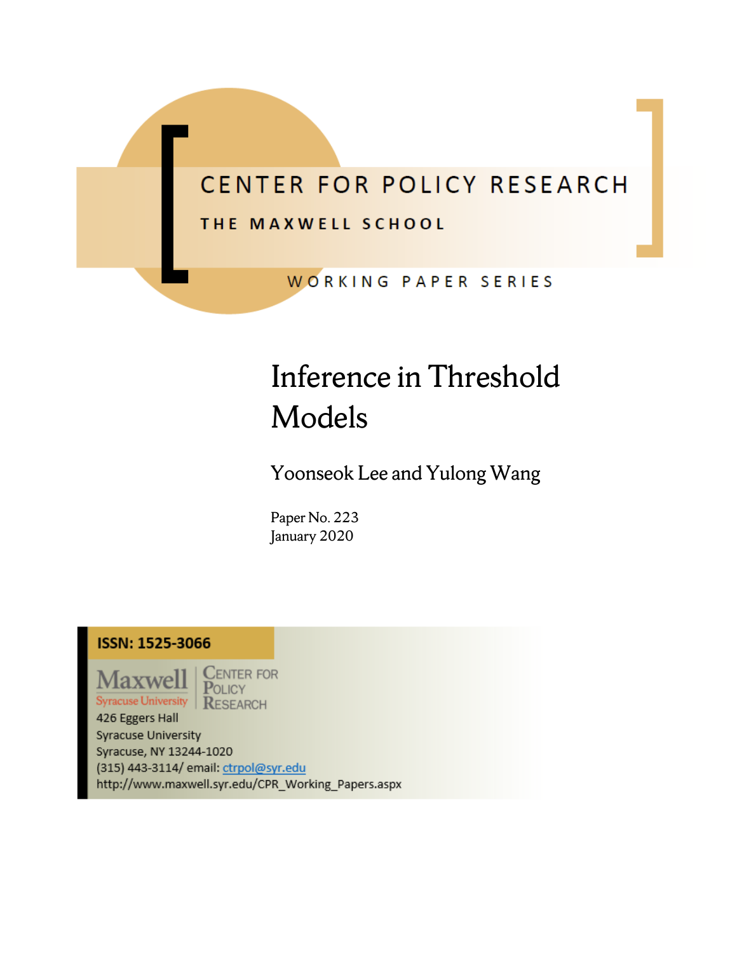# CENTER FOR POLICY RESEARCH

## THE MAXWELL SCHOOL

WORKING PAPER SERIES

# Inference in Threshold Models

Yoonseok Lee and Yulong Wang

Paper No. 223 January 2020

## **ISSN: 1525-3066**



**CENTER FOR** POLICY **RESEARCH** 

426 Eggers Hall **Syracuse University** Syracuse, NY 13244-1020 (315) 443-3114/ email: ctrpol@syr.edu http://www.maxwell.syr.edu/CPR\_Working\_Papers.aspx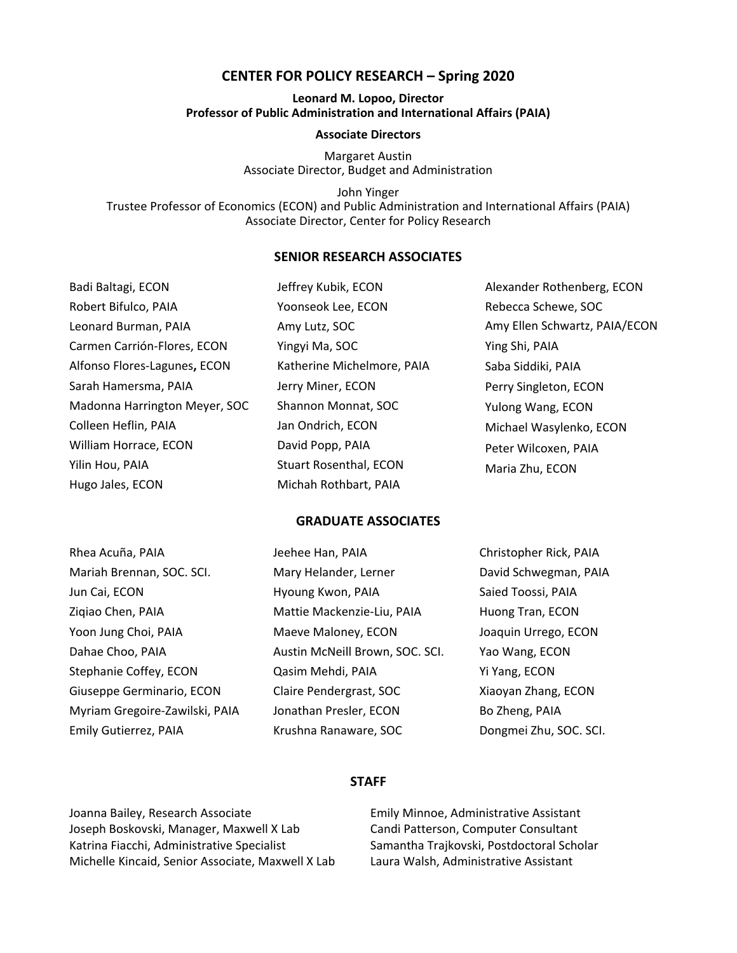#### **CENTER FOR POLICY RESEARCH – Spring 2020**

#### **Leonard M. Lopoo, Director Professor of Public Administration and International Affairs (PAIA)**

#### **Associate Directors**

Margaret Austin Associate Director, Budget and Administration

John Yinger Trustee Professor of Economics (ECON) and Public Administration and International Affairs (PAIA) Associate Director, Center for Policy Research

#### **SENIOR RESEARCH ASSOCIATES**

| Badi Baltagi, ECON            | Jeffrey Kubik, ECON           | Alexander Rothenberg, ECON    |
|-------------------------------|-------------------------------|-------------------------------|
| Robert Bifulco, PAIA          | Yoonseok Lee, ECON            | Rebecca Schewe, SOC           |
| Leonard Burman, PAIA          | Amy Lutz, SOC                 | Amy Ellen Schwartz, PAIA/ECON |
| Carmen Carrión-Flores, ECON   | Yingyi Ma, SOC                | Ying Shi, PAIA                |
| Alfonso Flores-Lagunes, ECON  | Katherine Michelmore, PAIA    | Saba Siddiki, PAIA            |
| Sarah Hamersma, PAIA          | Jerry Miner, ECON             | Perry Singleton, ECON         |
| Madonna Harrington Meyer, SOC | Shannon Monnat, SOC           | Yulong Wang, ECON             |
| Colleen Heflin, PAIA          | Jan Ondrich, ECON             | Michael Wasylenko, ECON       |
| William Horrace, ECON         | David Popp, PAIA              | Peter Wilcoxen, PAIA          |
| Yilin Hou, PAIA               | <b>Stuart Rosenthal, ECON</b> | Maria Zhu, ECON               |
| Hugo Jales, ECON              | Michah Rothbart, PAIA         |                               |

#### **GRADUATE ASSOCIATES**

| Rhea Acuña, PAIA               | Jeehee Han, PAIA                | Christopher Rick, PAIA |
|--------------------------------|---------------------------------|------------------------|
| Mariah Brennan, SOC. SCI.      | Mary Helander, Lerner           | David Schwegman, PAIA  |
| Jun Cai, ECON                  | Hyoung Kwon, PAIA               | Saied Toossi, PAIA     |
| Zigiao Chen, PAIA              | Mattie Mackenzie-Liu, PAIA      | Huong Tran, ECON       |
| Yoon Jung Choi, PAIA           | Maeve Maloney, ECON             | Joaquin Urrego, ECON   |
| Dahae Choo, PAIA               | Austin McNeill Brown, SOC. SCI. | Yao Wang, ECON         |
| Stephanie Coffey, ECON         | Qasim Mehdi, PAIA               | Yi Yang, ECON          |
| Giuseppe Germinario, ECON      | Claire Pendergrast, SOC         | Xiaoyan Zhang, ECON    |
| Myriam Gregoire-Zawilski, PAIA | Jonathan Presler, ECON          | Bo Zheng, PAIA         |
| Emily Gutierrez, PAIA          | Krushna Ranaware, SOC           | Dongmei Zhu, SOC. SCI. |

#### **STAFF**

Joanna Bailey, Research Associate Joseph Boskovski, Manager, Maxwell X Lab Katrina Fiacchi, Administrative Specialist Michelle Kincaid, Senior Associate, Maxwell X Lab

Emily Minnoe, Administrative Assistant Candi Patterson, Computer Consultant Samantha Trajkovski, Postdoctoral Scholar Laura Walsh, Administrative Assistant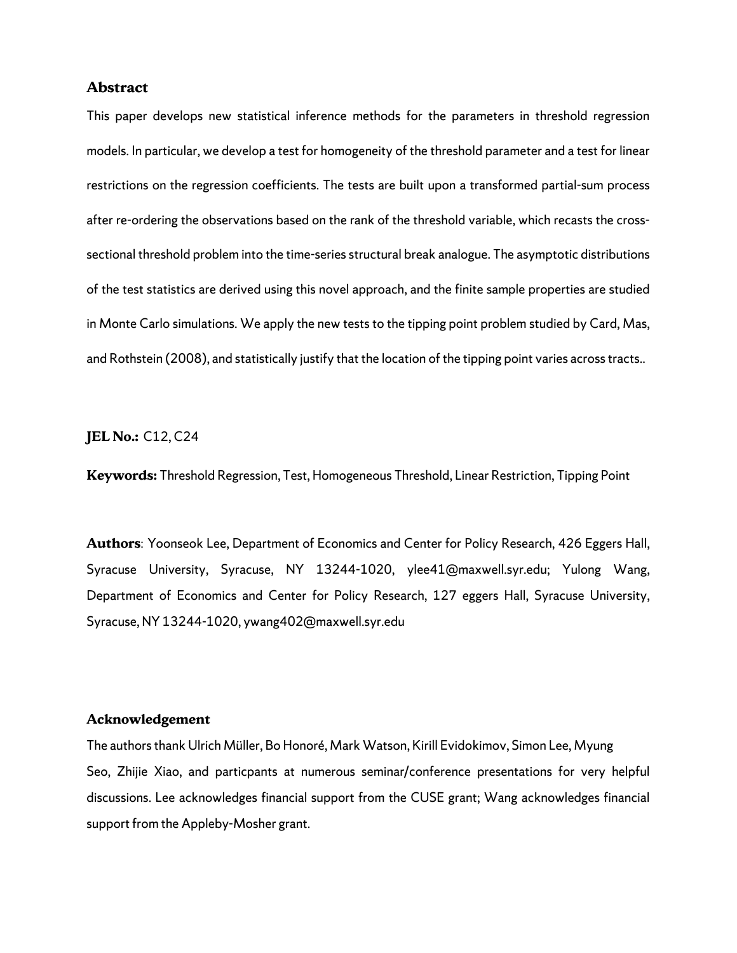### **Abstract**

This paper develops new statistical inference methods for the parameters in threshold regression models. In particular, we develop a test for homogeneity of the threshold parameter and a test for linear restrictions on the regression coefficients. The tests are built upon a transformed partial-sum process after re-ordering the observations based on the rank of the threshold variable, which recasts the crosssectional threshold problem into the time-series structural break analogue. The asymptotic distributions of the test statistics are derived using this novel approach, and the finite sample properties are studied in Monte Carlo simulations. We apply the new tests to the tipping point problem studied by Card, Mas, and Rothstein (2008), and statistically justify that the location of the tipping point varies acrosstracts..

#### **JEL No.:** C12, C24

**Keywords:** Threshold Regression, Test, Homogeneous Threshold, Linear Restriction, Tipping Point

**Authors**: Yoonseok Lee, Department of Economics and Center for Policy Research, 426 Eggers Hall, Syracuse University, Syracuse, NY 13244-1020, ylee41@maxwell.syr.edu; Yulong Wang, Department of Economics and Center for Policy Research, 127 eggers Hall, Syracuse University, Syracuse, NY 13244-1020, ywang402@maxwell.syr.edu

#### **Acknowledgement**

The authors thank Ulrich Müller, Bo Honoré, Mark Watson, Kirill Evidokimov, Simon Lee, Myung Seo, Zhijie Xiao, and particpants at numerous seminar/conference presentations for very helpful discussions. Lee acknowledges financial support from the CUSE grant; Wang acknowledges financial support from the Appleby-Mosher grant.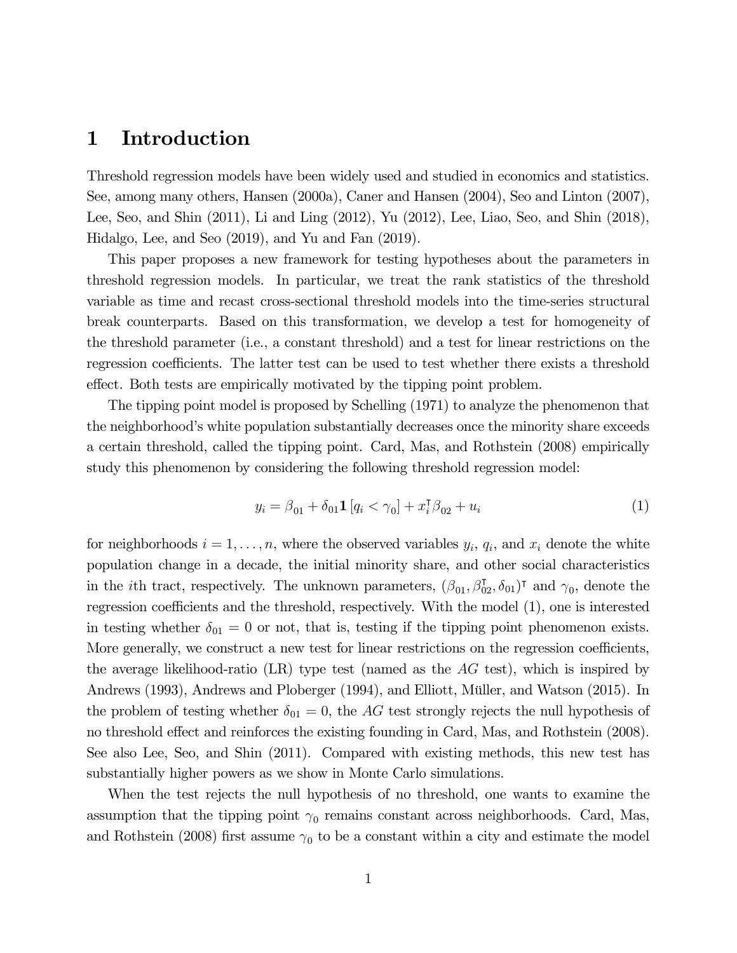## 1 Introduction

Threshold regression models have been widely used and studied in economics and statistics. See, among many others, Hansen (2000a), Caner and Hansen (2004), Seo and Linton (2007), Lee, Seo, and Shin (2011), Li and Ling (2012), Yu (2012), Lee, Liao, Seo, and Shin (2018), Hidalgo, Lee, and Seo (2019), and Yu and Fan (2019).

This paper proposes a new framework for testing hypotheses about the parameters in threshold regression models. In particular, we treat the rank statistics of the threshold variable as time and recast cross-sectional threshold models into the time-series structural break counterparts. Based on this transformation, we develop a test for homogeneity of the threshold parameter (i.e., a constant threshold) and a test for linear restrictions on the regression coefficients. The latter test can be used to test whether there exists a threshold effect. Both tests are empirically motivated by the tipping point problem.

The tipping point model is proposed by Schelling (1971) to analyze the phenomenon that the neighborhood's white population substantially decreases once the minority share exceeds a certain threshold, called the tipping point. Card, Mas, and Rothstein (2008) empirically study this phenomenon by considering the following threshold regression model:

$$
y_i = \beta_{01} + \delta_{01} \mathbf{1} \left[ q_i < \gamma_0 \right] + x_i^{\mathsf{T}} \beta_{02} + u_i \tag{1}
$$

for neighborhoods  $i = 1, \ldots, n$ , where the observed variables  $y_i$ ,  $q_i$ , and  $x_i$  denote the white population change in a decade, the initial minority share, and other social characteristics in the *i*th tract, respectively. The unknown parameters,  $(\beta_{01}, \beta_{02}^T, \delta_{01})^T$  and  $\gamma_0$ , denote the regression coefficients and the threshold, respectively. With the model (1), one is interested in testing whether  $\delta_{01} = 0$  or not, that is, testing if the tipping point phenomenon exists. More generally, we construct a new test for linear restrictions on the regression coefficients, the average likelihood-ratio (LR) type test (named as the  $AG$  test), which is inspired by Andrews (1993), Andrews and Ploberger (1994), and Elliott, Müller, and Watson (2015). In the problem of testing whether  $\delta_{01} = 0$ , the AG test strongly rejects the null hypothesis of no threshold effect and reinforces the existing founding in Card, Mas, and Rothstein (2008). See also Lee, Seo, and Shin (2011). Compared with existing methods, this new test has substantially higher powers as we show in Monte Carlo simulations.

When the test rejects the null hypothesis of no threshold, one wants to examine the assumption that the tipping point  $\gamma_0$  remains constant across neighborhoods. Card, Mas, and Rothstein (2008) first assume  $\gamma_0$  to be a constant within a city and estimate the model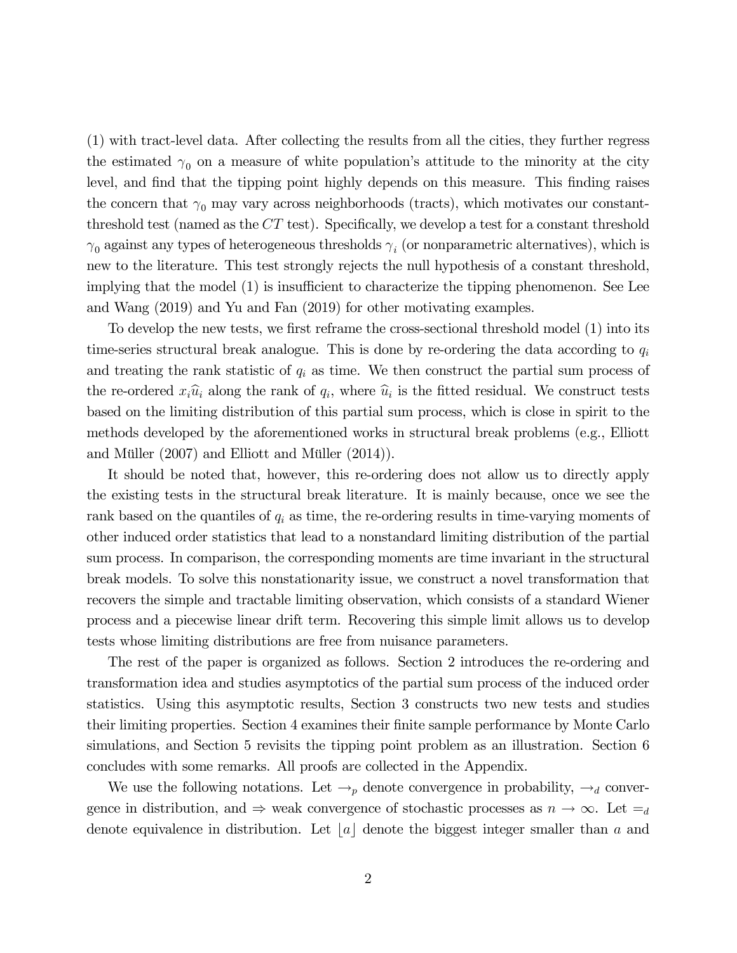(1) with tract-level data. After collecting the results from all the cities, they further regress the estimated  $\gamma_0$  on a measure of white population's attitude to the minority at the city level, and find that the tipping point highly depends on this measure. This finding raises the concern that  $\gamma_0$  may vary across neighborhoods (tracts), which motivates our constantthreshold test (named as the  $CT$  test). Specifically, we develop a test for a constant threshold  $\gamma_0$  against any types of heterogeneous thresholds  $\gamma_i$  (or nonparametric alternatives), which is new to the literature. This test strongly rejects the null hypothesis of a constant threshold, implying that the model (1) is insufficient to characterize the tipping phenomenon. See Lee and Wang (2019) and Yu and Fan (2019) for other motivating examples.

To develop the new tests, we first reframe the cross-sectional threshold model (1) into its time-series structural break analogue. This is done by re-ordering the data according to  $q_i$ and treating the rank statistic of  $q_i$  as time. We then construct the partial sum process of the re-ordered  $x_i\hat{u}_i$  along the rank of  $q_i$ , where  $\hat{u}_i$  is the fitted residual. We construct tests based on the limiting distribution of this partial sum process, which is close in spirit to the methods developed by the aforementioned works in structural break problems (e.g., Elliott and Müller (2007) and Elliott and Müller (2014)).

It should be noted that, however, this re-ordering does not allow us to directly apply the existing tests in the structural break literature. It is mainly because, once we see the rank based on the quantiles of  $q_i$  as time, the re-ordering results in time-varying moments of other induced order statistics that lead to a nonstandard limiting distribution of the partial sum process. In comparison, the corresponding moments are time invariant in the structural break models. To solve this nonstationarity issue, we construct a novel transformation that recovers the simple and tractable limiting observation, which consists of a standard Wiener process and a piecewise linear drift term. Recovering this simple limit allows us to develop tests whose limiting distributions are free from nuisance parameters.

The rest of the paper is organized as follows. Section 2 introduces the re-ordering and transformation idea and studies asymptotics of the partial sum process of the induced order statistics. Using this asymptotic results, Section 3 constructs two new tests and studies their limiting properties. Section 4 examines their finite sample performance by Monte Carlo simulations, and Section 5 revisits the tipping point problem as an illustration. Section 6 concludes with some remarks. All proofs are collected in the Appendix.

We use the following notations. Let  $\rightarrow_{p}$  denote convergence in probability,  $\rightarrow_{d}$  convergence in distribution, and  $\Rightarrow$  weak convergence of stochastic processes as  $n \to \infty$ . Let  $=_d$ denote equivalence in distribution. Let |a| denote the biggest integer smaller than a and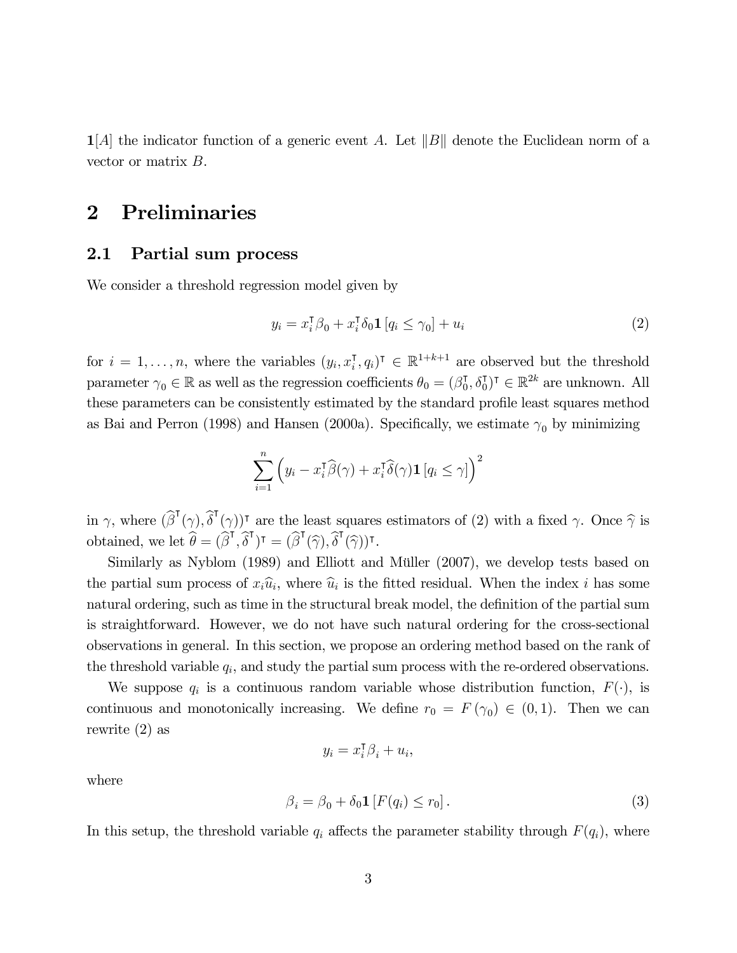$\mathbf{1}[A]$  the indicator function of a generic event A. Let  $||B||$  denote the Euclidean norm of a vector or matrix  $B$ .

## 2 Preliminaries

#### 2.1 Partial sum process

We consider a threshold regression model given by

$$
y_i = x_i^{\mathsf{T}} \beta_0 + x_i^{\mathsf{T}} \delta_0 \mathbf{1} \left[ q_i \le \gamma_0 \right] + u_i \tag{2}
$$

for  $i = 1, ..., n$ , where the variables  $(y_i, x_i^{\mathsf{T}}, q_i)^{\mathsf{T}} \in \mathbb{R}^{1+k+1}$  are observed but the threshold parameter  $\gamma_0 \in \mathbb{R}$  as well as the regression coefficients  $\theta_0 = (\beta_0^{\dagger}, \delta_0^{\dagger})^{\dagger} \in \mathbb{R}^{2k}$  are unknown. All these parameters can be consistently estimated by the standard profile least squares method as Bai and Perron (1998) and Hansen (2000a). Specifically, we estimate  $\gamma_0$  by minimizing

$$
\sum_{i=1}^{n} \left( y_i - x_i^{\mathsf{T}} \widehat{\beta}(\gamma) + x_i^{\mathsf{T}} \widehat{\delta}(\gamma) \mathbf{1} \left[ q_i \le \gamma \right] \right)^2
$$

in  $\gamma$ , where  $(\widehat{\beta}^{\mathsf{T}}(\gamma), \widehat{\delta}^{\mathsf{T}}(\gamma))^{\mathsf{T}}$  are the least squares estimators of (2) with a fixed  $\gamma$ . Once  $\widehat{\gamma}$  is obtained, we let  $\widehat{\theta} = (\widehat{\beta}^{\mathsf{T}}, \widehat{\delta}^{\mathsf{T}})^{\mathsf{T}} = (\widehat{\beta}^{\mathsf{T}}(\widehat{\gamma}), \widehat{\delta}^{\mathsf{T}}(\widehat{\gamma}))^{\mathsf{T}}$ .

Similarly as Nyblom (1989) and Elliott and Müller (2007), we develop tests based on the partial sum process of  $x_i\hat{u}_i$ , where  $\hat{u}_i$  is the fitted residual. When the index *i* has some natural ordering, such as time in the structural break model, the definition of the partial sum is straightforward. However, we do not have such natural ordering for the cross-sectional observations in general. In this section, we propose an ordering method based on the rank of the threshold variable  $q_i$ , and study the partial sum process with the re-ordered observations.

We suppose  $q_i$  is a continuous random variable whose distribution function,  $F(\cdot)$ , is continuous and monotonically increasing. We define  $r_0 = F(\gamma_0) \in (0,1)$ . Then we can rewrite (2) as

$$
y_i = x_i^{\mathsf{T}} \beta_i + u_i,
$$

where

$$
\beta_i = \beta_0 + \delta_0 \mathbf{1} \left[ F(q_i) \le r_0 \right]. \tag{3}
$$

In this setup, the threshold variable  $q_i$  affects the parameter stability through  $F(q_i)$ , where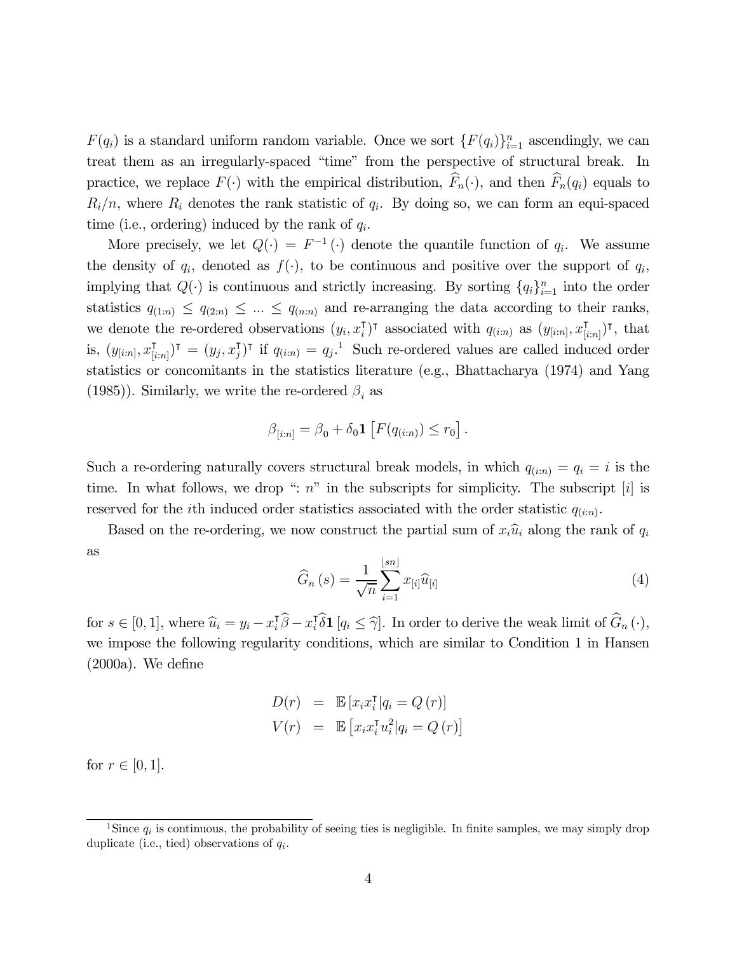$F(q_i)$  is a standard uniform random variable. Once we sort  $\{F(q_i)\}_{i=1}^n$  ascendingly, we can treat them as an irregularly-spaced "time" from the perspective of structural break. In practice, we replace  $F(\cdot)$  with the empirical distribution,  $\widehat{F}_n(\cdot)$ , and then  $\widehat{F}_n(q_i)$  equals to  $R_i/n$ , where  $R_i$  denotes the rank statistic of  $q_i$ . By doing so, we can form an equi-spaced time (i.e., ordering) induced by the rank of  $q_i$ .

More precisely, we let  $Q(\cdot) = F^{-1}(\cdot)$  denote the quantile function of  $q_i$ . We assume the density of  $q_i$ , denoted as  $f(\cdot)$ , to be continuous and positive over the support of  $q_i$ , implying that  $Q(\cdot)$  is continuous and strictly increasing. By sorting  $\{q_i\}_{i=1}^n$  into the order statistics  $q_{(1:n)} \leq q_{(2:n)} \leq ... \leq q_{(n:n)}$  and re-arranging the data according to their ranks, we denote the re-ordered observations  $(y_i, x_i^{\intercal})^{\intercal}$  associated with  $q_{(i:n)}$  as  $(y_{[i:n]}, x_{[i:n]}^{\intercal})^{\intercal}$ , that is,  $(y_{[i:n]}, x_{[i:n]}^{\mathsf{T}})^{\mathsf{T}} = (y_j, x_j^{\mathsf{T}})^{\mathsf{T}}$  if  $q_{(i:n)} = q_j$ . Such re-ordered values are called induced order statistics or concomitants in the statistics literature (e.g., Bhattacharya (1974) and Yang (1985)). Similarly, we write the re-ordered  $\beta_i$  as

$$
\beta_{[i:n]} = \beta_0 + \delta_0 \mathbf{1} \left[ F(q_{(i:n)}) \le r_0 \right].
$$

Such a re-ordering naturally covers structural break models, in which  $q_{(i:n)} = q_i = i$  is the time. In what follows, we drop ":  $n$ " in the subscripts for simplicity. The subscript [i] is reserved for the *i*th induced order statistics associated with the order statistic  $q_{(i:n)}$ .

Based on the re-ordering, we now construct the partial sum of  $x_i\hat{u}_i$  along the rank of  $q_i$ as

$$
\widehat{G}_n\left(s\right) = \frac{1}{\sqrt{n}} \sum_{i=1}^{\lfloor sn \rfloor} x_{[i]} \widehat{u}_{[i]}
$$
\n
$$
\tag{4}
$$

for  $s \in [0, 1]$ , where  $\widehat{u}_i = y_i - x_i^{\dagger} \widehat{\beta} - x_i^{\dagger} \widehat{\delta} \mathbf{1}$  [ $q_i \leq \widehat{\gamma}$ ]. In order to derive the weak limit of  $\widehat{G}_n(\cdot)$ , we impose the following regularity conditions, which are similar to Condition 1 in Hansen (2000a). We define

$$
D(r) = \mathbb{E}\left[x_i x_i^{\mathsf{T}} | q_i = Q(r)\right]
$$

$$
V(r) = \mathbb{E}\left[x_i x_i^{\mathsf{T}} u_i^2 | q_i = Q(r)\right]
$$

for  $r \in [0, 1]$ .

<sup>&</sup>lt;sup>1</sup>Since  $q_i$  is continuous, the probability of seeing ties is negligible. In finite samples, we may simply drop duplicate (i.e., tied) observations of  $q_i$ .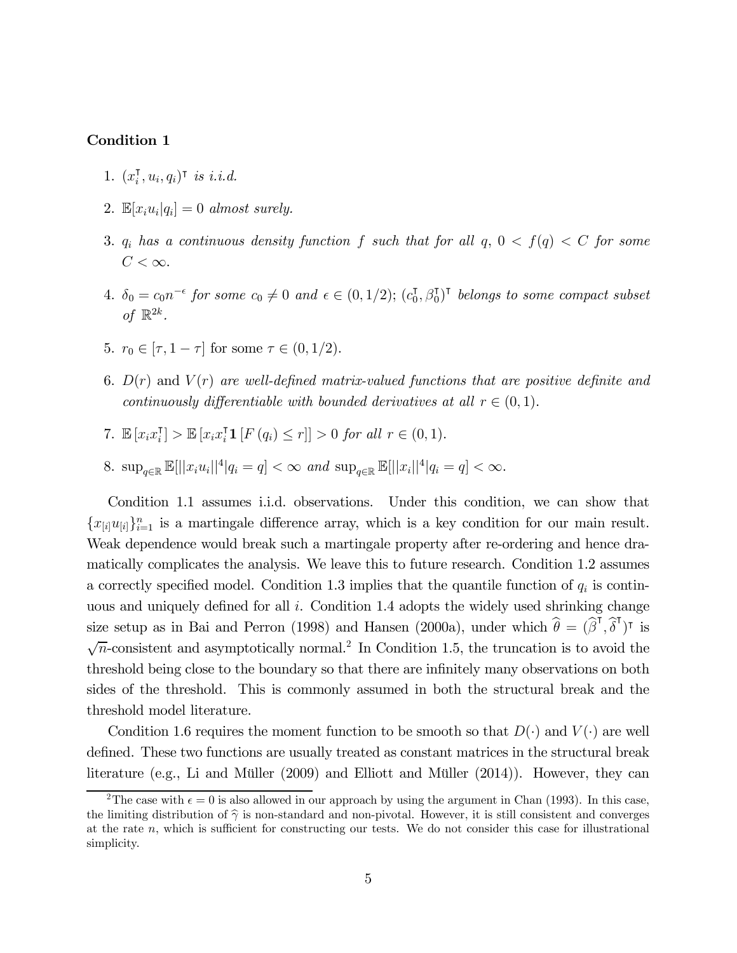#### Condition 1

- 1.  $(x_i^{\mathsf{T}}, u_i, q_i)^{\mathsf{T}}$  is i.i.d.
- 2.  $\mathbb{E}[x_i u_i | q_i] = 0$  almost surely.
- 3.  $q_i$  has a continuous density function f such that for all  $q$ ,  $0 < f(q) < C$  for some  $C<\infty$ .
- 4.  $\delta_0 = c_0 n^{-\epsilon}$  for some  $c_0 \neq 0$  and  $\epsilon \in (0, 1/2)$ ;  $(c_0^{\dagger}, \beta_0^{\dagger})^{\dagger}$  belongs to some compact subset of  $\mathbb{R}^{2k}$ .
- 5.  $r_0 \in [\tau, 1 \tau]$  for some  $\tau \in (0, 1/2)$ .
- 6.  $D(r)$  and  $V(r)$  are well-defined matrix-valued functions that are positive definite and continuously differentiable with bounded derivatives at all  $r \in (0,1)$ .
- 7.  $\mathbb{E}[x_i x_i^{\intercal}] > \mathbb{E}[x_i x_i^{\intercal} \mathbf{1} | F(q_i) \leq r]] > 0$  for all  $r \in (0,1)$ .
- 8.  $\sup_{q \in \mathbb{R}} \mathbb{E}[||x_i u_i||^4 | q_i = q] < \infty$  and  $\sup_{q \in \mathbb{R}} \mathbb{E}[||x_i||^4 | q_i = q] < \infty$ .

Condition 1.1 assumes i.i.d. observations. Under this condition, we can show that  ${x_{[i]}u_{[i]}}_{i=1}^n$  is a martingale difference array, which is a key condition for our main result. Weak dependence would break such a martingale property after re-ordering and hence dramatically complicates the analysis. We leave this to future research. Condition 1.2 assumes a correctly specified model. Condition 1.3 implies that the quantile function of  $q_i$  is continuous and uniquely defined for all  $i$ . Condition 1.4 adopts the widely used shrinking change size setup as in Bai and Perron (1998) and Hansen (2000a), under which  $\hat{\theta} = (\hat{\beta}^{\mathsf{T}}, \hat{\delta}^{\mathsf{T}})^{\mathsf{T}}$  is  $\sqrt{n}$ -consistent and asymptotically normal.<sup>2</sup> In Condition 1.5, the truncation is to avoid the threshold being close to the boundary so that there are infinitely many observations on both sides of the threshold. This is commonly assumed in both the structural break and the threshold model literature.

Condition 1.6 requires the moment function to be smooth so that  $D(\cdot)$  and  $V(\cdot)$  are well defined. These two functions are usually treated as constant matrices in the structural break literature (e.g., Li and Müller (2009) and Elliott and Müller (2014)). However, they can

<sup>&</sup>lt;sup>2</sup>The case with  $\epsilon = 0$  is also allowed in our approach by using the argument in Chan (1993). In this case, the limiting distribution of  $\hat{\gamma}$  is non-standard and non-pivotal. However, it is still consistent and converges at the rate  $n$ , which is sufficient for constructing our tests. We do not consider this case for illustrational simplicity.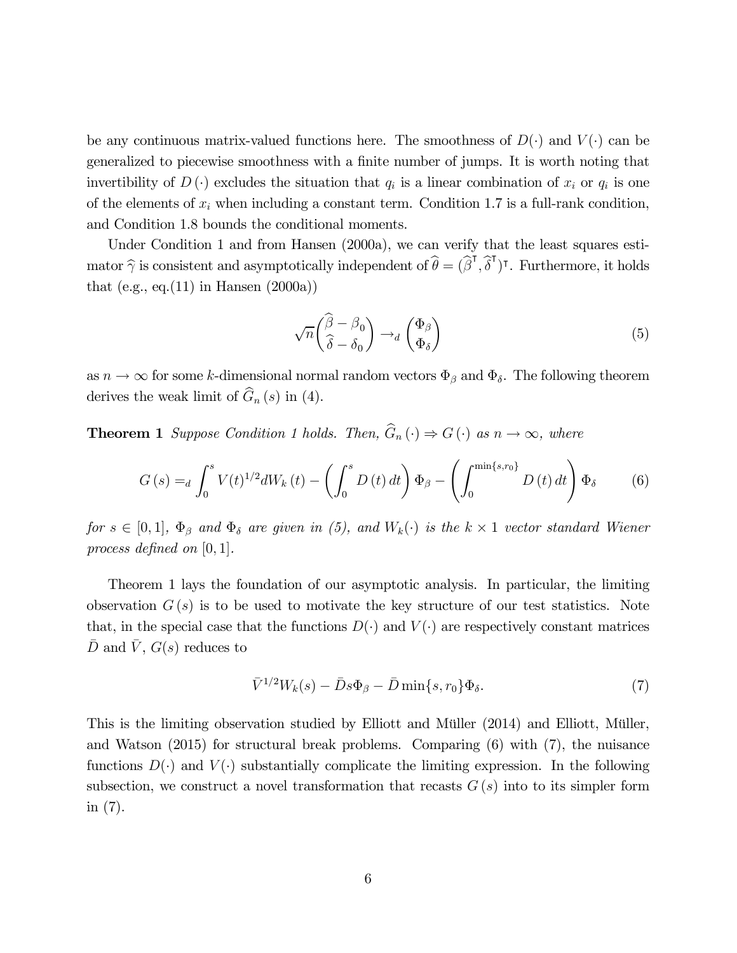be any continuous matrix-valued functions here. The smoothness of  $D(\cdot)$  and  $V(\cdot)$  can be generalized to piecewise smoothness with a finite number of jumps. It is worth noting that invertibility of  $D(\cdot)$  excludes the situation that  $q_i$  is a linear combination of  $x_i$  or  $q_i$  is one of the elements of  $x_i$  when including a constant term. Condition 1.7 is a full-rank condition, and Condition 1.8 bounds the conditional moments.

Under Condition 1 and from Hansen (2000a), we can verify that the least squares esti mator  $\hat{\gamma}$  is consistent and asymptotically independent of  $\hat{\theta} = (\hat{\beta}^{\mathsf{T}}, \hat{\delta}^{\mathsf{T}})^{\mathsf{T}}$ . Furthermore, it holds that (e.g., eq.(11) in Hansen  $(2000a)$ )

$$
\sqrt{n} \begin{pmatrix} \hat{\beta} - \beta_0 \\ \hat{\delta} - \delta_0 \end{pmatrix} \rightarrow_d \begin{pmatrix} \Phi_{\beta} \\ \Phi_{\delta} \end{pmatrix}
$$
 (5)

as  $n \to \infty$  for some k-dimensional normal random vectors  $\Phi_{\beta}$  and  $\Phi_{\delta}$ . The following theorem derives the weak limit of  $\widehat{G}_n (s)$  in (4).

**Theorem 1** Suppose Condition 1 holds. Then,  $\widehat{G}_n(\cdot) \Rightarrow G(\cdot)$  as  $n \to \infty$ , where

$$
G(s) =_d \int_0^s V(t)^{1/2} dW_k(t) - \left(\int_0^s D(t) dt\right) \Phi_\beta - \left(\int_0^{\min\{s, r_0\}} D(t) dt\right) \Phi_\delta \tag{6}
$$

for  $s \in [0,1], \Phi_{\beta}$  and  $\Phi_{\delta}$  are given in (5), and  $W_k(\cdot)$  is the  $k \times 1$  vector standard Wiener process defined on  $[0, 1]$ .

Theorem 1 lays the foundation of our asymptotic analysis. In particular, the limiting observation  $G(s)$  is to be used to motivate the key structure of our test statistics. Note that, in the special case that the functions  $D(\cdot)$  and  $V(\cdot)$  are respectively constant matrices D and V,  $G(s)$  reduces to

$$
\bar{V}^{1/2}W_k(s) - \bar{D}s\Phi_\beta - \bar{D}\min\{s, r_0\}\Phi_\delta. \tag{7}
$$

This is the limiting observation studied by Elliott and Müller (2014) and Elliott, Müller, and Watson (2015) for structural break problems. Comparing (6) with (7), the nuisance functions  $D(\cdot)$  and  $V(\cdot)$  substantially complicate the limiting expression. In the following subsection, we construct a novel transformation that recasts  $G(s)$  into to its simpler form in (7).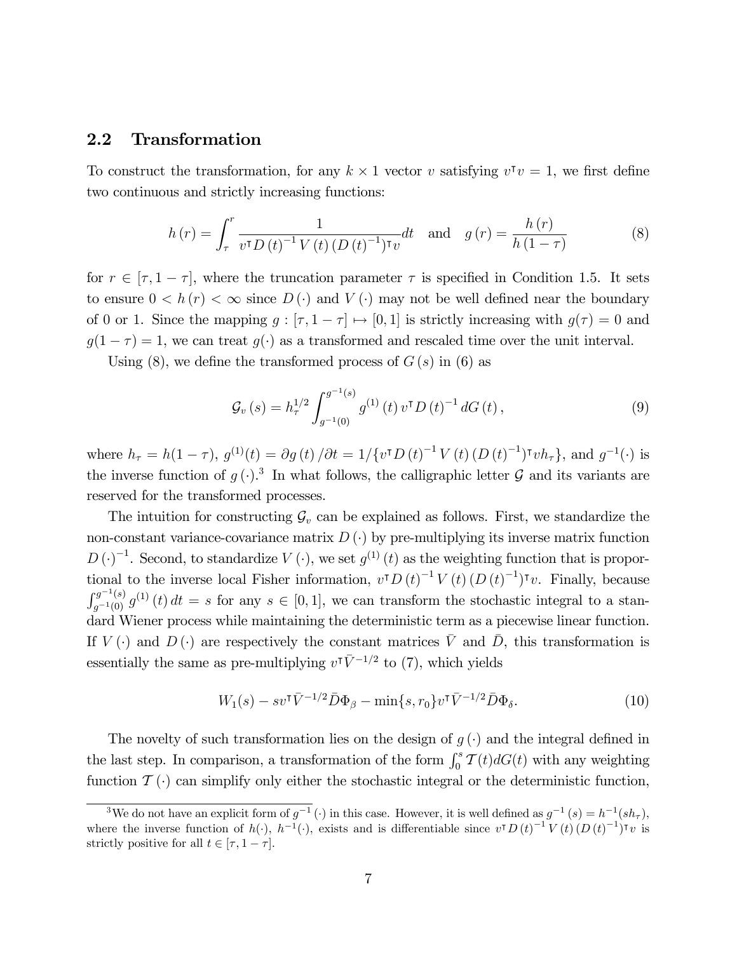## 2.2 Transformation

To construct the transformation, for any  $k \times 1$  vector v satisfying  $v^{\dagger} v = 1$ , we first define two continuous and strictly increasing functions:

$$
h(r) = \int_{\tau}^{r} \frac{1}{v^{\tau} D(t)^{-1} V(t) (D(t)^{-1})^{\tau} v} dt \text{ and } g(r) = \frac{h(r)}{h(1-\tau)}
$$
(8)

for  $r \in [\tau, 1 - \tau]$ , where the truncation parameter  $\tau$  is specified in Condition 1.5. It sets to ensure  $0 < h(r) < \infty$  since  $D(\cdot)$  and  $V(\cdot)$  may not be well defined near the boundary of 0 or 1. Since the mapping  $g : [\tau, 1 - \tau] \mapsto [0, 1]$  is strictly increasing with  $g(\tau) = 0$  and  $q(1 - \tau) = 1$ , we can treat  $q(\cdot)$  as a transformed and rescaled time over the unit interval. |<br>|<br>|

Using (8), we define the transformed process of  $G(s)$  in (6) as

$$
\mathcal{G}_{v}(s) = h_{\tau}^{1/2} \int_{g^{-1}(0)}^{g^{-1}(s)} g^{(1)}(t) v^{\mathsf{T}} D(t)^{-1} dG(t), \qquad (9)
$$

where  $h_{\tau} = h(1-\tau)$ ,  $g^{(1)}(t) = \partial g(t) / \partial t = 1 / \{v^{\dagger} D(t)^{-1} V(t) (D(t)^{-1})^{\dagger} v h_{\tau}\}\$ , and  $g^{-1}(\cdot)$  is the inverse function of  $g(\cdot)$ .<sup>3</sup> In what follows, the calligraphic letter  $\mathcal G$  and its variants are reserved for the transformed processes.

The intuition for constructing  $\mathcal{G}_v$  can be explained as follows. First, we standardize the non-constant variance-covariance matrix  $D(\cdot)$  by pre-multiplying its inverse matrix function  $D(\cdot)^{-1}$ . Second, to standardize  $V(\cdot)$ , we set  $g^{(1)}(t)$  as the weighting function that is proportional to the inverse local Fisher information,  $v^T D(t)^{-1} V(t) (D(t)^{-1})^T v$ . Finally, because  $\int_{g^{-1}(0)}^{g^{-1}(s)} g^{(1)}(t) dt = s$  for any  $s \in [0,1]$ , we can transform the stochastic integral to a standard Wiener process while maintaining the deterministic term as a piecewise linear function. If  $V(\cdot)$  and  $D(\cdot)$  are respectively the constant matrices  $\overline{V}$  and  $\overline{D}$ , this transformation is essentially the same as pre-multiplying  $v^{\dagger} \bar{V}^{-1/2}$  to (7), which yields

$$
W_1(s) - sv^\mathsf{T} \bar{V}^{-1/2} \bar{D} \Phi_\beta - \min\{s, r_0\} v^\mathsf{T} \bar{V}^{-1/2} \bar{D} \Phi_\delta. \tag{10}
$$

The novelty of such transformation lies on the design of  $g(\cdot)$  and the integral defined in the last step. In comparison, a transformation of the form  $\int_0^s \mathcal{T}(t) dG(t)$  with any weighting function  $\mathcal{T}(\cdot)$  can simplify only either the stochastic integral or the deterministic function,

<sup>&</sup>lt;sup>3</sup>We do not have an explicit form of  $g^{-1}(\cdot)$  in this case. However, it is well defined as  $g^{-1}(s) = h^{-1}(sh_{\tau})$ , where the inverse function of  $h(\cdot)$ ,  $h^{-1}(\cdot)$ , exists and is differentiable since  $v^{\intercal} D(t)^{-1} V(t) (D(t)^{-1})^{\intercal} v$  is strictly positive for all  $t \in [\tau, 1 - \tau]$ .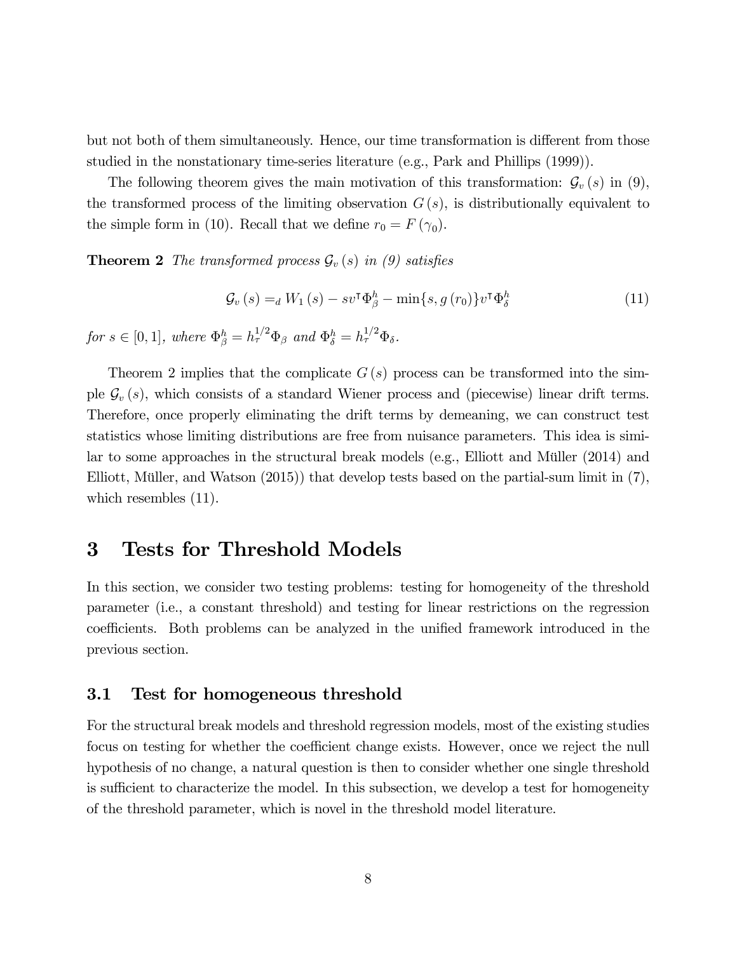but not both of them simultaneously. Hence, our time transformation is different from those studied in the nonstationary time-series literature (e.g., Park and Phillips (1999)).

The following theorem gives the main motivation of this transformation:  $\mathcal{G}_v(s)$  in (9), the transformed process of the limiting observation  $G(s)$ , is distributionally equivalent to the simple form in (10). Recall that we define  $r_0 = F(\gamma_0)$ .

**Theorem 2** The transformed process  $\mathcal{G}_v(s)$  in (9) satisfies

$$
\mathcal{G}_{v}(s) =_{d} W_{1}(s) - sv^{\mathsf{T}} \Phi_{\beta}^{h} - \min\{s, g(r_{0})\} v^{\mathsf{T}} \Phi_{\delta}^{h}
$$
\n(11)

for  $s \in [0, 1]$ , where  $\Phi_{\beta}^{h} = h_{\tau}^{1/2} \Phi_{\beta}$  and  $\Phi_{\delta}^{h} = h_{\tau}^{1/2} \Phi_{\delta}$ .

Theorem 2 implies that the complicate  $G(s)$  process can be transformed into the simple  $\mathcal{G}_v(s)$ , which consists of a standard Wiener process and (piecewise) linear drift terms. Therefore, once properly eliminating the drift terms by demeaning, we can construct test statistics whose limiting distributions are free from nuisance parameters. This idea is similar to some approaches in the structural break models (e.g., Elliott and Müller (2014) and Elliott, Müller, and Watson (2015)) that develop tests based on the partial-sum limit in (7), which resembles  $(11)$ .

## 3 Tests for Threshold Models

In this section, we consider two testing problems: testing for homogeneity of the threshold parameter (i.e., a constant threshold) and testing for linear restrictions on the regression coefficients. Both problems can be analyzed in the unified framework introduced in the previous section.

## 3.1 Test for homogeneous threshold

For the structural break models and threshold regression models, most of the existing studies focus on testing for whether the coefficient change exists. However, once we reject the null hypothesis of no change, a natural question is then to consider whether one single threshold is sufficient to characterize the model. In this subsection, we develop a test for homogeneity of the threshold parameter, which is novel in the threshold model literature.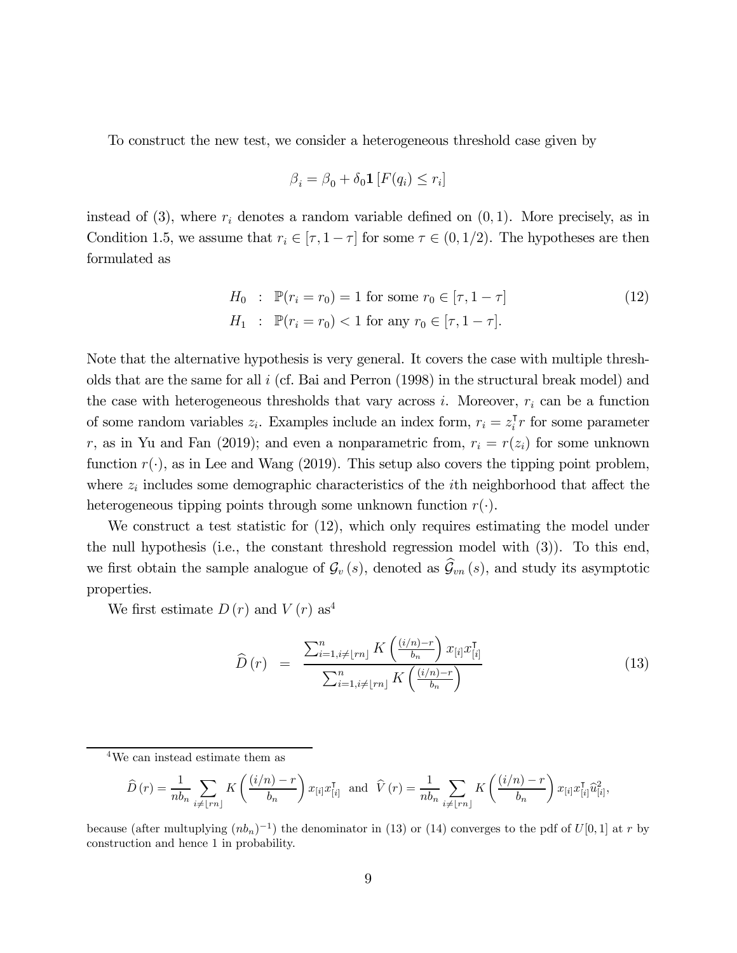To construct the new test, we consider a heterogeneous threshold case given by

$$
\beta_i = \beta_0 + \delta_0 \mathbf{1} \left[ F(q_i) \le r_i \right]
$$

instead of (3), where  $r_i$  denotes a random variable defined on  $(0, 1)$ . More precisely, as in Condition 1.5, we assume that  $r_i \in [\tau, 1 - \tau]$  for some  $\tau \in (0, 1/2)$ . The hypotheses are then formulated as

$$
H_0: \mathbb{P}(r_i = r_0) = 1 \text{ for some } r_0 \in [\tau, 1 - \tau]
$$
  
\n
$$
H_1: \mathbb{P}(r_i = r_0) < 1 \text{ for any } r_0 \in [\tau, 1 - \tau].
$$
\n(12)

Note that the alternative hypothesis is very general. It covers the case with multiple thresholds that are the same for all  $i$  (cf. Bai and Perron (1998) in the structural break model) and the case with heterogeneous thresholds that vary across  $i$ . Moreover,  $r_i$  can be a function of some random variables  $z_i$ . Examples include an index form,  $r_i = z_i^{\mathsf{T}} r$  for some parameter r, as in Yu and Fan (2019); and even a nonparametric from,  $r_i = r(z_i)$  for some unknown function  $r(\cdot)$ , as in Lee and Wang (2019). This setup also covers the tipping point problem, where  $z_i$  includes some demographic characteristics of the *i*th neighborhood that affect the heterogeneous tipping points through some unknown function  $r(\cdot)$ .

We construct a test statistic for (12), which only requires estimating the model under the null hypothesis (i.e., the constant threshold regression model with (3)). To this end, we first obtain the sample analogue of  $\mathcal{G}_{v}(s)$ , denoted as  $\widehat{\mathcal{G}}_{vn}(s)$ , and study its asymptotic properties.

We first estimate  $D(r)$  and  $V(r)$  as<sup>4</sup>

$$
\widehat{D}(r) = \frac{\sum_{i=1, i \neq \lfloor rn \rfloor}^{n} K\left(\frac{(i/n) - r}{b_n}\right) x_{[i]} x_{[i]}^{\mathsf{T}}}{\sum_{i=1, i \neq \lfloor rn \rfloor}^{n} K\left(\frac{(i/n) - r}{b_n}\right)}
$$
(13)

4We can instead estimate them as

$$
\widehat{D}(r) = \frac{1}{nb_n} \sum_{i \neq \lfloor rn \rfloor} K\left(\frac{(i/n) - r}{b_n}\right) x_{[i]} x_{[i]}^{\mathsf{T}} \text{ and } \widehat{V}(r) = \frac{1}{nb_n} \sum_{i \neq \lfloor rn \rfloor} K\left(\frac{(i/n) - r}{b_n}\right) x_{[i]} x_{[i]}^{\mathsf{T}} \widehat{u}_{[i]}^2,
$$

because (after multuplying  $(nb_n)^{-1}$ ) the denominator in (13) or (14) converges to the pdf of  $U[0, 1]$  at r by construction and hence 1 in probability.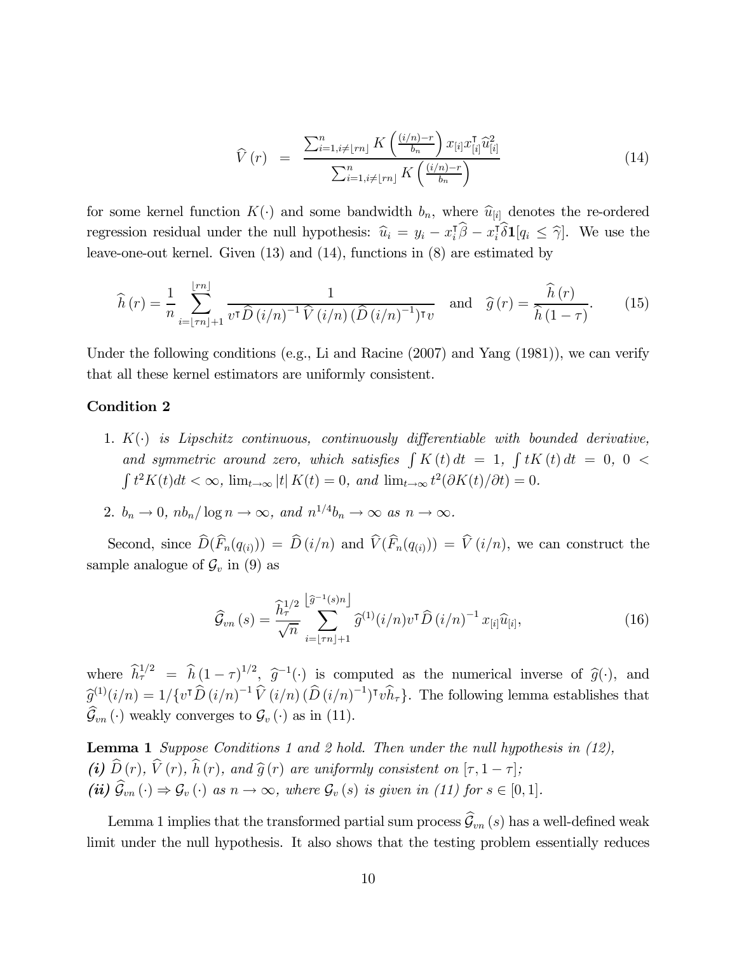$$
\widehat{V}(r) = \frac{\sum_{i=1, i \neq \lfloor rn \rfloor}^n K\left(\frac{(i/n) - r}{b_n}\right) x_{[i]} x_{[i]}^\mathsf{T} \widehat{u}_{[i]}^2}{\sum_{i=1, i \neq \lfloor rn \rfloor}^n K\left(\frac{(i/n) - r}{b_n}\right)} \tag{14}
$$

for some kernel function  $K(\cdot)$  and some bandwidth  $b_n$ , where  $\hat{u}_{[i]}$  denotes the re-ordered regression residual under the null hypothesis:  $\hat{u}_i = y_i - x_i^T \hat{\beta} - x_i^T \hat{\delta} \mathbf{1}[q_i \leq \hat{\gamma}]$ . We use the leave-one-out kernel. Given (13) and (14), functions in (8) are estimated by

$$
\widehat{h}(r) = \frac{1}{n} \sum_{i=\lfloor \tau n \rfloor + 1}^{\lfloor \tau n \rfloor} \frac{1}{v^{\tau} \widehat{D}(i/n)^{-1} \widehat{V}(i/n) \left( \widehat{D}(i/n)^{-1} \right) \tau v} \quad \text{and} \quad \widehat{g}(r) = \frac{\widehat{h}(r)}{\widehat{h}(1-\tau)}. \tag{15}
$$

Under the following conditions (e.g., Li and Racine (2007) and Yang (1981)), we can verify that all these kernel estimators are uniformly consistent.

#### Condition 2

- 1.  $K(\cdot)$  is Lipschitz continuous, continuously differentiable with bounded derivative, and symmetric around zero, which satisfies  $\int K(t) dt = 1, \int tK(t) dt = 0, 0 <$  $\int t^2 K(t) dt < \infty$ ,  $\lim_{t \to \infty} |t| K(t) = 0$ , and  $\lim_{t \to \infty} t^2 (\partial K(t)/\partial t) = 0$ .
- 2.  $b_n \to 0$ ,  $nb_n/\log n \to \infty$ , and  $n^{1/4}b_n \to \infty$  as  $n \to \infty$ .

Second, since  $\widehat{D}(\widehat{F}_n(q_{(i)})) = \widehat{D}(i/n)$  and  $\widehat{V}(\widehat{F}_n(q_{(i)})) = \widehat{V}(i/n)$ , we can construct the sample analogue of  $\mathcal{G}_v$  in (9) as

$$
\widehat{\mathcal{G}}_{vn}(s) = \frac{\widehat{h}_{\tau}^{1/2}}{\sqrt{n}} \sum_{i=\lfloor \tau n \rfloor + 1}^{\lfloor \widehat{g}^{-1}(s)n \rfloor} \widehat{g}^{(1)}(i/n) v^{\mathsf{T}} \widehat{D}(i/n)^{-1} x_{[i]}\widehat{u}_{[i]},
$$
\n(16)

where  $\hat{h}^{1/2} = \hat{h} (1-\tau)^{1/2}, \hat{g}^{-1}(\cdot)$  is computed as the numerical inverse of  $\hat{g}(\cdot)$ , and  $\widehat{g}^{(1)}(i/n) = 1/{\{v^{\intercal}\widehat{D}(i/n)^{-1}\widehat{V}(i/n)\widehat{D}(i/n)^{-1}\}}$ <sup>T</sup> $v\widehat{h}_{\tau}$ . The following lemma establishes that  $\widehat{\mathcal{G}}_{vn}(\cdot)$  weakly converges to  $\mathcal{G}_v(\cdot)$  as in (11).

**Lemma 1** Suppose Conditions 1 and 2 hold. Then under the null hypothesis in  $(12)$ , (i)  $D(r)$ ,  $V(r)$ ,  $h(r)$ , and  $\hat{g}(r)$  are uniformly consistent on  $[\tau, 1 - \tau]$ ; (ii)  $\widehat{\mathcal{G}}_{vn}(\cdot) \Rightarrow \mathcal{G}_v(\cdot)$  as  $n \to \infty$ , where  $\mathcal{G}_v(s)$  is given in (11) for  $s \in [0,1]$ .

Lemma 1 implies that the transformed partial sum process  $\widehat{\mathcal{G}}_{vn}(s)$  has a well-defined weak limit under the null hypothesis. It also shows that the testing problem essentially reduces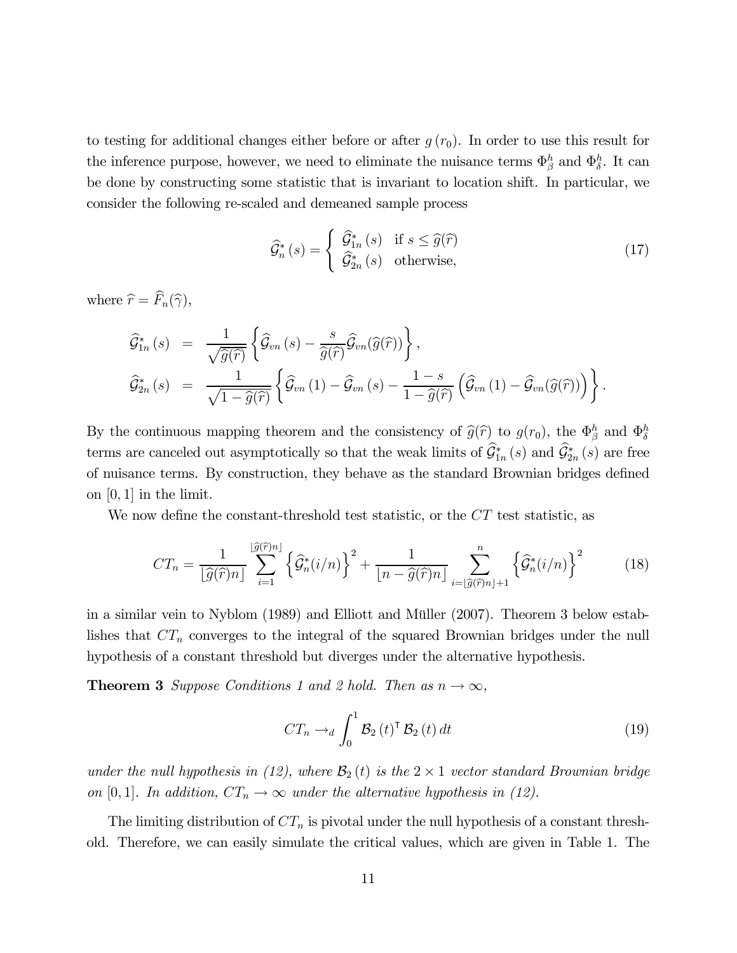to testing for additional changes either before or after  $g(r_0)$ . In order to use this result for the inference purpose, however, we need to eliminate the nuisance terms  $\Phi_{\beta}^{h}$  and  $\Phi_{\delta}^{h}$ . It can be done by constructing some statistic that is invariant to location shift. In particular, we consider the following re-scaled and demeaned sample process

$$
\widehat{\mathcal{G}}_n^*(s) = \begin{cases} \widehat{\mathcal{G}}_{1n}^*(s) & \text{if } s \le \widehat{g}(\widehat{r}) \\ \widehat{\mathcal{G}}_{2n}^*(s) & \text{otherwise,} \end{cases}
$$
\n(17)

where  $\widehat{r} = F_n(\widehat{\gamma}),$ 

$$
\widehat{\mathcal{G}}_{1n}^{*}\left(s\right) = \frac{1}{\sqrt{\widehat{g}(\widehat{r})}}\left\{\widehat{\mathcal{G}}_{vn}\left(s\right) - \frac{s}{\widehat{g}(\widehat{r})}\widehat{\mathcal{G}}_{vn}(\widehat{g}(\widehat{r}))\right\},
$$
\n
$$
\widehat{\mathcal{G}}_{2n}^{*}\left(s\right) = \frac{1}{\sqrt{1-\widehat{g}(\widehat{r})}}\left\{\widehat{\mathcal{G}}_{vn}\left(1\right) - \widehat{\mathcal{G}}_{vn}\left(s\right) - \frac{1-s}{1-\widehat{g}(\widehat{r})}\left(\widehat{\mathcal{G}}_{vn}\left(1\right) - \widehat{\mathcal{G}}_{vn}(\widehat{g}(\widehat{r})\right)\right\}.
$$

By the continuous mapping theorem and the consistency of  $\widehat{g}(\widehat{r})$  to  $g(r_0)$ , the  $\Phi_{\beta}^h$  and  $\Phi_{\delta}^h$ terms are canceled out asymptotically so that the weak limits of  $\mathcal{G}_{1n}^*(s)$  and  $\mathcal{G}_{2n}^*(s)$  are free of nuisance terms. By construction, they behave as the standard Brownian bridges defined on  $[0, 1]$  in the limit.

We now define the constant-threshold test statistic, or the  $CT$  test statistic, as

$$
CT_n = \frac{1}{\left[\widehat{g}(\widehat{r})n\right]} \sum_{i=1}^{\left[\widehat{g}(\widehat{r})n\right]} \left\{\widehat{\mathcal{G}}_n^*(i/n)\right\}^2 + \frac{1}{\left[n-\widehat{g}(\widehat{r})n\right]} \sum_{i=\left[\widehat{g}(\widehat{r})n\right]+1}^n \left\{\widehat{\mathcal{G}}_n^*(i/n)\right\}^2 \tag{18}
$$

in a similar vein to Nyblom (1989) and Elliott and Müller (2007). Theorem 3 below establishes that  $CT_n$  converges to the integral of the squared Brownian bridges under the null hypothesis of a constant threshold but diverges under the alternative hypothesis.

**Theorem 3** Suppose Conditions 1 and 2 hold. Then as  $n \to \infty$ ,

$$
CT_n \to_d \int_0^1 \mathcal{B}_2(t)^\intercal \mathcal{B}_2(t) dt \tag{19}
$$

under the null hypothesis in (12), where  $\mathcal{B}_2(t)$  is the  $2 \times 1$  vector standard Brownian bridge on [0, 1]. In addition,  $CT_n \to \infty$  under the alternative hypothesis in (12).

The limiting distribution of  $CT_n$  is pivotal under the null hypothesis of a constant threshold. Therefore, we can easily simulate the critical values, which are given in Table 1. The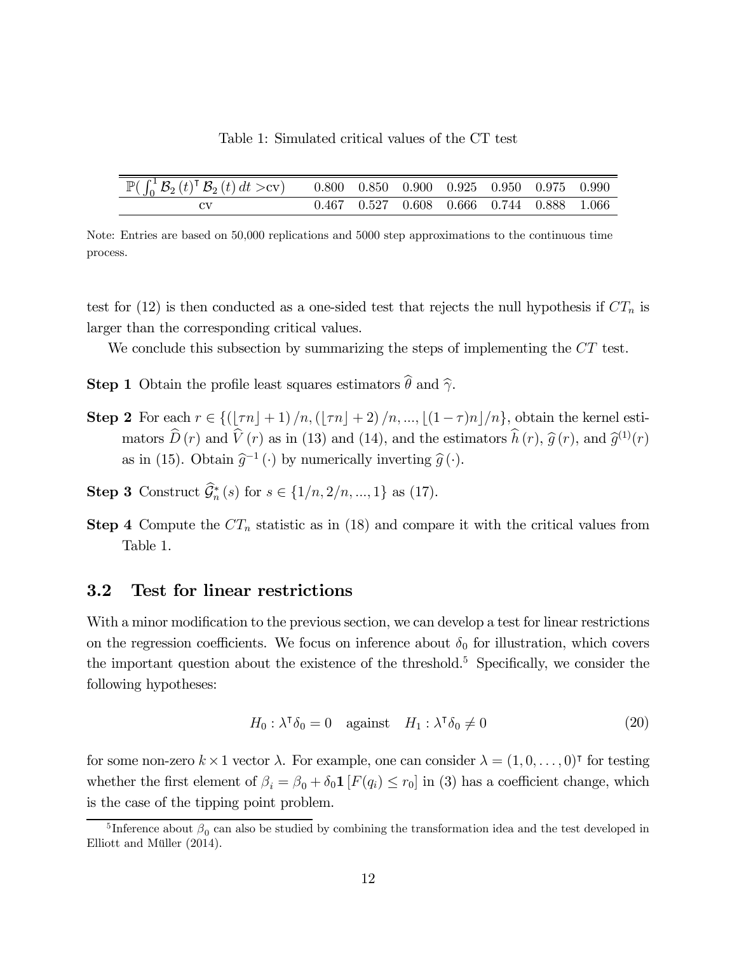| Table 1: Simulated critical values of the CT test |  |
|---------------------------------------------------|--|
|---------------------------------------------------|--|

| $\mathbb{P}(\int_0^1 \mathcal{B}_2(t)^\intercal \, \mathcal{B}_2(t) \, dt > c \text{v})$ 0.800 0.850 0.900 0.925 0.950 0.975 0.990 |  |                                           |  |  |
|------------------------------------------------------------------------------------------------------------------------------------|--|-------------------------------------------|--|--|
|                                                                                                                                    |  | 0.467 0.527 0.608 0.666 0.744 0.888 1.066 |  |  |

Note: Entries are based on 50,000 replications and 5000 step approximations to the continuous time process.

test for (12) is then conducted as a one-sided test that rejects the null hypothesis if  $CT_n$  is larger than the corresponding critical values.

We conclude this subsection by summarizing the steps of implementing the  $CT$  test.

**Step 1** Obtain the profile least squares estimators  $\hat{\theta}$  and  $\hat{\gamma}$ .

- **Step 2** For each  $r \in \{(\lceil \tau n \rceil + 1)/n, (\lceil \tau n \rceil + 2)/n, ..., \lceil (1 \tau)n \rceil/n\}$ , obtain the kernel estimators  $\widehat{D}(r)$  and  $\widehat{V}(r)$  as in (13) and (14), and the estimators  $\widehat{h}(r)$ ,  $\widehat{g}(r)$ , and  $\widehat{g}^{(1)}(r)$ as in (15). Obtain  $\hat{g}^{-1}(\cdot)$  by numerically inverting  $\hat{g}(\cdot)$ .
- **Step 3** Construct  $\mathcal{G}_n^*(s)$  for  $s \in \{1/n, 2/n, ..., 1\}$  as (17).
- **Step 4** Compute the  $CT_n$  statistic as in (18) and compare it with the critical values from Table 1.

## 3.2 Test for linear restrictions

With a minor modification to the previous section, we can develop a test for linear restrictions on the regression coefficients. We focus on inference about  $\delta_0$  for illustration, which covers the important question about the existence of the threshold.<sup>5</sup> Specifically, we consider the following hypotheses:

$$
H_0: \lambda^{\dagger} \delta_0 = 0 \quad \text{against} \quad H_1: \lambda^{\dagger} \delta_0 \neq 0 \tag{20}
$$

for some non-zero  $k \times 1$  vector  $\lambda$ . For example, one can consider  $\lambda = (1, 0, \ldots, 0)$ <sup>T</sup> for testing whether the first element of  $\beta_i = \beta_0 + \delta_0 \mathbf{1} [F(q_i) \le r_0]$  in (3) has a coefficient change, which is the case of the tipping point problem.

<sup>&</sup>lt;sup>5</sup> Inference about  $\beta_0$  can also be studied by combining the transformation idea and the test developed in Elliott and Müller (2014).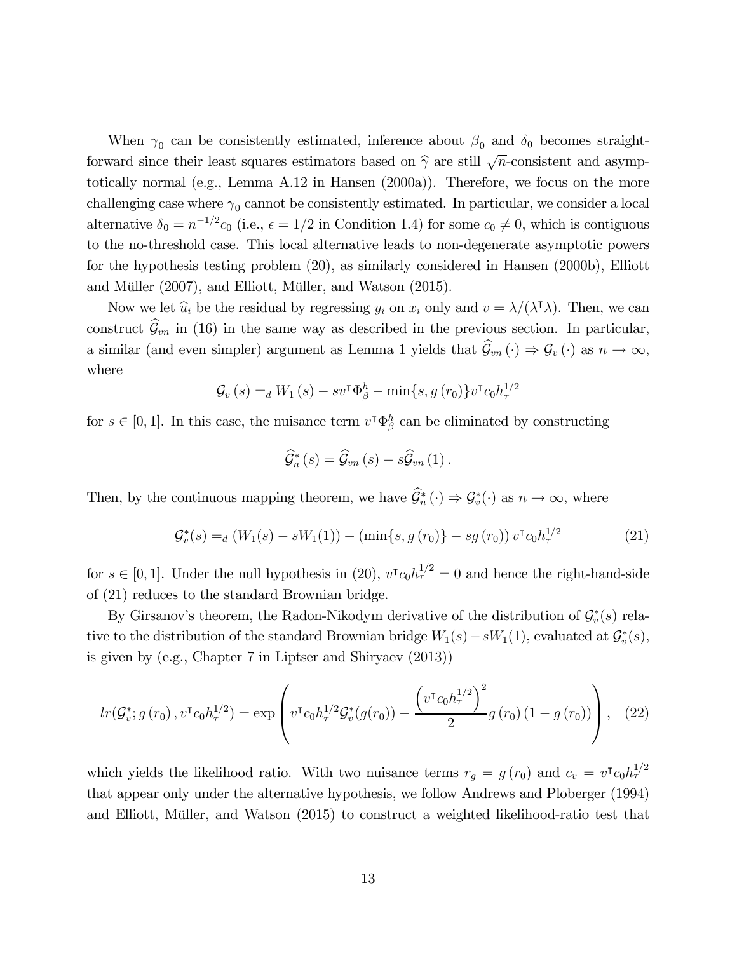When  $\gamma_0$  can be consistently estimated, inference about  $\beta_0$  and  $\delta_0$  becomes straightforward since their least squares estimators based on  $\hat{\gamma}$  are still  $\sqrt{n}$ -consistent and asymptotically normal (e.g., Lemma A.12 in Hansen (2000a)). Therefore, we focus on the more challenging case where  $\gamma_0$  cannot be consistently estimated. In particular, we consider a local alternative  $\delta_0 = n^{-1/2}c_0$  (i.e.,  $\epsilon = 1/2$  in Condition 1.4) for some  $c_0 \neq 0$ , which is contiguous to the no-threshold case. This local alternative leads to non-degenerate asymptotic powers for the hypothesis testing problem (20), as similarly considered in Hansen (2000b), Elliott and Müller (2007), and Elliott, Müller, and Watson (2015).

Now we let  $\hat{u}_i$  be the residual by regressing  $y_i$  on  $x_i$  only and  $v = \lambda/(\lambda^{\dagger} \lambda)$ . Then, we can construct  $\hat{\mathcal{G}}_{vn}$  in (16) in the same way as described in the previous section. In particular, a similar (and even simpler) argument as Lemma 1 yields that  $\hat{\mathcal{G}}_{vn}(\cdot) \Rightarrow \mathcal{G}_v(\cdot)$  as  $n \to \infty$ , where

$$
\mathcal{G}_{v}(s) =_{d} W_{1}(s) - sv^{\mathsf{T}} \Phi_{\beta}^{h} - \min\{s, g(r_{0})\} v^{\mathsf{T}} c_{0} h_{\tau}^{1/2}
$$

for  $s \in [0, 1]$ . In this case, the nuisance term  $v^{\dagger} \Phi_{\beta}^{h}$  can be eliminated by constructing

$$
\widehat{\mathcal{G}}_{n}^{*}\left(s\right)=\widehat{\mathcal{G}}_{vn}\left(s\right)-s\widehat{\mathcal{G}}_{vn}\left(1\right).
$$

Then, by the continuous mapping theorem, we have  $\mathcal{G}_n^* (\cdot) \Rightarrow \mathcal{G}_v^* (\cdot)$  as  $n \to \infty$ , where

$$
\mathcal{G}_{v}^{*}(s) =_{d} \left( W_{1}(s) - sW_{1}(1) \right) - \left( \min \{ s, g(r_{0}) \} - s g(r_{0}) \right) v^{\mathsf{T}} c_{0} h_{\tau}^{1/2} \tag{21}
$$

for  $s \in [0,1]$ . Under the null hypothesis in (20),  $v^{\dagger} c_0 h_{\tau}^{1/2} = 0$  and hence the right-hand-side of (21) reduces to the standard Brownian bridge.

By Girsanov's theorem, the Radon-Nikodym derivative of the distribution of  $\mathcal{G}_v^*(s)$  relative to the distribution of the standard Brownian bridge  $W_1(s) - sW_1(1)$ , evaluated at  $\mathcal{G}_v^*(s)$ , is given by (e.g., Chapter 7 in Liptser and Shiryaev (2013))

$$
lr(\mathcal{G}_v^*; g(r_0), v^\intercal c_0 h_\tau^{1/2}) = \exp\left(v^\intercal c_0 h_\tau^{1/2} \mathcal{G}_v^*(g(r_0)) - \frac{\left(v^\intercal c_0 h_\tau^{1/2}\right)^2}{2} g(r_0) \left(1 - g(r_0)\right)\right), \quad (22)
$$

which yields the likelihood ratio. With two nuisance terms  $r_g = g(r_0)$  and  $c_v = v^{\dagger} c_0 h_{\tau}^{1/2}$ that appear only under the alternative hypothesis, we follow Andrews and Ploberger (1994) and Elliott, Müller, and Watson (2015) to construct a weighted likelihood-ratio test that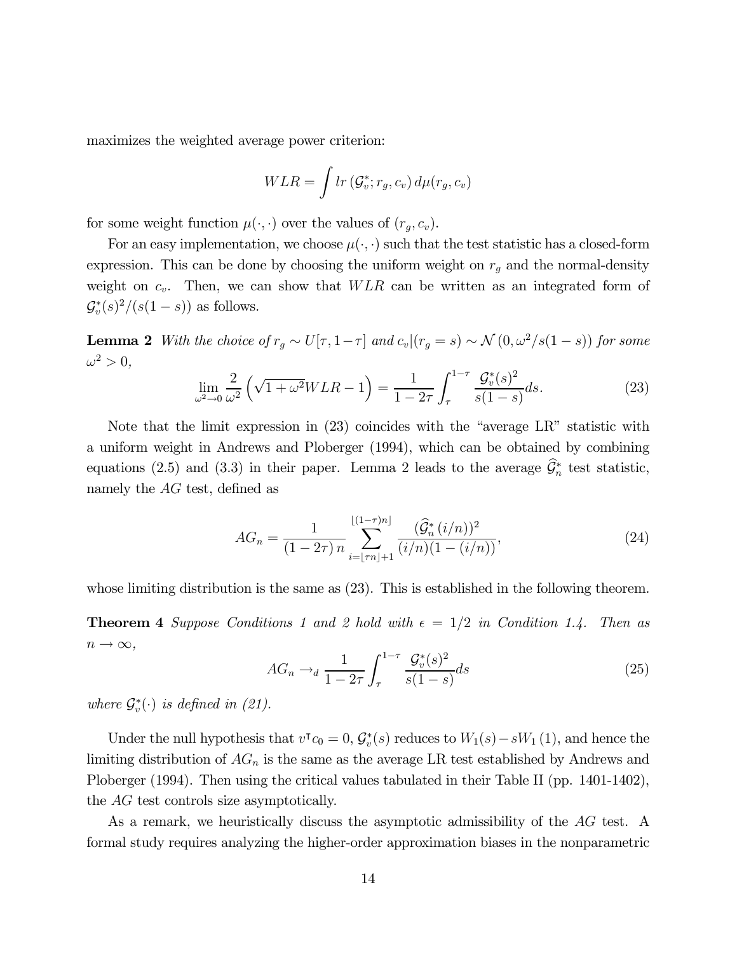maximizes the weighted average power criterion:

$$
WLR = \int lr\left(\mathcal{G}_v^*; r_g, c_v\right) d\mu(r_g, c_v)
$$

for some weight function  $\mu(\cdot, \cdot)$  over the values of  $(r_g, c_v)$ .

For an easy implementation, we choose  $\mu(\cdot, \cdot)$  such that the test statistic has a closed-form expression. This can be done by choosing the uniform weight on  $r_g$  and the normal-density weight on  $c_v$ . Then, we can show that  $WLR$  can be written as an integrated form of  $\mathcal{G}_{v}^{*}(s)^{2}/(s(1-s))$  as follows.

**Lemma 2** With the choice of  $r_g \sim U[\tau, 1-\tau]$  and  $c_v|(r_g = s) \sim \mathcal{N}(0, \omega^2/s(1-s))$  for some  $\omega^2>0,$ 

$$
\lim_{\omega^2 \to 0} \frac{2}{\omega^2} \left( \sqrt{1 + \omega^2} WLR - 1 \right) = \frac{1}{1 - 2\tau} \int_{\tau}^{1 - \tau} \frac{\mathcal{G}_v^*(s)^2}{s(1 - s)} ds. \tag{23}
$$

Note that the limit expression in (23) coincides with the "average LR" statistic with a uniform weight in Andrews and Ploberger (1994), which can be obtained by combining equations (2.5) and (3.3) in their paper. Lemma 2 leads to the average  $\mathcal{G}_n^*$  test statistic, namely the  $AG$  test, defined as

$$
AG_n = \frac{1}{(1 - 2\tau)n} \sum_{i = \lfloor \tau n \rfloor + 1}^{\lfloor (1 - \tau)n \rfloor} \frac{(\widehat{\mathcal{G}}_n^*(i/n))^2}{(i/n)(1 - (i/n))},\tag{24}
$$

whose limiting distribution is the same as  $(23)$ . This is established in the following theorem.

**Theorem 4** Suppose Conditions 1 and 2 hold with  $\epsilon = 1/2$  in Condition 1.4. Then as  $n \to \infty$ ,

$$
AG_n \to_d \frac{1}{1 - 2\tau} \int_{\tau}^{1 - \tau} \frac{\mathcal{G}_v^*(s)^2}{s(1 - s)} ds \tag{25}
$$

where  $\mathcal{G}_{v}^{*}(\cdot)$  is defined in (21).

Under the null hypothesis that  $v^{\dagger} c_0 = 0$ ,  $\mathcal{G}_v^*(s)$  reduces to  $W_1(s) - sW_1(1)$ , and hence the limiting distribution of  $AG_n$  is the same as the average LR test established by Andrews and Ploberger (1994). Then using the critical values tabulated in their Table II (pp. 1401-1402), the  $\overline{AG}$  test controls size asymptotically.

As a remark, we heuristically discuss the asymptotic admissibility of the  $AG$  test. A formal study requires analyzing the higher-order approximation biases in the nonparametric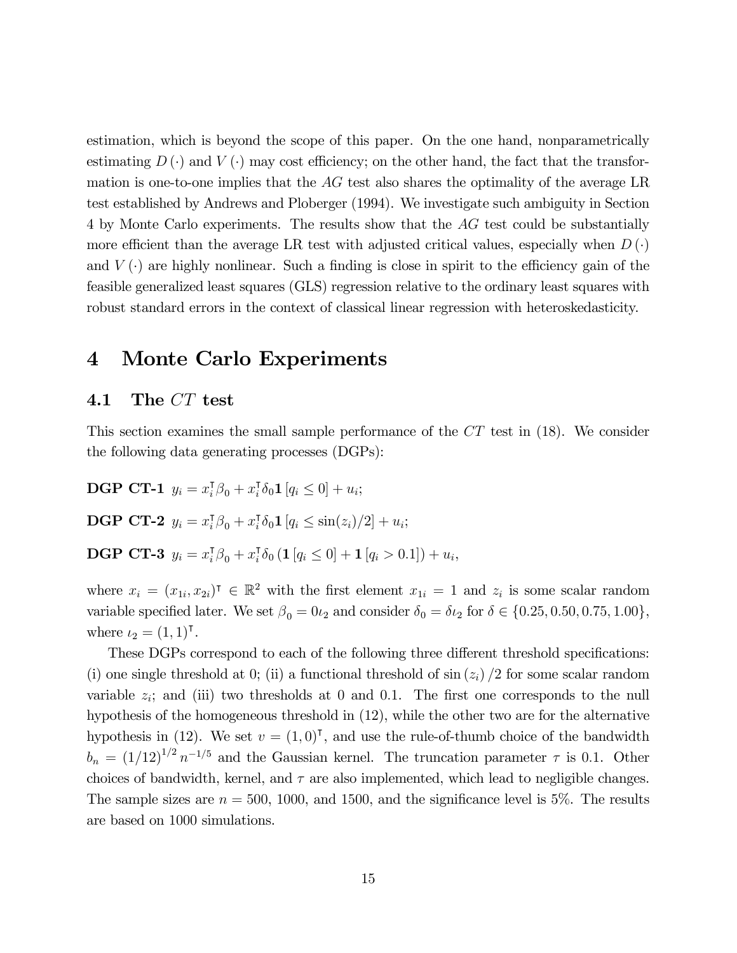estimation, which is beyond the scope of this paper. On the one hand, nonparametrically estimating  $D(\cdot)$  and  $V(\cdot)$  may cost efficiency; on the other hand, the fact that the transformation is one-to-one implies that the  $AG$  test also shares the optimality of the average LR test established by Andrews and Ploberger (1994). We investigate such ambiguity in Section 4 by Monte Carlo experiments. The results show that the  $\overline{AG}$  test could be substantially more efficient than the average LR test with adjusted critical values, especially when  $D(\cdot)$ and  $V(\cdot)$  are highly nonlinear. Such a finding is close in spirit to the efficiency gain of the feasible generalized least squares (GLS) regression relative to the ordinary least squares with robust standard errors in the context of classical linear regression with heteroskedasticity.

## 4 Monte Carlo Experiments

## 4.1 The  $CT$  test

This section examines the small sample performance of the  $CT$  test in (18). We consider the following data generating processes (DGPs):

**DGP CT-1**  $y_i = x_i^{\text{T}} \beta_0 + x_i^{\text{T}} \delta_0 \mathbf{1} [q_i \leq 0] + u_i;$ **DGP CT-2**  $y_i = x_i^{\mathsf{T}} \beta_0 + x_i^{\mathsf{T}} \delta_0 \mathbf{1} [q_i \leq \sin(z_i)/2] + u_i;$ **DGP CT-3**  $y_i = x_i^{\mathsf{T}} \beta_0 + x_i^{\mathsf{T}} \delta_0 (\mathbf{1} [q_i \leq 0] + \mathbf{1} [q_i > 0.1]) + u_i,$ 

where  $x_i = (x_{1i}, x_{2i})^{\dagger} \in \mathbb{R}^2$  with the first element  $x_{1i} = 1$  and  $z_i$  is some scalar random variable specified later. We set  $\beta_0 = 0 \iota_2$  and consider  $\delta_0 = \delta \iota_2$  for  $\delta \in \{0.25, 0.50, 0.75, 1.00\},$ where  $\iota_2 = (1, 1)$ .

These DGPs correspond to each of the following three different threshold specifications: (i) one single threshold at 0; (ii) a functional threshold of  $\sin(z_i) / 2$  for some scalar random variable  $z_i$ ; and (iii) two thresholds at 0 and 0.1. The first one corresponds to the null hypothesis of the homogeneous threshold in (12), while the other two are for the alternative hypothesis in (12). We set  $v = (1,0)^T$ , and use the rule-of-thumb choice of the bandwidth  $b_n = (1/12)^{1/2} n^{-1/5}$  and the Gaussian kernel. The truncation parameter  $\tau$  is 0.1. Other choices of bandwidth, kernel, and  $\tau$  are also implemented, which lead to negligible changes. The sample sizes are  $n = 500$ , 1000, and 1500, and the significance level is 5%. The results are based on 1000 simulations.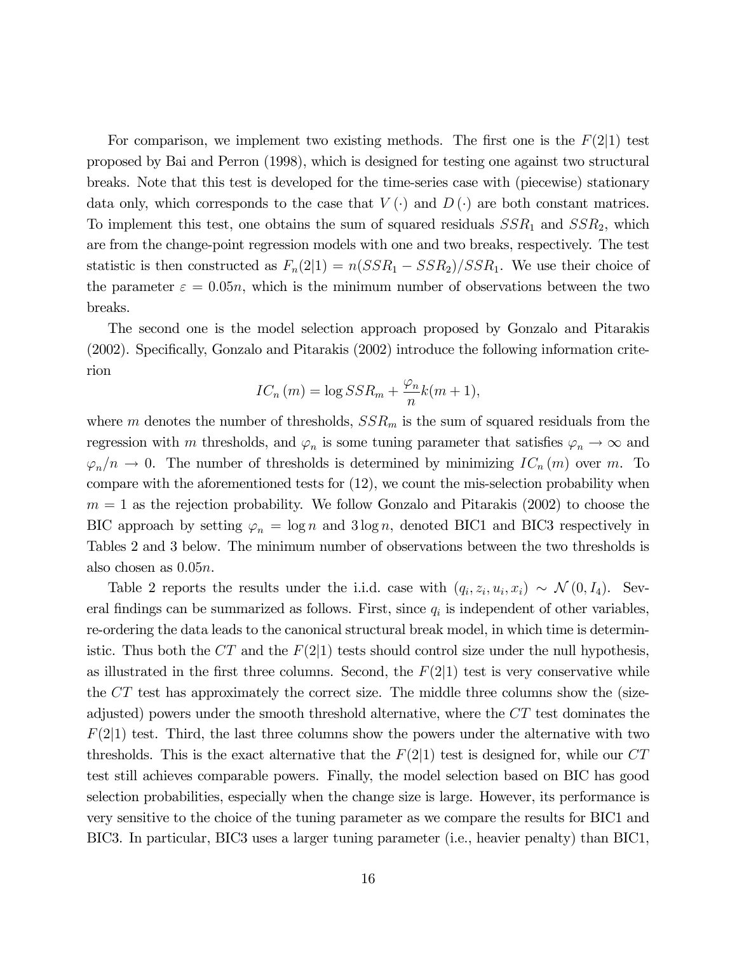For comparison, we implement two existing methods. The first one is the  $F(2|1)$  test proposed by Bai and Perron (1998), which is designed for testing one against two structural breaks. Note that this test is developed for the time-series case with (piecewise) stationary data only, which corresponds to the case that  $V(\cdot)$  and  $D(\cdot)$  are both constant matrices. To implement this test, one obtains the sum of squared residuals  $SSR_1$  and  $SSR_2$ , which are from the change-point regression models with one and two breaks, respectively. The test statistic is then constructed as  $F_n(2|1) = n(SSR_1 - SSR_2)/SSR_1$ . We use their choice of the parameter  $\varepsilon = 0.05n$ , which is the minimum number of observations between the two breaks.

The second one is the model selection approach proposed by Gonzalo and Pitarakis (2002). Specifically, Gonzalo and Pitarakis (2002) introduce the following information criterion

$$
IC_n(m) = \log SSR_m + \frac{\varphi_n}{n}k(m+1),
$$

where *m* denotes the number of thresholds,  $SSR_m$  is the sum of squared residuals from the regression with *m* thresholds, and  $\varphi_n$  is some tuning parameter that satisfies  $\varphi_n \to \infty$  and  $\varphi_n/n \to 0$ . The number of thresholds is determined by minimizing  $IC_n(m)$  over m. To compare with the aforementioned tests for (12), we count the mis-selection probability when  $m = 1$  as the rejection probability. We follow Gonzalo and Pitarakis (2002) to choose the BIC approach by setting  $\varphi_n = \log n$  and  $3 \log n$ , denoted BIC1 and BIC3 respectively in Tables 2 and 3 below. The minimum number of observations between the two thresholds is also chosen as  $0.05n$ .

Table 2 reports the results under the i.i.d. case with  $(q_i, z_i, u_i, x_i) \sim \mathcal{N}(0, I_4)$ . Several findings can be summarized as follows. First, since  $q_i$  is independent of other variables, re-ordering the data leads to the canonical structural break model, in which time is deterministic. Thus both the  $CT$  and the  $F(2|1)$  tests should control size under the null hypothesis, as illustrated in the first three columns. Second, the  $F(2|1)$  test is very conservative while the  $CT$  test has approximately the correct size. The middle three columns show the (sizeadjusted) powers under the smooth threshold alternative, where the  $CT$  test dominates the  $F(2|1)$  test. Third, the last three columns show the powers under the alternative with two thresholds. This is the exact alternative that the  $F(2|1)$  test is designed for, while our  $CT$ test still achieves comparable powers. Finally, the model selection based on BIC has good selection probabilities, especially when the change size is large. However, its performance is very sensitive to the choice of the tuning parameter as we compare the results for BIC1 and BIC3. In particular, BIC3 uses a larger tuning parameter (i.e., heavier penalty) than BIC1,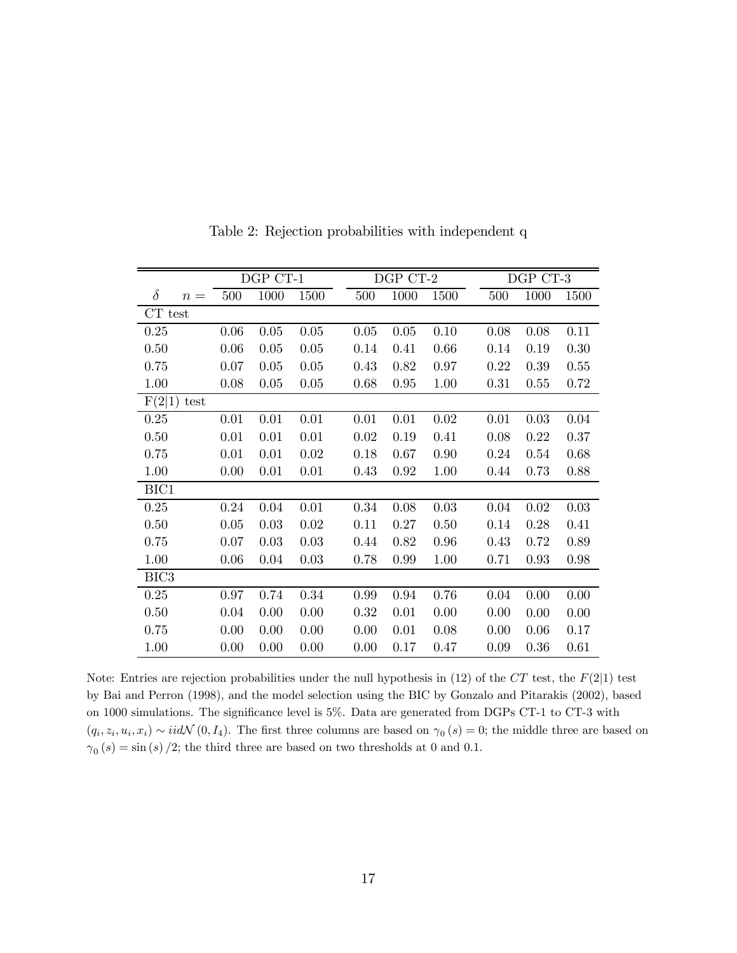|                  |       |      | DGP CT-1<br>DGP CT-2<br>DGP CT-3 |      |      |  |      |      |  |      |      |          |
|------------------|-------|------|----------------------------------|------|------|--|------|------|--|------|------|----------|
| $\delta$         | $n =$ | 500  | 1000                             | 1500 | 500  |  | 1000 | 1500 |  | 500  | 1000 | 1500     |
| CT test          |       |      |                                  |      |      |  |      |      |  |      |      |          |
| 0.25             |       | 0.06 | 0.05                             | 0.05 | 0.05 |  | 0.05 | 0.10 |  | 0.08 | 0.08 | 0.11     |
| 0.50             |       | 0.06 | 0.05                             | 0.05 | 0.14 |  | 0.41 | 0.66 |  | 0.14 | 0.19 | 0.30     |
| 0.75             |       | 0.07 | 0.05                             | 0.05 | 0.43 |  | 0.82 | 0.97 |  | 0.22 | 0.39 | 0.55     |
| 1.00             |       | 0.08 | 0.05                             | 0.05 | 0.68 |  | 0.95 | 1.00 |  | 0.31 | 0.55 | 0.72     |
| F(2 1)           | test  |      |                                  |      |      |  |      |      |  |      |      |          |
| 0.25             |       | 0.01 | 0.01                             | 0.01 | 0.01 |  | 0.01 | 0.02 |  | 0.01 | 0.03 | $0.04\,$ |
| 0.50             |       | 0.01 | 0.01                             | 0.01 | 0.02 |  | 0.19 | 0.41 |  | 0.08 | 0.22 | 0.37     |
| 0.75             |       | 0.01 | 0.01                             | 0.02 | 0.18 |  | 0.67 | 0.90 |  | 0.24 | 0.54 | 0.68     |
| 1.00             |       | 0.00 | 0.01                             | 0.01 | 0.43 |  | 0.92 | 1.00 |  | 0.44 | 0.73 | 0.88     |
| BIC1             |       |      |                                  |      |      |  |      |      |  |      |      |          |
| 0.25             |       | 0.24 | 0.04                             | 0.01 | 0.34 |  | 0.08 | 0.03 |  | 0.04 | 0.02 | 0.03     |
| 0.50             |       | 0.05 | 0.03                             | 0.02 | 0.11 |  | 0.27 | 0.50 |  | 0.14 | 0.28 | 0.41     |
| 0.75             |       | 0.07 | 0.03                             | 0.03 | 0.44 |  | 0.82 | 0.96 |  | 0.43 | 0.72 | 0.89     |
| 1.00             |       | 0.06 | 0.04                             | 0.03 | 0.78 |  | 0.99 | 1.00 |  | 0.71 | 0.93 | 0.98     |
| BIC <sub>3</sub> |       |      |                                  |      |      |  |      |      |  |      |      |          |
| 0.25             |       | 0.97 | 0.74                             | 0.34 | 0.99 |  | 0.94 | 0.76 |  | 0.04 | 0.00 | 0.00     |
| 0.50             |       | 0.04 | 0.00                             | 0.00 | 0.32 |  | 0.01 | 0.00 |  | 0.00 | 0.00 | 0.00     |
| 0.75             |       | 0.00 | 0.00                             | 0.00 | 0.00 |  | 0.01 | 0.08 |  | 0.00 | 0.06 | 0.17     |
| 1.00             |       | 0.00 | 0.00                             | 0.00 | 0.00 |  | 0.17 | 0.47 |  | 0.09 | 0.36 | 0.61     |

Table 2: Rejection probabilities with independent q

Note: Entries are rejection probabilities under the null hypothesis in  $(12)$  of the  $CT$  test, the  $F(2|1)$  test by Bai and Perron (1998), and the model selection using the BIC by Gonzalo and Pitarakis (2002), based on 1000 simulations. The significance level is 5%. Data are generated from DGPs CT-1 to CT-3 with  $(q_i, z_i, u_i, x_i) \sim \text{iidN}(0, I_4)$ . The first three columns are based on  $\gamma_0(s)=0$ ; the middle three are based on  $\gamma_0 \left( s \right) = \sin \left( s \right) /2;$  the third three are based on two thresholds at 0 and 0.1.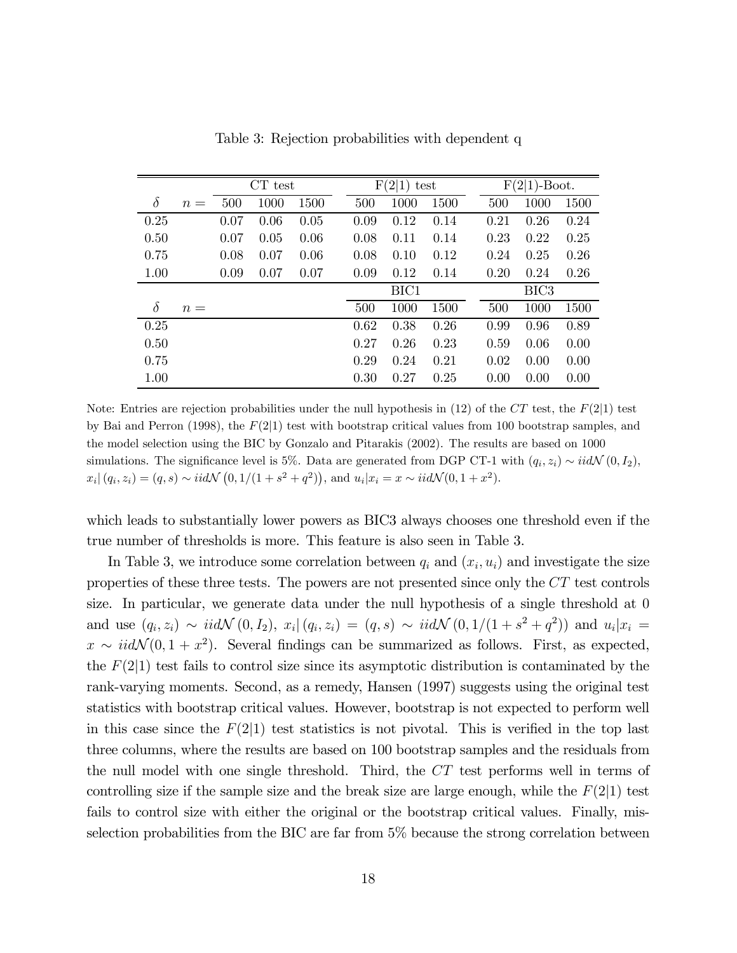|          |       | $CT$ test |      |      |      | F(2 1) | test | $F(2 1)$ -Boot. |                  |      |  |
|----------|-------|-----------|------|------|------|--------|------|-----------------|------------------|------|--|
| $\delta$ | $n =$ | 500       | 1000 | 1500 | 500  | 1000   | 1500 | 500             | 1000             | 1500 |  |
| 0.25     |       | 0.07      | 0.06 | 0.05 | 0.09 | 0.12   | 0.14 | 0.21            | 0.26             | 0.24 |  |
| 0.50     |       | 0.07      | 0.05 | 0.06 | 0.08 | 0.11   | 0.14 | 0.23            | 0.22             | 0.25 |  |
| 0.75     |       | 0.08      | 0.07 | 0.06 | 0.08 | 0.10   | 0.12 | 0.24            | 0.25             | 0.26 |  |
| 1.00     |       | 0.09      | 0.07 | 0.07 | 0.09 | 0.12   | 0.14 | 0.20            | 0.24             | 0.26 |  |
|          |       |           |      |      |      | BIC1   |      |                 | BIC <sub>3</sub> |      |  |
| $\delta$ | $n =$ |           |      |      | 500  | 1000   | 1500 | 500             | 1000             | 1500 |  |
| 0.25     |       |           |      |      | 0.62 | 0.38   | 0.26 | 0.99            | 0.96             | 0.89 |  |
| 0.50     |       |           |      |      | 0.27 | 0.26   | 0.23 | 0.59            | 0.06             | 0.00 |  |
| 0.75     |       |           |      |      | 0.29 | 0.24   | 0.21 | 0.02            | 0.00             | 0.00 |  |
| 1.00     |       |           |      |      | 0.30 | 0.27   | 0.25 | 0.00            | 0.00             | 0.00 |  |

Table 3: Rejection probabilities with dependent q

Note: Entries are rejection probabilities under the null hypothesis in (12) of the  $CT$  test, the  $F(2|1)$  test by Bai and Perron (1998), the  $F(2|1)$  test with bootstrap critical values from 100 bootstrap samples, and the model selection using the BIC by Gonzalo and Pitarakis (2002). The results are based on 1000 simulations. The significance level is 5%. Data are generated from DGP CT-1 with  $(q_i, z_i) \sim \text{i} i d\mathcal{N}(0, I_2)$ ,  $x_i | (q_i, z_i) = (q, s) \sim \text{i} i d\mathcal{N}(0, 1/(1 + s^2 + q^2))$ , and  $y_i | x_i = x \sim \text{i} i d\mathcal{N}(0, 1 + x^2)$ .  $x_i | (q_i, z_i) = (q, s) \sim i i d \mathcal{N} (0, 1/(1 + s^2 + q^2)),$  and  $u_i | x_i = x \sim i i d \mathcal{N} (0, 1 + x^2).$ 

which leads to substantially lower powers as BIC3 always chooses one threshold even if the true number of thresholds is more. This feature is also seen in Table 3.

In Table 3, we introduce some correlation between  $q_i$  and  $(x_i, u_i)$  and investigate the size properties of these three tests. The powers are not presented since only the  $CT$  test controls size. In particular, we generate data under the null hypothesis of a single threshold at 0 and use  $(q_i, z_i) \sim \text{iidN}(0, I_2), x_i | (q_i, z_i) = (q, s) \sim \text{iidN}(0, 1/(1 + s^2 + q^2))$  and  $u_i | x_i =$  $x \sim \text{iidN}(0, 1 + x^2)$ . Several findings can be summarized as follows. First, as expected, the  $F(2|1)$  test fails to control size since its asymptotic distribution is contaminated by the rank-varying moments. Second, as a remedy, Hansen (1997) suggests using the original test statistics with bootstrap critical values. However, bootstrap is not expected to perform well in this case since the  $F(2|1)$  test statistics is not pivotal. This is verified in the top last three columns, where the results are based on 100 bootstrap samples and the residuals from the null model with one single threshold. Third, the  $CT$  test performs well in terms of controlling size if the sample size and the break size are large enough, while the  $F(2|1)$  test fails to control size with either the original or the bootstrap critical values. Finally, misselection probabilities from the BIC are far from 5% because the strong correlation between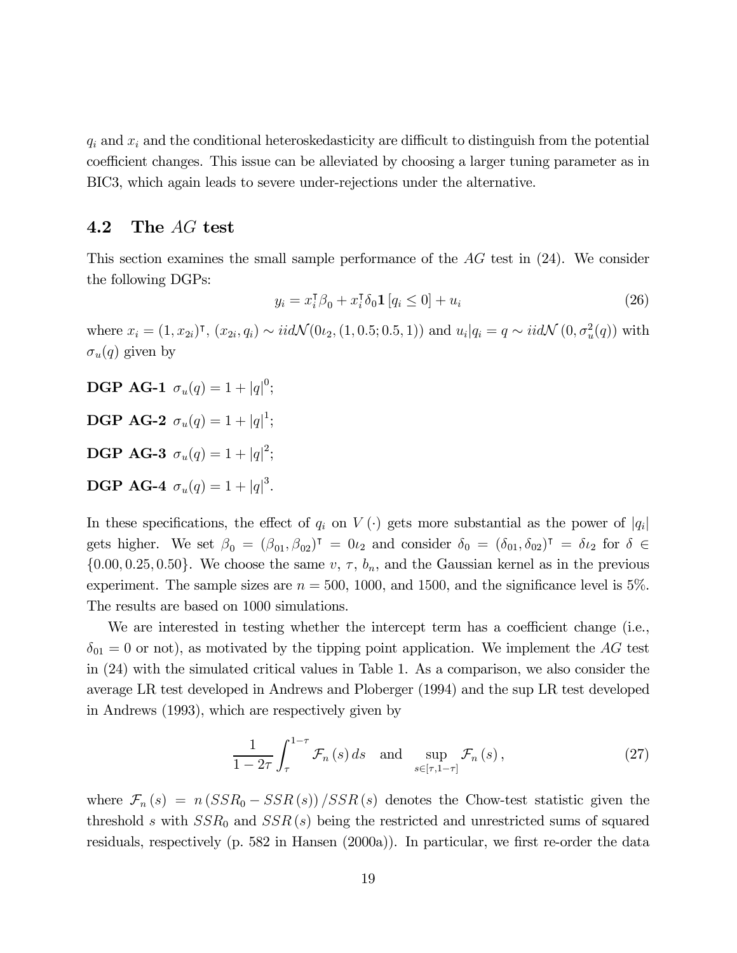$q_i$  and  $x_i$  and the conditional heteroskedasticity are difficult to distinguish from the potential coefficient changes. This issue can be alleviated by choosing a larger tuning parameter as in BIC3, which again leads to severe under-rejections under the alternative.

## 4.2 The  $AG$  test

This section examines the small sample performance of the  $AG$  test in  $(24)$ . We consider the following DGPs:

$$
y_i = x_i^{\mathsf{T}} \beta_0 + x_i^{\mathsf{T}} \delta_0 \mathbf{1} \left[ q_i \le 0 \right] + u_i \tag{26}
$$

where  $x_i = (1, x_{2i})^{\dagger}$ ,  $(x_{2i}, q_i) \sim \text{i} i d \mathcal{N}(0_{2i}, (1, 0.5; 0.5, 1))$  and  $u_i | q_i = q \sim \text{i} i d \mathcal{N}(0, \sigma_u^2(q))$  with  $\sigma_u(q)$  given by

**DGP AG-1**  $\sigma_u(q) = 1 + |q|^0;$ **DGP AG-2**  $\sigma_u(q) = 1 + |q|^1;$ **DGP AG-3**  $\sigma_u(q) = 1 + |q|^2;$ **DGP AG-4**  $\sigma_u(q) = 1 + |q|^3$ .

In these specifications, the effect of  $q_i$  on  $V(\cdot)$  gets more substantial as the power of  $|q_i|$ gets higher. We set  $\beta_0 = (\beta_{01}, \beta_{02})^{\dagger} = 0_{\ell_2}$  and consider  $\delta_0 = (\delta_{01}, \delta_{02})^{\dagger} = \delta_{\ell_2}$  for  $\delta \in$  $\{0.00, 0.25, 0.50\}$ . We choose the same  $v, \tau, b_n$ , and the Gaussian kernel as in the previous experiment. The sample sizes are  $n = 500, 1000,$  and 1500, and the significance level is 5%. The results are based on 1000 simulations.

We are interested in testing whether the intercept term has a coefficient change (i.e.,  $\delta_{01} = 0$  or not), as motivated by the tipping point application. We implement the AG test in (24) with the simulated critical values in Table 1. As a comparison, we also consider the average LR test developed in Andrews and Ploberger (1994) and the sup LR test developed in Andrews (1993), which are respectively given by

$$
\frac{1}{1-2\tau} \int_{\tau}^{1-\tau} \mathcal{F}_n(s) \, ds \quad \text{and} \quad \sup_{s \in [\tau, 1-\tau]} \mathcal{F}_n(s) \,, \tag{27}
$$

where  $\mathcal{F}_n(s) = n(SSR_0 - SSR(s))/SSR(s)$  denotes the Chow-test statistic given the threshold s with  $SSR_0$  and  $SSR(s)$  being the restricted and unrestricted sums of squared residuals, respectively (p. 582 in Hansen (2000a)). In particular, we first re-order the data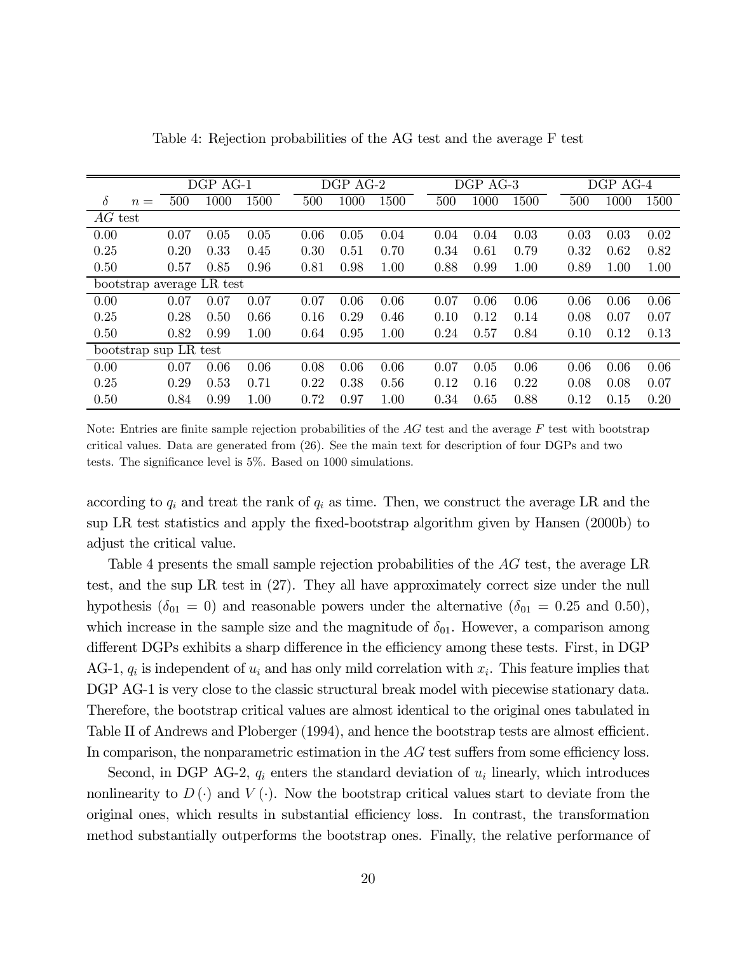|           |                       |      | DGP AG-1                  |      |      | DGP AG-2 |      |      | DGP AG-3 |      |      | DGP AG-4 |      |
|-----------|-----------------------|------|---------------------------|------|------|----------|------|------|----------|------|------|----------|------|
| $\delta$  | $n =$                 | 500  | 1000                      | 1500 | 500  | 1000     | 1500 | 500  | 1000     | 1500 | 500  | 1000     | 1500 |
| $AG$ test |                       |      |                           |      |      |          |      |      |          |      |      |          |      |
| 0.00      |                       | 0.07 | 0.05                      | 0.05 | 0.06 | 0.05     | 0.04 | 0.04 | 0.04     | 0.03 | 0.03 | 0.03     | 0.02 |
| 0.25      |                       | 0.20 | 0.33                      | 0.45 | 0.30 | 0.51     | 0.70 | 0.34 | 0.61     | 0.79 | 0.32 | 0.62     | 0.82 |
| 0.50      |                       | 0.57 | 0.85                      | 0.96 | 0.81 | 0.98     | 1.00 | 0.88 | 0.99     | 1.00 | 0.89 | 1.00     | 1.00 |
|           |                       |      | bootstrap average LR test |      |      |          |      |      |          |      |      |          |      |
| 0.00      |                       | 0.07 | 0.07                      | 0.07 | 0.07 | 0.06     | 0.06 | 0.07 | 0.06     | 0.06 | 0.06 | 0.06     | 0.06 |
| 0.25      |                       | 0.28 | 0.50                      | 0.66 | 0.16 | 0.29     | 0.46 | 0.10 | 0.12     | 0.14 | 0.08 | 0.07     | 0.07 |
| 0.50      |                       | 0.82 | 0.99                      | 1.00 | 0.64 | 0.95     | 1.00 | 0.24 | 0.57     | 0.84 | 0.10 | 0.12     | 0.13 |
|           | bootstrap sup LR test |      |                           |      |      |          |      |      |          |      |      |          |      |
| 0.00      |                       | 0.07 | 0.06                      | 0.06 | 0.08 | 0.06     | 0.06 | 0.07 | 0.05     | 0.06 | 0.06 | 0.06     | 0.06 |
| 0.25      |                       | 0.29 | 0.53                      | 0.71 | 0.22 | 0.38     | 0.56 | 0.12 | 0.16     | 0.22 | 0.08 | 0.08     | 0.07 |
| 0.50      |                       | 0.84 | 0.99                      | 1.00 | 0.72 | 0.97     | 1.00 | 0.34 | 0.65     | 0.88 | 0.12 | 0.15     | 0.20 |

Table 4: Rejection probabilities of the AG test and the average F test

Note: Entries are finite sample rejection probabilities of the  $AG$  test and the average  $F$  test with bootstrap critical values. Data are generated from (26). See the main text for description of four DGPs and two tests. The significance level is 5%. Based on 1000 simulations.

according to  $q_i$  and treat the rank of  $q_i$  as time. Then, we construct the average LR and the sup LR test statistics and apply the fixed-bootstrap algorithm given by Hansen (2000b) to adjust the critical value.

Table 4 presents the small sample rejection probabilities of the  $AG$  test, the average LR test, and the sup LR test in (27). They all have approximately correct size under the null hypothesis ( $\delta_{01} = 0$ ) and reasonable powers under the alternative ( $\delta_{01} = 0.25$  and 0.50), which increase in the sample size and the magnitude of  $\delta_{01}$ . However, a comparison among different DGPs exhibits a sharp difference in the efficiency among these tests. First, in DGP AG-1,  $q_i$  is independent of  $u_i$  and has only mild correlation with  $x_i$ . This feature implies that DGP AG-1 is very close to the classic structural break model with piecewise stationary data. Therefore, the bootstrap critical values are almost identical to the original ones tabulated in Table II of Andrews and Ploberger (1994), and hence the bootstrap tests are almost efficient. In comparison, the nonparametric estimation in the  $AG$  test suffers from some efficiency loss.

Second, in DGP AG-2,  $q_i$  enters the standard deviation of  $u_i$  linearly, which introduces nonlinearity to  $D(\cdot)$  and  $V(\cdot)$ . Now the bootstrap critical values start to deviate from the original ones, which results in substantial efficiency loss. In contrast, the transformation method substantially outperforms the bootstrap ones. Finally, the relative performance of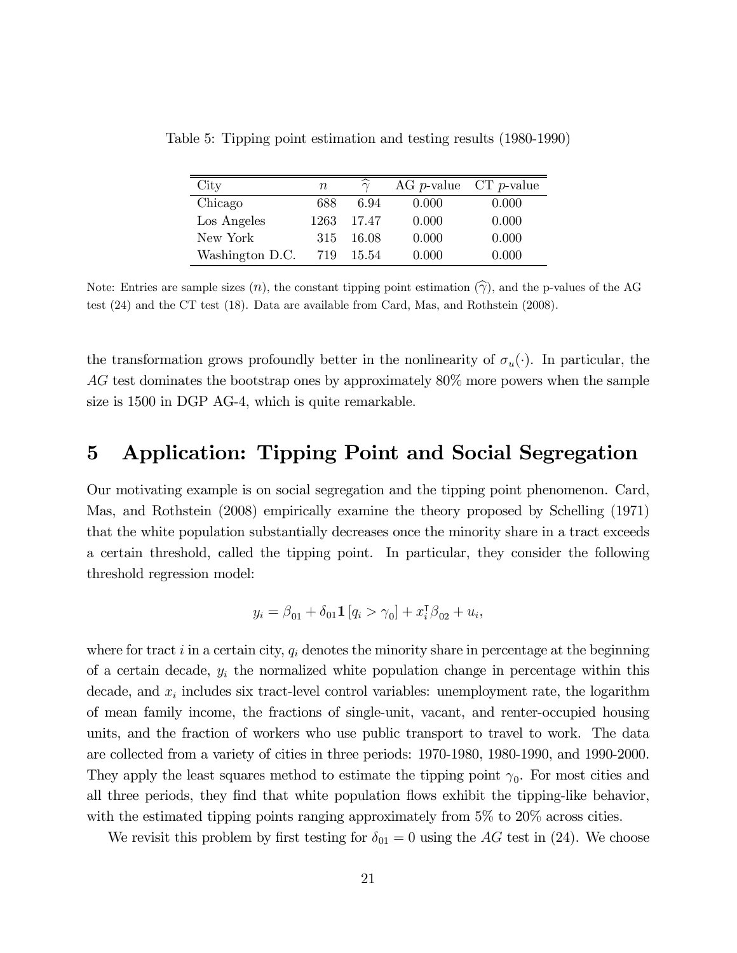| $\rm City$      | $\, n$ |       |       | AG $p$ -value $CT$ $p$ -value |
|-----------------|--------|-------|-------|-------------------------------|
| Chicago         | 688    | 6.94  | 0.000 | 0.000                         |
| Los Angeles     | 1263   | 17.47 | 0.000 | 0.000                         |
| New York        | 315    | 16.08 | 0.000 | 0.000                         |
| Washington D.C. | 719    | 15.54 | 0.000 | 0.000                         |

Table 5: Tipping point estimation and testing results (1980-1990)

Note: Entries are sample sizes  $(n)$ , the constant tipping point estimation  $(\widehat{\gamma})$ , and the p-values of the AG test (24) and the CT test (18). Data are available from Card, Mas, and Rothstein (2008).

the transformation grows profoundly better in the nonlinearity of  $\sigma_u(\cdot)$ . In particular, the  $AG$  test dominates the bootstrap ones by approximately  $80\%$  more powers when the sample size is 1500 in DGP AG-4, which is quite remarkable.

## 5 Application: Tipping Point and Social Segregation

Our motivating example is on social segregation and the tipping point phenomenon. Card, Mas, and Rothstein (2008) empirically examine the theory proposed by Schelling (1971) that the white population substantially decreases once the minority share in a tract exceeds a certain threshold, called the tipping point. In particular, they consider the following threshold regression model:

$$
y_i = \beta_{01} + \delta_{01} \mathbf{1} [q_i > \gamma_0] + x_i^{\mathsf{T}} \beta_{02} + u_i,
$$

where for tract  $i$  in a certain city,  $q_i$  denotes the minority share in percentage at the beginning of a certain decade,  $y_i$  the normalized white population change in percentage within this decade, and  $x_i$  includes six tract-level control variables: unemployment rate, the logarithm of mean family income, the fractions of single-unit, vacant, and renter-occupied housing units, and the fraction of workers who use public transport to travel to work. The data are collected from a variety of cities in three periods: 1970-1980, 1980-1990, and 1990-2000. They apply the least squares method to estimate the tipping point  $\gamma_0$ . For most cities and all three periods, they find that white population flows exhibit the tipping-like behavior, with the estimated tipping points ranging approximately from  $5\%$  to  $20\%$  across cities.

We revisit this problem by first testing for  $\delta_{01} = 0$  using the AG test in (24). We choose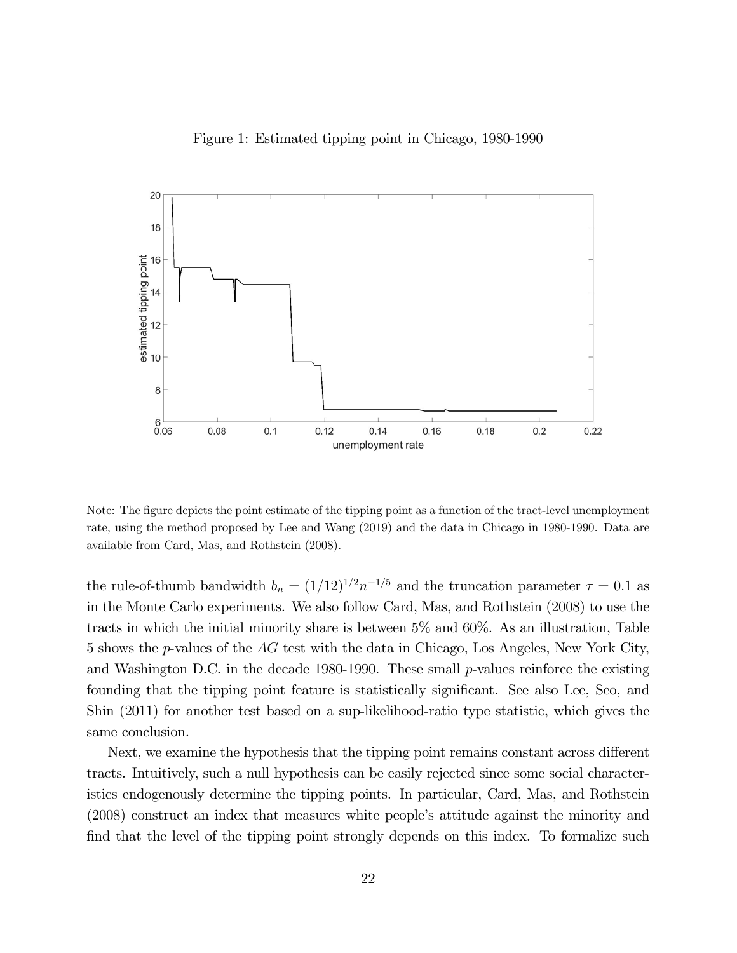



Note: The figure depicts the point estimate of the tipping point as a function of the tract-level unemployment rate, using the method proposed by Lee and Wang (2019) and the data in Chicago in 1980-1990. Data are available from Card, Mas, and Rothstein (2008).

the rule-of-thumb bandwidth  $b_n = (1/12)^{1/2} n^{-1/5}$  and the truncation parameter  $\tau = 0.1$  as in the Monte Carlo experiments. We also follow Card, Mas, and Rothstein (2008) to use the tracts in which the initial minority share is between 5% and 60%. As an illustration, Table 5 shows the  $p$ -values of the  $AG$  test with the data in Chicago, Los Angeles, New York City, and Washington D.C. in the decade 1980-1990. These small  $p$ -values reinforce the existing founding that the tipping point feature is statistically significant. See also Lee, Seo, and Shin (2011) for another test based on a sup-likelihood-ratio type statistic, which gives the same conclusion.

Next, we examine the hypothesis that the tipping point remains constant across different tracts. Intuitively, such a null hypothesis can be easily rejected since some social characteristics endogenously determine the tipping points. In particular, Card, Mas, and Rothstein (2008) construct an index that measures white people's attitude against the minority and find that the level of the tipping point strongly depends on this index. To formalize such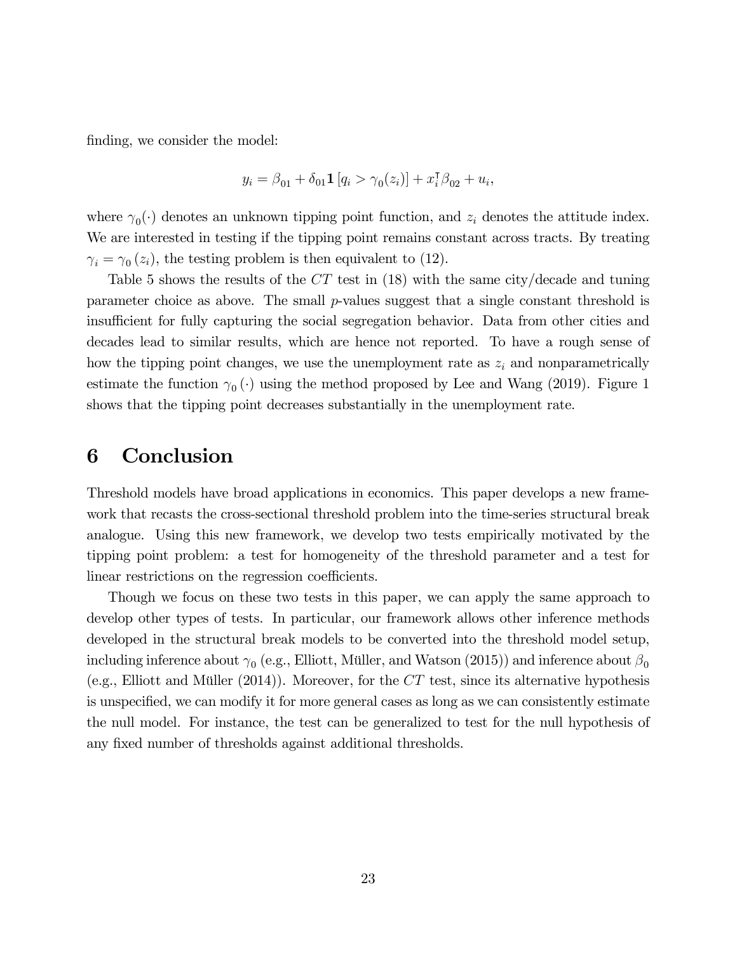finding, we consider the model:

$$
y_i = \beta_{01} + \delta_{01} \mathbf{1} [q_i > \gamma_0(z_i)] + x_i^{\mathsf{T}} \beta_{02} + u_i,
$$

where  $\gamma_0(\cdot)$  denotes an unknown tipping point function, and  $z_i$  denotes the attitude index. We are interested in testing if the tipping point remains constant across tracts. By treating  $\gamma_i = \gamma_0 (z_i)$ , the testing problem is then equivalent to (12).

Table 5 shows the results of the  $CT$  test in (18) with the same city/decade and tuning parameter choice as above. The small  $p$ -values suggest that a single constant threshold is insufficient for fully capturing the social segregation behavior. Data from other cities and decades lead to similar results, which are hence not reported. To have a rough sense of how the tipping point changes, we use the unemployment rate as  $z_i$  and nonparametrically estimate the function  $\gamma_0 (\cdot)$  using the method proposed by Lee and Wang (2019). Figure 1 shows that the tipping point decreases substantially in the unemployment rate.

## 6 Conclusion

Threshold models have broad applications in economics. This paper develops a new framework that recasts the cross-sectional threshold problem into the time-series structural break analogue. Using this new framework, we develop two tests empirically motivated by the tipping point problem: a test for homogeneity of the threshold parameter and a test for linear restrictions on the regression coefficients.

Though we focus on these two tests in this paper, we can apply the same approach to develop other types of tests. In particular, our framework allows other inference methods developed in the structural break models to be converted into the threshold model setup, including inference about  $\gamma_0$  (e.g., Elliott, Müller, and Watson (2015)) and inference about  $\beta_0$ (e.g., Elliott and Müller  $(2014)$ ). Moreover, for the  $CT$  test, since its alternative hypothesis is unspecified, we can modify it for more general cases as long as we can consistently estimate the null model. For instance, the test can be generalized to test for the null hypothesis of any fixed number of thresholds against additional thresholds.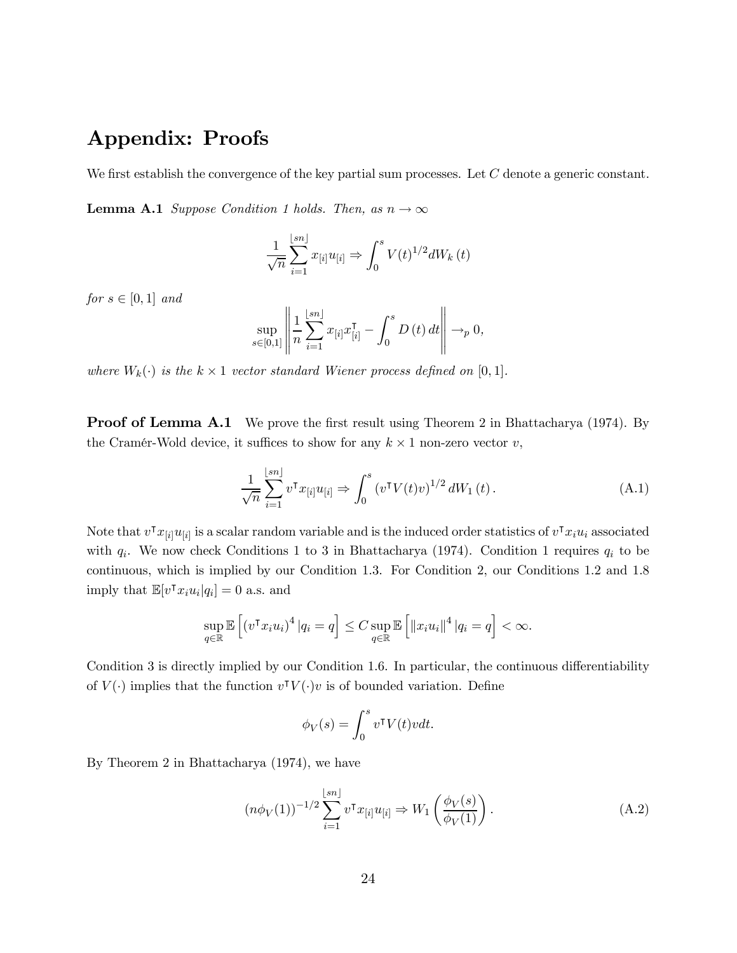# Appendix: Proofs

We first establish the convergence of the key partial sum processes. Let  $C$  denote a generic constant.

**Lemma A.1** Suppose Condition 1 holds. Then, as  $n \to \infty$ 

$$
\frac{1}{\sqrt{n}}\sum_{i=1}^{\lfloor sn \rfloor} x_{[i]}u_{[i]} \Rightarrow \int_0^s V(t)^{1/2}dW_k(t)
$$

for  $s \in [0,1]$  and

$$
\sup_{s\in[0,1]}\left\|\frac{1}{n}\sum_{i=1}^{\lfloor sn\rfloor}x_{[i]}x_{[i]}^{\intercal}-\int_{0}^{s}D\left(t\right)dt\right\|\to_{p} 0,
$$

where  $W_k(\cdot)$  is the  $k \times 1$  vector standard Wiener process defined on [0, 1].

**Proof of Lemma A.1** We prove the first result using Theorem 2 in Bhattacharya (1974). By the Cramér-Wold device, it suffices to show for any  $k \times 1$  non-zero vector v,

$$
\frac{1}{\sqrt{n}} \sum_{i=1}^{\lfloor sn \rfloor} v^{\mathsf{T}} x_{[i]} u_{[i]} \Rightarrow \int_0^s \left( v^{\mathsf{T}} V(t) v \right)^{1/2} dW_1(t) \,. \tag{A.1}
$$

Note that  $v^{\dagger} x_{[i]} u_{[i]}$  is a scalar random variable and is the induced order statistics of  $v^{\dagger} x_i u_i$  associated with  $q_i$ . We now check Conditions 1 to 3 in Bhattacharya (1974). Condition 1 requires  $q_i$  to be continuous, which is implied by our Condition 1.3. For Condition 2, our Conditions 1.2 and 1.8 imply that  $\mathbb{E}[v^{\intercal} x_i u_i | q_i] = 0$  a.s. and

$$
\sup_{q \in \mathbb{R}} \mathbb{E}\left[ \left( v^{\mathsf{T}} x_i u_i \right)^4 | q_i = q \right] \leq C \sup_{q \in \mathbb{R}} \mathbb{E}\left[ \left\| x_i u_i \right\|^4 | q_i = q \right] < \infty.
$$

Condition 3 is directly implied by our Condition 1.6. In particular, the continuous differentiability of  $V(\cdot)$  implies that the function  $v^{\intercal}V(\cdot)v$  is of bounded variation. Define

$$
\phi_V(s) = \int_0^s v^\intercal V(t)v dt.
$$

By Theorem 2 in Bhattacharya (1974), we have

$$
(n\phi_V(1))^{-1/2} \sum_{i=1}^{\lfloor sn \rfloor} v^\intercal x_{[i]} u_{[i]} \Rightarrow W_1 \left( \frac{\phi_V(s)}{\phi_V(1)} \right). \tag{A.2}
$$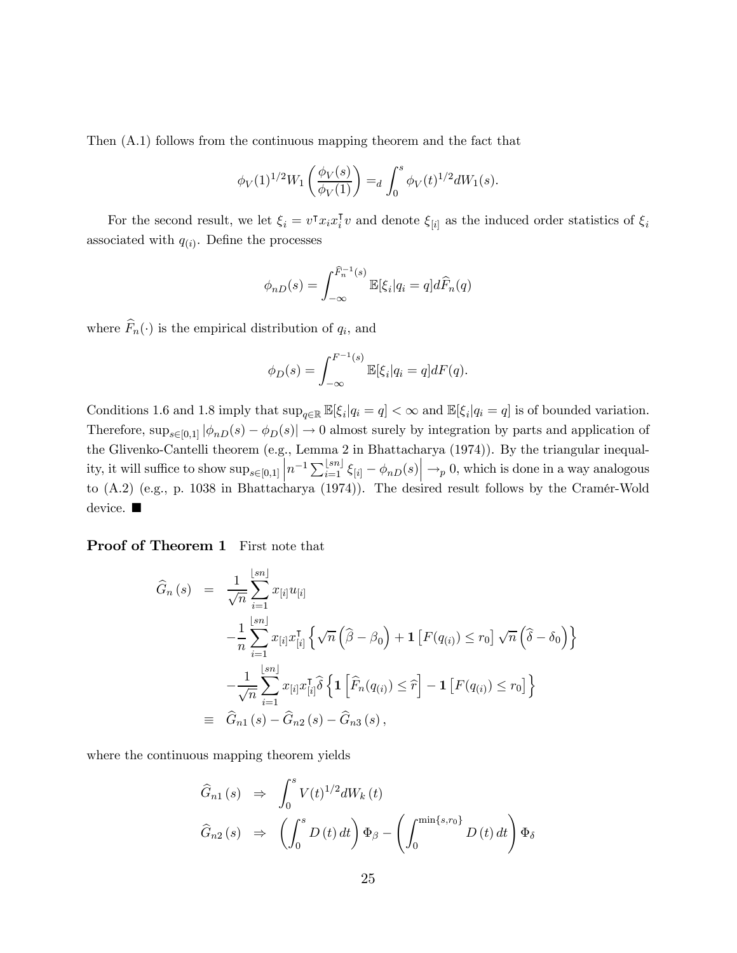Then (A.1) follows from the continuous mapping theorem and the fact that

$$
\phi_V(1)^{1/2} W_1\left(\frac{\phi_V(s)}{\phi_V(1)}\right) =_d \int_0^s \phi_V(t)^{1/2} dW_1(s).
$$

For the second result, we let  $\xi_i = v^{\dagger} x_i x_i^{\dagger} v$  and denote  $\xi_{[i]}$  as the induced order statistics of  $\xi_i$ associated with  $q(i)$ . Define the processes

$$
\phi_{nD}(s) = \int_{-\infty}^{\widehat{F}_n^{-1}(s)} \mathbb{E}[\xi_i] q_i = q] d\widehat{F}_n(q)
$$

where  $\widehat{F}_n(\cdot)$  is the empirical distribution of  $q_i$ , and

$$
\phi_D(s) = \int_{-\infty}^{F^{-1}(s)} \mathbb{E}[\xi_i] q_i = q] dF(q).
$$

Conditions 1.6 and 1.8 imply that  $\sup_{q\in\mathbb{R}} \mathbb{E}[\xi_i|q_i = q] < \infty$  and  $\mathbb{E}[\xi_i|q_i = q]$  is of bounded variation. Therefore,  $\sup_{s\in[0,1]}|\phi_{nD}(s)-\phi_D(s)|\to 0$  almost surely by integration by parts and application of the Glivenko-Cantelli theorem (e.g.,  $\overline{\phantom{a}}$ Lemma 2 in Bhattachary  $\begin{array}{c} \hline \end{array}$ a (1974)). By the triangular inequal ity, it will suffice to show  $\sup_{s\in[0,1]} \left| n^{-1} \sum_{i=1}^{\lfloor sn \rfloor} \xi_{[i]} - \phi_{n,D}(s) \right| \to_p 0$ , which is done in a way analogous to (A.2) (e.g., p. 1038 in Bhattacharya (1974)). The desired result follows by the Cramér-Wold device.  $\blacksquare$ 

Proof of Theorem 1 First note that

$$
\begin{split}\n\widehat{G}_{n}(s) &= \frac{1}{\sqrt{n}} \sum_{i=1}^{\lfloor sn \rfloor} x_{[i]} u_{[i]} \\
&\quad -\frac{1}{n} \sum_{i=1}^{\lfloor sn \rfloor} x_{[i]} x_{[i]}^{\mathsf{T}} \left\{ \sqrt{n} \left( \widehat{\beta} - \beta_{0} \right) + \mathbf{1} \left[ F(q_{(i)}) \le r_{0} \right] \sqrt{n} \left( \widehat{\delta} - \delta_{0} \right) \right\} \\
&\quad -\frac{1}{\sqrt{n}} \sum_{i=1}^{\lfloor sn \rfloor} x_{[i]} x_{[i]}^{\mathsf{T}} \widehat{\delta} \left\{ \mathbf{1} \left[ \widehat{F}_{n}(q_{(i)}) \le \widehat{r} \right] - \mathbf{1} \left[ F(q_{(i)}) \le r_{0} \right] \right\} \\
&\equiv \widehat{G}_{n1}(s) - \widehat{G}_{n2}(s) - \widehat{G}_{n3}(s),\n\end{split}
$$

where the continuous mapping theorem yields

$$
\widehat{G}_{n1}(s) \Rightarrow \int_0^s V(t)^{1/2} dW_k(t)
$$
  

$$
\widehat{G}_{n2}(s) \Rightarrow \left( \int_0^s D(t) dt \right) \Phi_\beta - \left( \int_0^{\min\{s, r_0\}} D(t) dt \right) \Phi_\delta
$$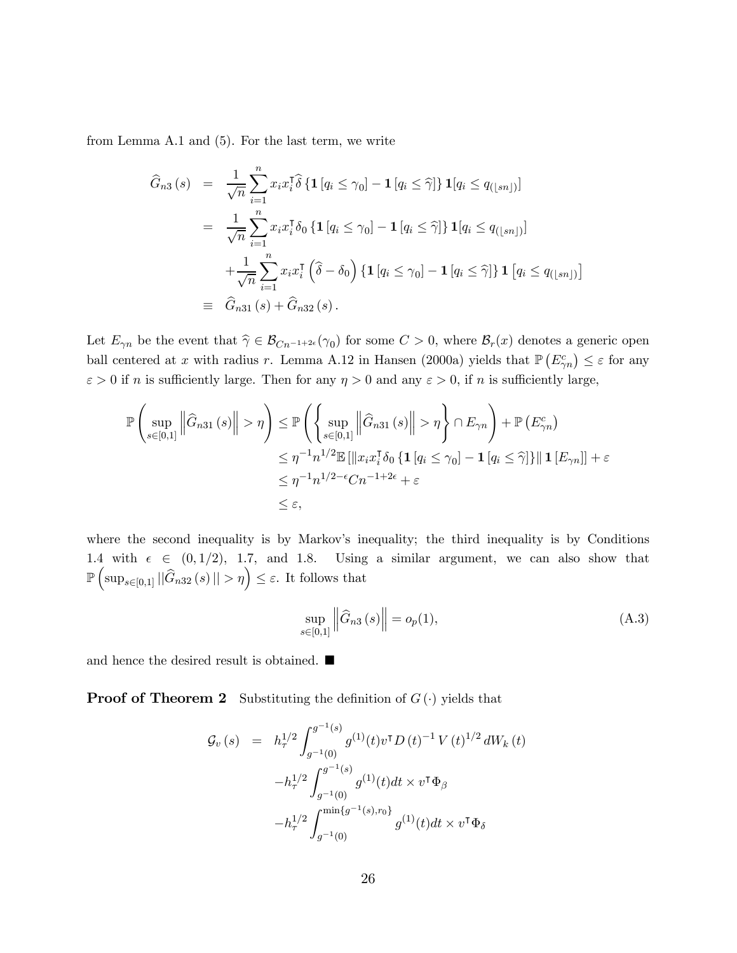from Lemma A.1 and (5). For the last term, we write

$$
\widehat{G}_{n3}(s) = \frac{1}{\sqrt{n}} \sum_{i=1}^{n} x_i x_i^{\mathsf{T}} \widehat{\delta} \{ \mathbf{1} [q_i \le \gamma_0] - \mathbf{1} [q_i \le \widehat{\gamma}] \} \mathbf{1} [q_i \le q_{\left(\lfloor sn \rfloor\right)}]
$$
\n
$$
= \frac{1}{\sqrt{n}} \sum_{i=1}^{n} x_i x_i^{\mathsf{T}} \delta_0 \{ \mathbf{1} [q_i \le \gamma_0] - \mathbf{1} [q_i \le \widehat{\gamma}] \} \mathbf{1} [q_i \le q_{\left(\lfloor sn \rfloor\right)}]
$$
\n
$$
+ \frac{1}{\sqrt{n}} \sum_{i=1}^{n} x_i x_i^{\mathsf{T}} \left( \widehat{\delta} - \delta_0 \right) \{ \mathbf{1} [q_i \le \gamma_0] - \mathbf{1} [q_i \le \widehat{\gamma}] \} \mathbf{1} [q_i \le q_{\left(\lfloor sn \rfloor\right)}]
$$
\n
$$
\equiv \widehat{G}_{n31}(s) + \widehat{G}_{n32}(s).
$$

Let  $E_{\gamma n}$  be the event that  $\hat{\gamma} \in \mathcal{B}_{Cn^{-1+2\epsilon}}(\gamma_0)$  for some  $C > 0$ , where  $\mathcal{B}_r(x)$  denotes a generic open ball centered at x with radius r. Lemma A.12 in Hansen (2000a) yields that  $\mathbb{P}(E_{\gamma n}^c) \leq \varepsilon$  for any  $\varepsilon > 0$  if *n* is sufficiently large. Then for any  $\eta > 0$  and any  $\varepsilon > 0$ , if *n* is sufficiently large,

$$
\mathbb{P}\left(\sup_{s\in[0,1]}\left\|\widehat{G}_{n31}(s)\right\| > \eta\right) \leq \mathbb{P}\left(\left\{\sup_{s\in[0,1]}\left\|\widehat{G}_{n31}(s)\right\| > \eta\right\} \cap E_{\gamma n}\right) + \mathbb{P}\left(E_{\gamma n}^c\right) \n\leq \eta^{-1}n^{1/2}\mathbb{E}\left[\|x_ix_i^{\intercal}\delta_0\left\{\mathbf{1}\left[q_i \leq \gamma_0\right] - \mathbf{1}\left[q_i \leq \widehat{\gamma}\right]\right\}\|\mathbf{1}\left[E_{\gamma n}\right]\right] + \varepsilon \n\leq \eta^{-1}n^{1/2-\epsilon}Cn^{-1+2\epsilon} + \varepsilon \n\leq \varepsilon,
$$

where the second inequality is by Markov's inequality; the third inequality is by Conditions 1.4 with  $\epsilon \in (0,1/2), 1.7,$  and 1.8. Using a similar argument, we can also show that  $\mathbb{P}\left(\sup_{s\in[0,1]}\|\widehat{G}_{n32}(s)\| > \eta\right) \leq \varepsilon$ . It follows that

$$
\sup_{s \in [0,1]} ||\hat{G}_{n3}(s)|| = o_p(1),
$$
\n(A.3)

and hence the desired result is obtained.  $\blacksquare$ 

**Proof of Theorem 2** Substituting the definition of  $G(\cdot)$  yields that

$$
\mathcal{G}_{v}(s) = h_{\tau}^{1/2} \int_{g^{-1}(0)}^{g^{-1}(s)} g^{(1)}(t) v^{\mathsf{T}} D(t)^{-1} V(t)^{1/2} dW_{k}(t)
$$

$$
-h_{\tau}^{1/2} \int_{g^{-1}(0)}^{g^{-1}(s)} g^{(1)}(t) dt \times v^{\mathsf{T}} \Phi_{\beta}
$$

$$
-h_{\tau}^{1/2} \int_{g^{-1}(0)}^{\min\{g^{-1}(s), r_{0}\}} g^{(1)}(t) dt \times v^{\mathsf{T}} \Phi_{\delta}
$$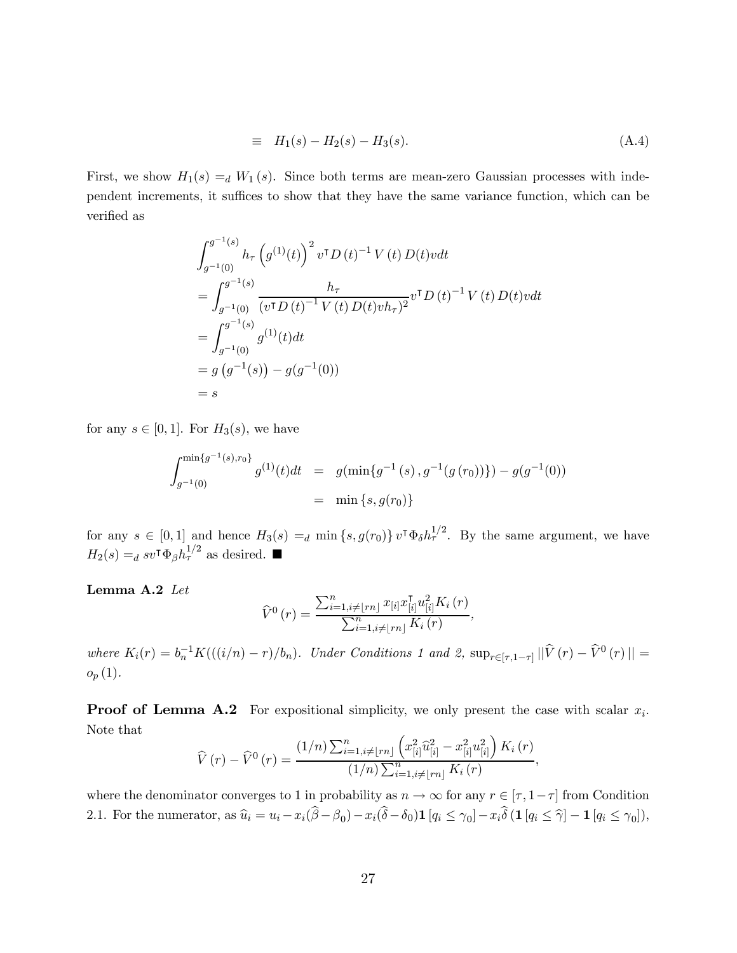$$
\equiv H_1(s) - H_2(s) - H_3(s). \tag{A.4}
$$

First, we show  $H_1(s) =_d W_1(s)$ . Since both terms are mean-zero Gaussian processes with independent increments, it suffices to show that they have the same variance function, which can be verified as

$$
\int_{g^{-1}(0)}^{g^{-1}(s)} h_{\tau} \left( g^{(1)}(t) \right)^{2} v^{\mathsf{T}} D(t)^{-1} V(t) D(t) v dt
$$
  
\n
$$
= \int_{g^{-1}(0)}^{g^{-1}(s)} \frac{h_{\tau}}{(v^{\mathsf{T}} D(t)^{-1} V(t) D(t) v h_{\tau})^{2}} v^{\mathsf{T}} D(t)^{-1} V(t) D(t) v dt
$$
  
\n
$$
= \int_{g^{-1}(0)}^{g^{-1}(s)} g^{(1)}(t) dt
$$
  
\n
$$
= g \left( g^{-1}(s) \right) - g(g^{-1}(0))
$$
  
\n
$$
= s
$$

for any  $s \in [0,1]$ . For  $H_3(s)$ , we have

$$
\int_{g^{-1}(0)}^{\min\{g^{-1}(s),r_0\}} g^{(1)}(t)dt = g(\min\{g^{-1}(s), g^{-1}(g(r_0))\}) - g(g^{-1}(0))
$$
  
=  $\min\{s, g(r_0)\}$ 

for any  $s \in [0,1]$  and hence  $H_3(s) =_d \min\{s, g(r_0)\} v^{\dagger} \Phi_\delta h_\tau^{1/2}$ . By the same argument, we have  $H_2(s) =_d sv^{\dagger} \Phi_{\beta} h_{\tau}^{1/2}$  as desired.

Lemma A.2 Let

$$
\widehat{V}^{0}(r) = \frac{\sum_{i=1, i \neq \lfloor rn \rfloor}^{n} x_{[i]} x_{[i]}^{T} u_{[i]}^{2} K_{i}(r)}{\sum_{i=1, i \neq \lfloor rn \rfloor}^{n} K_{i}(r)},
$$

where  $K_i(r) = b_n^{-1} K(((i/n) - r)/b_n)$ . Under Conditions 1 and 2,  $\sup_{r \in [\tau, 1-\tau]} || \hat{V}(r) - \hat{V}^0(r) || =$  $o_p(1)$ .

**Proof of Lemma A.2** For expositional simplicity, we only present the case with scalar  $x_i$ . Note that ³

$$
\widehat{V}(r) - \widehat{V}^{0}(r) = \frac{(1/n) \sum_{i=1, i \neq \lfloor rn \rfloor}^{n} \left( x_{[i]}^{2} \widehat{u}_{[i]}^{2} - x_{[i]}^{2} u_{[i]}^{2} \right) K_{i}(r)}{(1/n) \sum_{i=1, i \neq \lfloor rn \rfloor}^{n} K_{i}(r)},
$$

where the denominator converges to 1 in probability as  $n \to \infty$  for any  $r \in [\tau, 1 - \tau]$  from Condition 2.1. For the numerator, as  $\hat{u}_i = u_i - x_i(\hat{\beta} - \beta_0) - x_i(\hat{\delta} - \delta_0) \mathbf{1} [q_i \leq \gamma_0] - x_i \hat{\delta} (\mathbf{1} [q_i \leq \hat{\gamma}] - \mathbf{1} [q_i \leq \gamma_0]),$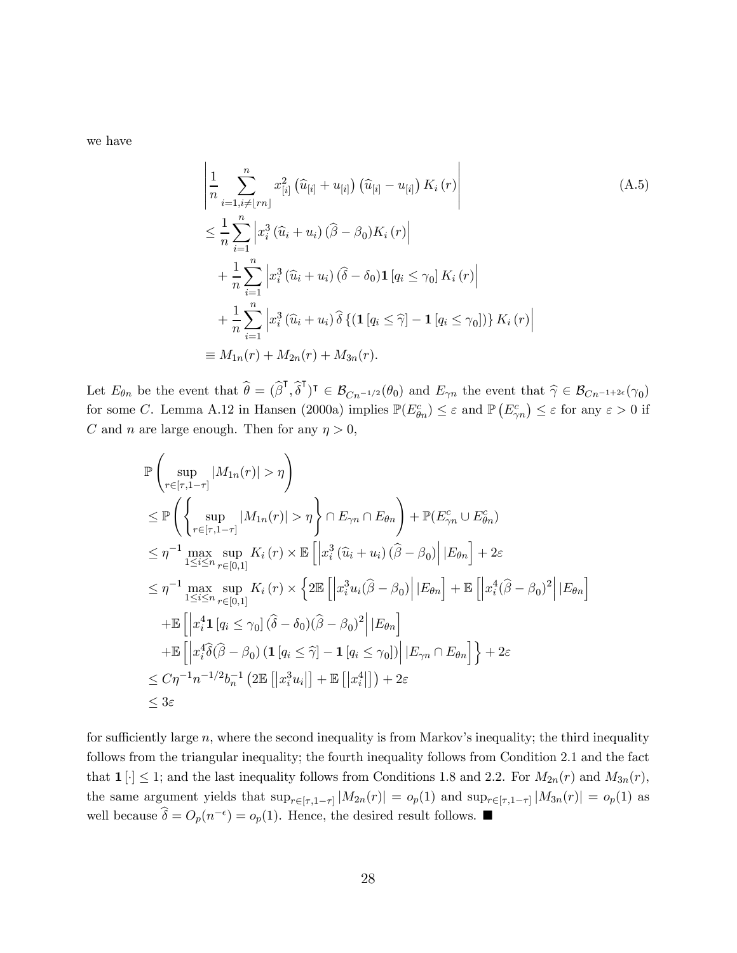we have

$$
\begin{split}\n&\left|\frac{1}{n}\sum_{i=1, i\neq [rn]}^{n} x_{[i]}^{2} \left(\hat{u}_{[i]} + u_{[i]}\right) \left(\hat{u}_{[i]} - u_{[i]}\right) K_{i}(r)\right| \\
&\leq \frac{1}{n}\sum_{i=1}^{n} \left|x_{i}^{3} \left(\hat{u}_{i} + u_{i}\right) \left(\hat{\beta} - \beta_{0}\right) K_{i}(r)\right| \\
&+ \frac{1}{n}\sum_{i=1}^{n} \left|x_{i}^{3} \left(\hat{u}_{i} + u_{i}\right) \left(\hat{\delta} - \delta_{0}\right) \mathbf{1}\left[q_{i} \leq \gamma_{0}\right] K_{i}(r)\right| \\
&+ \frac{1}{n}\sum_{i=1}^{n} \left|x_{i}^{3} \left(\hat{u}_{i} + u_{i}\right) \hat{\delta}\left\{\left(\mathbf{1}\left[q_{i} \leq \hat{\gamma}\right] - \mathbf{1}\left[q_{i} \leq \gamma_{0}\right]\right)\right\} K_{i}(r)\right| \\
&\equiv M_{1n}(r) + M_{2n}(r) + M_{3n}(r).\n\end{split}
$$
\n(A.5)

Let  $E_{\theta n}$  be the event that  $\widehat{\theta} = (\widehat{\beta}^{\mathsf{T}}, \widehat{\delta}^{\mathsf{T}})^{\mathsf{T}} \in \mathcal{B}_{Cn^{-1/2}}(\theta_0)$  and  $E_{\gamma n}$  the event that  $\widehat{\gamma} \in \mathcal{B}_{Cn^{-1+2\epsilon}}(\gamma_0)$ Let  $E_{\theta n}$  be the event that  $\sigma = (\rho_0, \sigma_-) \in \mathcal{B}_{Cn^{-1/2}}(\sigma_0)$  and  $E_{\gamma n}$  the event that  $\gamma \in \mathcal{B}_{Cn^{-1+2\epsilon}}(\gamma_0)$  for some C. Lemma A.12 in Hansen (2000a) implies  $\mathbb{P}(E_{\theta n}^c) \leq \varepsilon$  and  $\mathbb{P}(E_{\gamma n}^c) \leq \vare$ C and n are large enough. Then for any  $\eta > 0$ ,

$$
\mathbb{P}\left(\sup_{r\in[\tau,1-\tau]}|M_{1n}(r)|>\eta\right)
$$
\n
$$
\leq \mathbb{P}\left(\left\{\sup_{r\in[\tau,1-\tau]}|M_{1n}(r)|>\eta\right\}\cap E_{\gamma n}\cap E_{\theta n}\right)+\mathbb{P}(E_{\gamma n}^c\cup E_{\theta n}^c)
$$
\n
$$
\leq \eta^{-1}\max_{1\leq i\leq n}\sup_{r\in[0,1]}K_i(r)\times\mathbb{E}\left[\left|x_i^3(\hat{u}_i+u_i)(\hat{\beta}-\beta_0)\right||E_{\theta n}\right]+2\varepsilon
$$
\n
$$
\leq \eta^{-1}\max_{1\leq i\leq n}\sup_{r\in[0,1]}K_i(r)\times\left\{2\mathbb{E}\left[\left|x_i^3u_i(\hat{\beta}-\beta_0)\right||E_{\theta n}\right]+\mathbb{E}\left[\left|x_i^4(\hat{\beta}-\beta_0)^2\right||E_{\theta n}\right]\right.
$$
\n
$$
+\mathbb{E}\left[\left|x_i^4\mathbf{1}\left[q_i\leq\gamma_0\right](\hat{\delta}-\delta_0)(\hat{\beta}-\beta_0)^2\right||E_{\theta n}\right]
$$
\n
$$
+\mathbb{E}\left[\left|x_i^4\hat{\delta}(\hat{\beta}-\beta_0)(1\left[q_i\leq\hat{\gamma}\right]-1\left[q_i\leq\gamma_0\right]\right||E_{\gamma n}\cap E_{\theta n}\right]\right\}+2\varepsilon
$$
\n
$$
\leq C\eta^{-1}n^{-1/2}b_n^{-1}\left(2\mathbb{E}\left[\left|x_i^3u_i\right|\right]+\mathbb{E}\left[\left|x_i^4\right|\right]\right)+2\varepsilon
$$
\n
$$
\leq 3\varepsilon
$$

for sufficiently large  $n$ , where the second inequality is from Markov's inequality; the third inequality follows from the triangular inequality; the fourth inequality follows from Condition 2.1 and the fact that  $1[\cdot] \leq 1$ ; and the last inequality follows from Conditions 1.8 and 2.2. For  $M_{2n}(r)$  and  $M_{3n}(r)$ , the same argument yields that  $\sup_{r \in [\tau, 1-\tau]} |M_{2n}(r)| = o_p(1)$  and  $\sup_{r \in [\tau, 1-\tau]} |M_{3n}(r)| = o_p(1)$  as well because  $\hat{\delta} = O_p(n^{-\epsilon}) = o_p(1)$ . Hence, the desired result follows.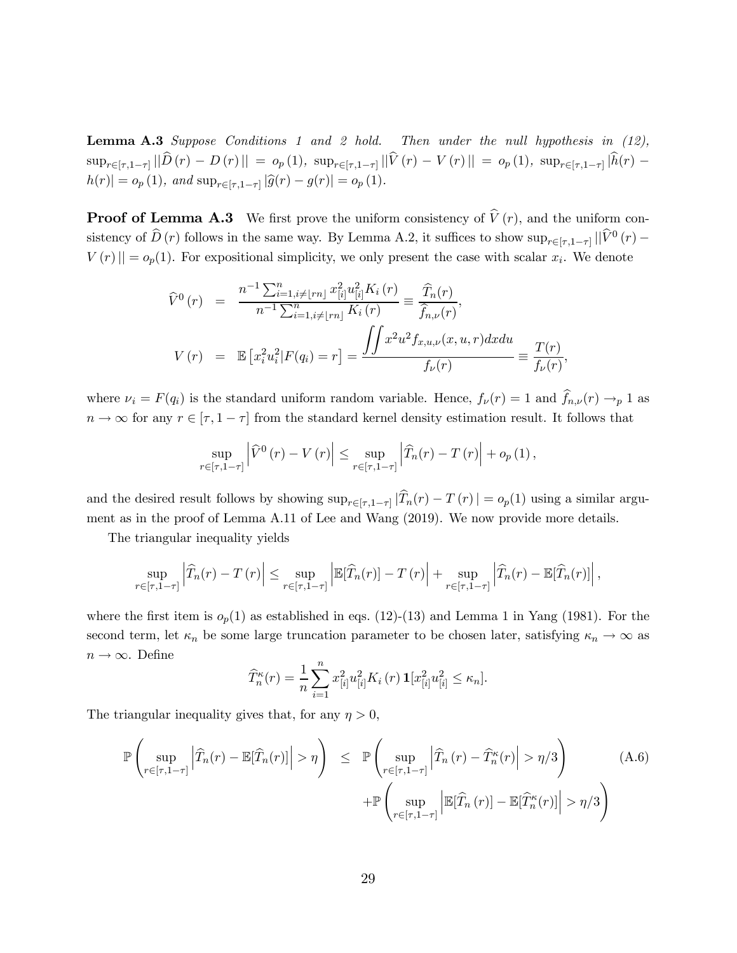**Lemma A.3** Suppose Conditions 1 and 2 hold. Then under the null hypothesis in  $(12)$ ,  $\sup\nolimits_{r\in [\tau,1-\tau]}\|\hat{D}\left(r\right)\,-\,D\left(r\right)\|\,=\, o_p\left(1\right),\,\,\sup\nolimits_{r\in [\tau,1-\tau]}\|\hat{V}\left(r\right)\,-\,V\left(r\right)\|\,=\, o_p\left(1\right),\,\,\sup\nolimits_{r\in [\tau,1-\tau]}\|\hat{h}\left(r\right)\,-\,D\left(r\right)\|$  $|h(r)| = o_p(1)$ , and  $\sup_{r \in [\tau, 1-\tau]} |\widehat{g}(r) - g(r)| = o_p(1)$ .

**Proof of Lemma A.3** We first prove the uniform consistency of  $\hat{V}(r)$ , and the uniform consistency of  $\hat{D}(r)$  follows in the same way. By Lemma A.2, it suffices to show  $\sup_{r\in[\tau,1-\tau]}||\hat{V}^0(r) ||V(r)|| = o_p(1)$ . For expositional simplicity, we only present the case with scalar  $x_i$ . We denote

$$
\widehat{V}^0(r) = \frac{n^{-1} \sum_{i=1, i \neq \lfloor rn \rfloor}^n x_{[i]}^2 u_{[i]}^2 K_i(r)}{n^{-1} \sum_{i=1, i \neq \lfloor rn \rfloor}^n K_i(r)} \equiv \frac{\widehat{T}_n(r)}{\widehat{f}_{n,\nu}(r)},
$$
\n
$$
V(r) = \mathbb{E} \left[ x_i^2 u_i^2 | F(q_i) = r \right] = \frac{\iint x^2 u^2 f_{x,u,\nu}(x, u, r) dx du}{f_{\nu}(r)} \equiv \frac{T(r)}{f_{\nu}(r)},
$$

where  $\nu_i = F(q_i)$  is the standard uniform random variable. Hence,  $f_{\nu}(r) = 1$  and  $f_{n,\nu}(r) \rightarrow_p 1$  as  $n \to \infty$  for any  $r \in [\tau, 1 - \tau]$  from the standard kernel density estimation result. It follows that

$$
\sup_{r \in [\tau, 1-\tau]} \left| \widehat{V}^0(r) - V(r) \right| \leq \sup_{r \in [\tau, 1-\tau]} \left| \widehat{T}_n(r) - T(r) \right| + o_p(1),
$$

and the desired result follows by showing  $\sup_{r\in[\tau,1-\tau]}|\widehat{T}_n(r)-T(r)| = o_p(1)$  using a similar argument as in the proof of Lemma A.11 of Lee and Wang (2019). We now provide more details.

The triangular inequality yields

$$
\sup_{r \in [\tau, 1-\tau]} \left| \widehat{T}_n(r) - T(r) \right| \leq \sup_{r \in [\tau, 1-\tau]} \left| \mathbb{E}[\widehat{T}_n(r)] - T(r) \right| + \sup_{r \in [\tau, 1-\tau]} \left| \widehat{T}_n(r) - \mathbb{E}[\widehat{T}_n(r)] \right|,
$$

where the first item is  $o_p(1)$  as established in eqs. (12)-(13) and Lemma 1 in Yang (1981). For the second term, let  $\kappa_n$  be some large truncation parameter to be chosen later, satisfying  $\kappa_n \to \infty$  as  $n \to \infty$ . Define

$$
\widehat{T}_{n}^{\kappa}(r) = \frac{1}{n} \sum_{i=1}^{n} x_{[i]}^{2} u_{[i]}^{2} K_{i}(r) \mathbf{1}[x_{[i]}^{2} u_{[i]}^{2} \leq \kappa_{n}].
$$

The triangular inequality gives that, for any  $\eta > 0$ ,

$$
\mathbb{P}\left(\sup_{r\in[\tau,1-\tau]}\left|\widehat{T}_n(r)-\mathbb{E}[\widehat{T}_n(r)]\right|>\eta\right) \leq \mathbb{P}\left(\sup_{r\in[\tau,1-\tau]}\left|\widehat{T}_n(r)-\widehat{T}_n^{\kappa}(r)\right|>\eta/3\right) \qquad (A.6)
$$

$$
+\mathbb{P}\left(\sup_{r\in[\tau,1-\tau]}\left|\mathbb{E}[\widehat{T}_n(r)]-\mathbb{E}[\widehat{T}_n^{\kappa}(r)]\right|>\eta/3\right)
$$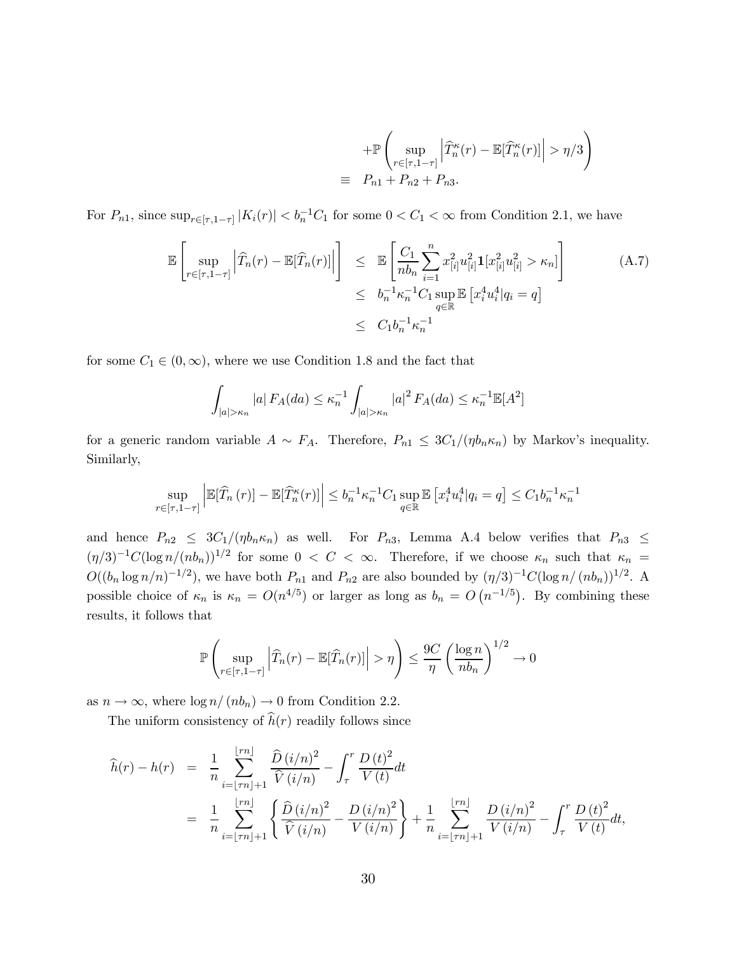$$
+\mathbb{P}\left(\sup_{r\in[\tau,1-\tau]}\left|\widehat{T}_{n}^{\kappa}(r)-\mathbb{E}[\widehat{T}_{n}^{\kappa}(r)]\right|>\eta/3\right)
$$
  

$$
\equiv P_{n1}+P_{n2}+P_{n3}.
$$

For  $P_{n1}$ , since  $\sup_{r \in [\tau, 1-\tau]} |K_i(r)| < b_n^{-1}C_1$  for some  $0 < C_1 < \infty$  from Condition 2.1, we have

$$
\mathbb{E}\left[\sup_{r\in[\tau,1-\tau]}\left|\widehat{T}_n(r)-\mathbb{E}[\widehat{T}_n(r)]\right|\right] \leq \mathbb{E}\left[\frac{C_1}{nb_n}\sum_{i=1}^n x_{[i]}^2 u_{[i]}^2 \mathbf{1}[x_{[i]}^2 u_{[i]}^2 > \kappa_n]\right] \leq b_n^{-1} \kappa_n^{-1} C_1 \sup_{q\in\mathbb{R}} \mathbb{E}\left[x_i^4 u_i^4 | q_i = q\right] \leq C_1 b_n^{-1} \kappa_n^{-1}
$$
\n(A.7)

for some  $C_1 \in (0, \infty)$ , where we use Condition 1.8 and the fact that

$$
\int_{|a|>\kappa_n} |a| F_A(da) \le \kappa_n^{-1} \int_{|a|>\kappa_n} |a|^2 F_A(da) \le \kappa_n^{-1} \mathbb{E}[A^2]
$$

for a generic random variable  $A \sim F_A$ . Therefore,  $P_{n1} \leq 3C_1/(\eta b_n \kappa_n)$  by Markov's inequality. Similarly,

$$
\sup_{r \in [\tau, 1 - \tau]} \left| \mathbb{E}[\widehat{T}_n(r)] - \mathbb{E}[\widehat{T}_n^{\kappa}(r)] \right| \le b_n^{-1} \kappa_n^{-1} C_1 \sup_{q \in \mathbb{R}} \mathbb{E} \left[ x_i^4 u_i^4 | q_i = q \right] \le C_1 b_n^{-1} \kappa_n^{-1}
$$

and hence  $P_{n2} \leq 3C_1/(\eta b_n \kappa_n)$  as well. For  $P_{n3}$ , Lemma A.4 below verifies that  $P_{n3} \leq$  $(\eta/3)^{-1}C(\log n/(nb_n))^{1/2}$  for some  $0 < C < \infty$ . Therefore, if we choose  $\kappa_n$  such that  $\kappa_n =$  $O((b_n \log n/n)^{-1/2})$ , we have both  $P_{n1}$  and  $P_{n2}$  are also bounded by  $(\eta/3)^{-1}C(\log n/(nb_n))^{1/2}$ . A  $O((b_n \log n/n)^{-1/2})$ , we have both  $P_{n1}$  and  $P_{n2}$  are also bounded by  $(\eta/3)^{-1}C(\log n/ (n b_n))^{-1/2}$ . A possible choice of  $\kappa_n$  is  $\kappa_n = O(n^{4/5})$  or larger as long as  $b_n = O(n^{-1/5})$ . By combining these results, it follows that

$$
\mathbb{P}\left(\sup_{r\in[\tau,1-\tau]}\left|\widehat{T}_n(r)-\mathbb{E}[\widehat{T}_n(r)]\right|>\eta\right)\leq \frac{9C}{\eta}\left(\frac{\log n}{nb_n}\right)^{1/2}\to 0
$$

as  $n \to \infty$ , where  $\log n/(nb_n) \to 0$  from Condition 2.2.

The uniform consistency of  $h(r)$  readily follows since

$$
\widehat{h}(r) - h(r) = \frac{1}{n} \sum_{i=\lfloor \tau n \rfloor + 1}^{\lfloor \tau n \rfloor} \frac{\widehat{D}(i/n)^2}{\widehat{V}(i/n)} - \int_{\tau}^r \frac{D(t)^2}{V(t)} dt \n= \frac{1}{n} \sum_{i=\lfloor \tau n \rfloor + 1}^{\lfloor \tau n \rfloor} \left\{ \frac{\widehat{D}(i/n)^2}{\widehat{V}(i/n)} - \frac{D(i/n)^2}{V(i/n)} \right\} + \frac{1}{n} \sum_{i=\lfloor \tau n \rfloor + 1}^{\lfloor \tau n \rfloor} \frac{D(i/n)^2}{V(i/n)} - \int_{\tau}^r \frac{D(t)^2}{V(t)} dt,
$$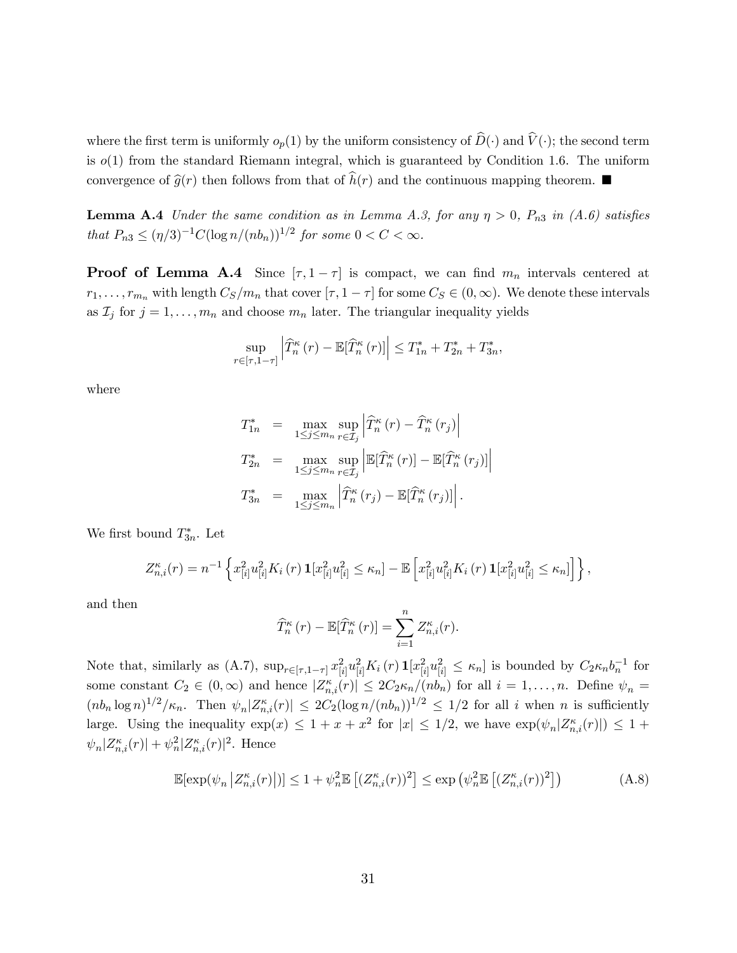where the first term is uniformly  $o_p(1)$  by the uniform consistency of  $\widehat{D}(\cdot)$  and  $\widehat{V}(\cdot)$ ; the second term is  $o(1)$  from the standard Riemann integral, which is guaranteed by Condition 1.6. The uniform convergence of  $\widehat{g}(r)$  then follows from that of  $h(r)$  and the continuous mapping theorem.

**Lemma A.4** Under the same condition as in Lemma A.3, for any  $\eta > 0$ ,  $P_{n3}$  in (A.6) satisfies that  $P_{n3} \leq (\eta/3)^{-1} C (\log n/(n b_n))^{1/2}$  for some  $0 < C < \infty$ .

**Proof of Lemma A.4** Since  $[\tau, 1 - \tau]$  is compact, we can find  $m_n$  intervals centered at  $r_1, \ldots, r_{m_n}$  with length  $C_S/m_n$  that cover  $[\tau, 1 - \tau]$  for some  $C_S \in (0, \infty)$ . We denote these intervals as  $\mathcal{I}_j$  for  $j = 1, \ldots, m_n$  and choose  $m_n$  later. The triangular inequality yields

$$
\sup_{r \in [\tau, 1-\tau]} \left| \widehat{T}_n^{\kappa}(r) - \mathbb{E}[\widehat{T}_n^{\kappa}(r)] \right| \le T_{1n}^* + T_{2n}^* + T_{3n}^*,
$$

where

$$
T_{1n}^{*} = \max_{1 \leq j \leq m_n} \sup_{r \in \mathcal{I}_j} \left| \widehat{T}_n^{\kappa}(r) - \widehat{T}_n^{\kappa}(r_j) \right|
$$
  
\n
$$
T_{2n}^{*} = \max_{1 \leq j \leq m_n} \sup_{r \in \mathcal{I}_j} \left| \mathbb{E}[\widehat{T}_n^{\kappa}(r)] - \mathbb{E}[\widehat{T}_n^{\kappa}(r_j)] \right|
$$
  
\n
$$
T_{3n}^{*} = \max_{1 \leq j \leq m_n} \left| \widehat{T}_n^{\kappa}(r_j) - \mathbb{E}[\widehat{T}_n^{\kappa}(r_j)] \right|.
$$

We first bound  $T_{3n}^*$ . Let

$$
Z_{n,i}^{\kappa}(r) = n^{-1} \left\{ x_{[i]}^2 u_{[i]}^2 K_i(r) \mathbf{1}[x_{[i]}^2 u_{[i]}^2 \le \kappa_n] - \mathbb{E} \left[ x_{[i]}^2 u_{[i]}^2 K_i(r) \mathbf{1}[x_{[i]}^2 u_{[i]}^2 \le \kappa_n] \right] \right\},\,
$$

and then

$$
\widehat{T}_{n}^{\kappa}(r) - \mathbb{E}[\widehat{T}_{n}^{\kappa}(r)] = \sum_{i=1}^{n} Z_{n,i}^{\kappa}(r).
$$

Note that, similarly as  $(A.7)$ ,  $\sup_{r \in [\tau, 1-\tau]} x_{[i]}^2 u_{[i]}^2 K_i(r) \mathbf{1}[x_{[i]}^2 u_{[i]}^2 \leq \kappa_n]$  is bounded by  $C_2 \kappa_n b_n^{-1}$  for some constant  $C_2 \in (0, \infty)$  and hence  $|Z_{n,i}^{\kappa}(r)| \leq 2C_2 \kappa_n/(nb_n)$  for all  $i = 1, \ldots, n$ . Define  $\psi_n =$  $(n b_n \log n)^{1/2}/\kappa_n$ . Then  $\psi_n |Z_{n,i}^{\kappa}(r)| \leq 2C_2(\log n/(n b_n))^{1/2} \leq 1/2$  for all *i* when *n* is sufficiently large. Using the inequality  $\exp(x) \leq 1 + x + x^2$  for  $|x| \leq 1/2$ , we have  $\exp(\psi_n | Z_{n,i}^{\kappa}(r)) \leq 1 +$  $\psi_n | Z_{n,i}^{\kappa}(r) | + \psi_n^2 | Z_{n,i}^{\kappa}(r) |^2$ . Hence

$$
\mathbb{E}[\exp(\psi_n \left| Z_{n,i}^{\kappa}(r) \right|)] \le 1 + \psi_n^2 \mathbb{E}\left[ (Z_{n,i}^{\kappa}(r))^2 \right] \le \exp\left(\psi_n^2 \mathbb{E}\left[ (Z_{n,i}^{\kappa}(r))^2 \right] \right) \tag{A.8}
$$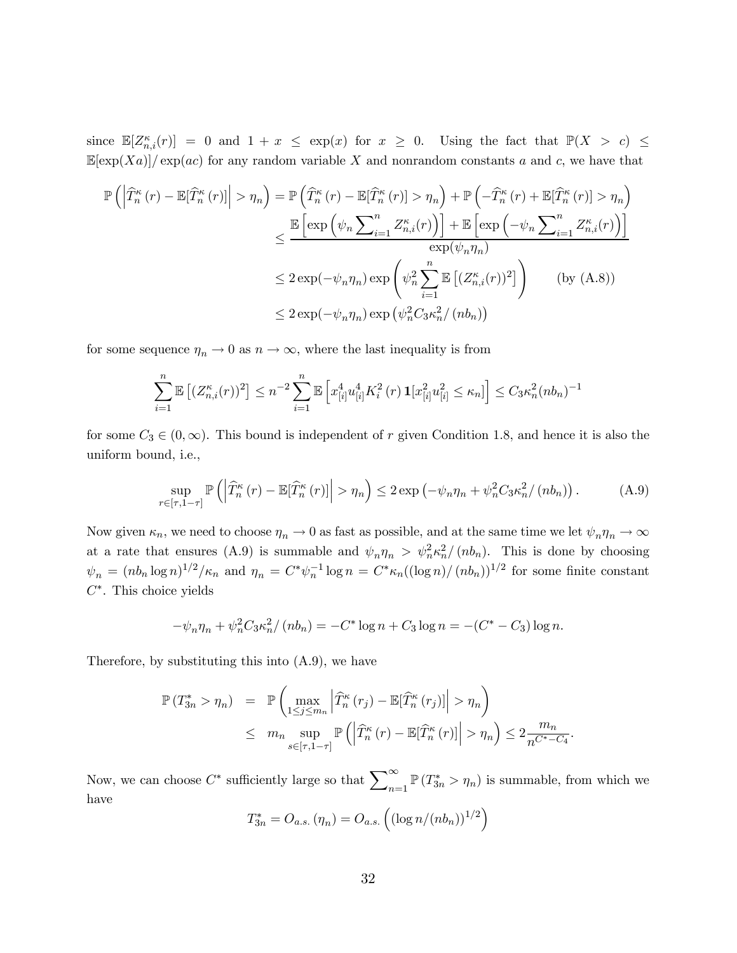since  $\mathbb{E}[Z_{n,i}^{\kappa}(r)] = 0$  and  $1 + x \leq \exp(x)$  for  $x \geq 0$ . Using the fact that  $\mathbb{P}(X > c) \leq$  $\mathbb{E}[\exp(Xa)] / \exp(ac)$  for any random variable X and nonrandom constants a and c, we have that

$$
\mathbb{P}\left(\left|\widehat{T}_{n}^{\kappa}(r)-\mathbb{E}[\widehat{T}_{n}^{\kappa}(r)]\right|> \eta_{n}\right) = \mathbb{P}\left(\widehat{T}_{n}^{\kappa}(r)-\mathbb{E}[\widehat{T}_{n}^{\kappa}(r)]> \eta_{n}\right) + \mathbb{P}\left(-\widehat{T}_{n}^{\kappa}(r)+\mathbb{E}[\widehat{T}_{n}^{\kappa}(r)]> \eta_{n}\right)
$$
\n
$$
\leq \frac{\mathbb{E}\left[\exp\left(\psi_{n}\sum_{i=1}^{n}Z_{n,i}^{\kappa}(r)\right)\right] + \mathbb{E}\left[\exp\left(-\psi_{n}\sum_{i=1}^{n}Z_{n,i}^{\kappa}(r)\right)\right]}{\exp(\psi_{n}\eta_{n})}
$$
\n
$$
\leq 2\exp(-\psi_{n}\eta_{n})\exp\left(\psi_{n}^{2}\sum_{i=1}^{n}\mathbb{E}\left[(Z_{n,i}^{\kappa}(r))^{2}\right]\right) \qquad \text{(by (A.8))}
$$
\n
$$
\leq 2\exp(-\psi_{n}\eta_{n})\exp(\psi_{n}^{2}C_{3}\kappa_{n}^{2}/\left(nb_{n}\right))
$$

for some sequence  $\eta_n \to 0$  as  $n \to \infty$ , where the last inequality is from

$$
\sum_{i=1}^{n} \mathbb{E} \left[ (Z_{n,i}^{\kappa}(r))^2 \right] \leq n^{-2} \sum_{i=1}^{n} \mathbb{E} \left[ x_{[i]}^4 u_{[i]}^4 K_i^2(r) \mathbf{1} [x_{[i]}^2 u_{[i]}^2 \leq \kappa_n \right] \right] \leq C_3 \kappa_n^2 (n b_n)^{-1}
$$

for some  $C_3 \in (0,\infty)$ . This bound is independent of r given Condition 1.8, and hence it is also the uniform bound, i.e.,

$$
\sup_{r \in [\tau, 1-\tau]} \mathbb{P}\left( \left| \widehat{T}_n^{\kappa}(r) - \mathbb{E}[\widehat{T}_n^{\kappa}(r)] \right| > \eta_n \right) \le 2 \exp\left( -\psi_n \eta_n + \psi_n^2 C_3 \kappa_n^2 / (nb_n) \right). \tag{A.9}
$$

Now given  $\kappa_n$ , we need to choose  $\eta_n \to 0$  as fast as possible, and at the same time we let  $\psi_n \eta_n \to \infty$ at a rate that ensures (A.9) is summable and  $\psi_n \eta_n > \psi_n^2 \kappa_n^2/(nb_n)$ . This is done by choosing  $\psi_n = (nb_n \log n)^{1/2}/\kappa_n$  and  $\eta_n = C^* \psi_n^{-1} \log n = C^* \kappa_n ((\log n)/(nb_n))^{1/2}$  for some finite constant  $C^*$ . This choice yields

$$
-\psi_n \eta_n + \psi_n^2 C_3 \kappa_n^2 / (nb_n) = -C^* \log n + C_3 \log n = -(C^* - C_3) \log n.
$$

Therefore, by substituting this into (A.9), we have

$$
\mathbb{P}(T_{3n}^* > \eta_n) = \mathbb{P}\left(\max_{1 \le j \le m_n} \left| \widehat{T}_n^{\kappa}(r_j) - \mathbb{E}[\widehat{T}_n^{\kappa}(r_j)] \right| > \eta_n\right)
$$
  

$$
\le m_n \sup_{s \in [\tau, 1-\tau]} \mathbb{P}\left(\left|\widehat{T}_n^{\kappa}(r) - \mathbb{E}[\widehat{T}_n^{\kappa}(r)] \right| > \eta_n\right) \le 2 \frac{m_n}{n^{C^* - C_4}}.
$$

Now, we can choose  $C^*$  sufficiently large so that  $\sum_{n=1}^{\infty} \mathbb{P}(T_{3n}^* > \eta_n)$  is summable, from which we have

$$
T_{3n}^* = O_{a.s.}(\eta_n) = O_{a.s.}\left( (\log n/(nb_n))^{1/2} \right)
$$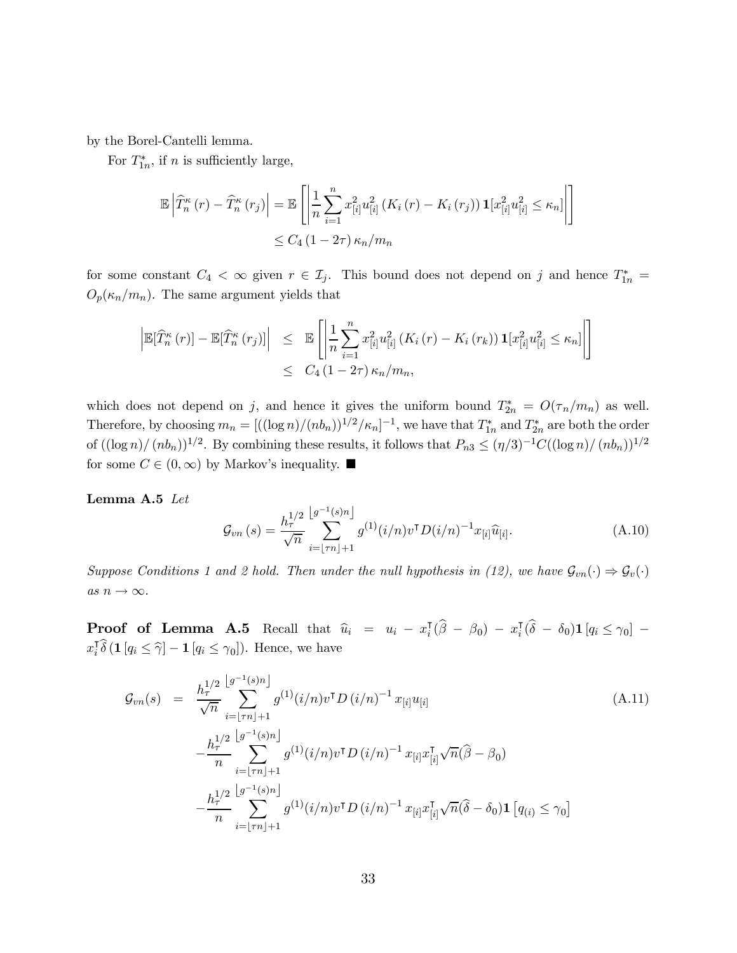by the Borel-Cantelli lemma.

For  $T_{1n}^*$ , if *n* is sufficiently large,

$$
\mathbb{E}\left|\widehat{T}_{n}^{\kappa}(r)-\widehat{T}_{n}^{\kappa}(r_{j})\right|=\mathbb{E}\left[\left|\frac{1}{n}\sum_{i=1}^{n}x_{[i]}^{2}u_{[i]}^{2}\left(K_{i}\left(r\right)-K_{i}\left(r_{j}\right)\right)\mathbf{1}[x_{[i]}^{2}u_{[i]}^{2}\leq\kappa_{n}]\right|\right]
$$
  

$$
\leq C_{4}\left(1-2\tau\right)\kappa_{n}/m_{n}
$$

for some constant  $C_4 < \infty$  given  $r \in \mathcal{I}_j$ . This bound does not depend on j and hence  $T_{1n}^* =$  $O_p(\kappa_n/m_n)$ . The same argument yields that

$$
\left| \mathbb{E}[\widehat{T}_{n}^{\kappa}(r)] - \mathbb{E}[\widehat{T}_{n}^{\kappa}(r_{j})] \right| \leq \mathbb{E}\left[ \left| \frac{1}{n} \sum_{i=1}^{n} x_{[i]}^{2} u_{[i]}^{2} \left( K_{i}(r) - K_{i}(r_{k}) \right) \mathbf{1}[x_{[i]}^{2} u_{[i]}^{2}] \leq \kappa_{n} \right| \right]
$$
  

$$
\leq C_{4} (1 - 2\tau) \kappa_{n} / m_{n},
$$

which does not depend on j, and hence it gives the uniform bound  $T_{2n}^* = O(\tau_n/m_n)$  as well. Therefore, by choosing  $m_n = [((\log n)/(nb_n))^{1/2}/\kappa_n]^{-1}$ , we have that  $T_{1n}^*$  and  $T_{2n}^*$  are both the order of  $((\log n)/ (nb_n))^{1/2}$ . By combining these results, it follows that  $P_{n3} \leq (\eta/3)^{-1}C((\log n)/(nb_n))^{1/2}$ for some  $C \in (0, \infty)$  by Markov's inequality.  $\blacksquare$ 

Lemma A.5 Let

$$
\mathcal{G}_{vn}(s) = \frac{h_{\tau}^{1/2}}{\sqrt{n}} \sum_{i=\lfloor \tau n \rfloor + 1}^{\lfloor g^{-1}(s)n \rfloor} g^{(1)}(i/n) v^{\mathsf{T}} D(i/n)^{-1} x_{[i]} \widehat{u}_{[i]}.
$$
\n(A.10)

Suppose Conditions 1 and 2 hold. Then under the null hypothesis in (12), we have  $\mathcal{G}_{vn}(\cdot) \Rightarrow \mathcal{G}_v(\cdot)$  $as\ n \to \infty.$ 

**Proof of Lemma A.5** Recall that  $\hat{u}_i = u_i - x_i^{\mathsf{T}}(\hat{\beta} - \beta_0) - x_i^{\mathsf{T}}(\hat{\delta} - \delta_0) \mathbf{1} [q_i \leq \gamma_0] - \hat{z}_i^{\mathsf{T}}(\hat{\delta} - \delta_0) \mathbf{1} [q_i \leq \gamma_0]$  $x_i^{\mathsf{T}}\widehat{\delta}(\mathbf{1}[q_i \leq \widehat{\gamma}] - \mathbf{1}[q_i \leq \gamma_0]).$  Hence, we have

$$
\mathcal{G}_{vn}(s) = \frac{h_{\tau}^{1/2} \left[ g^{-1}(s)n \right]}{\sqrt{n}} g^{(1)}(i/n) v^{T} D(i/n)^{-1} x_{[i]} u_{[i]}
$$
\n
$$
- \frac{h_{\tau}^{1/2} \left[ g^{-1}(s)n \right]}{n} g^{(1)}(i/n) v^{T} D(i/n)^{-1} x_{[i]} x_{[i]}^{T} \sqrt{n} (\hat{\beta} - \beta_{0})
$$
\n
$$
- \frac{h_{\tau}^{1/2} \left[ g^{-1}(s)n \right]}{n} g^{(1)}(i/n) v^{T} D(i/n)^{-1} x_{[i]} x_{[i]}^{T} \sqrt{n} (\hat{\beta} - \beta_{0})
$$
\n
$$
- \frac{h_{\tau}^{1/2} \left[ g^{-1}(s)n \right]}{n} g^{(1)}(i/n) v^{T} D(i/n)^{-1} x_{[i]} x_{[i]}^{T} \sqrt{n} (\hat{\delta} - \delta_{0}) \mathbf{1} \left[ q_{(i)} \leq \gamma_{0} \right]
$$
\n(A.11)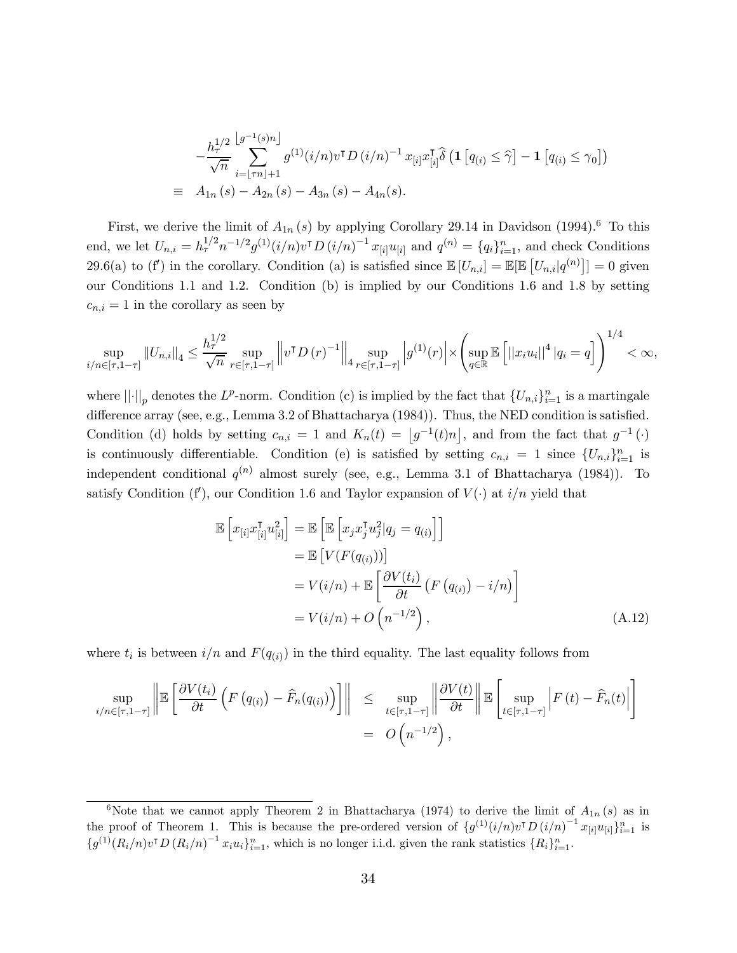$$
-\frac{h_{\tau}^{1/2}}{\sqrt{n}} \sum_{i=\lfloor \tau n \rfloor+1}^{\lfloor g^{-1}(s)n \rfloor} g^{(1)}(i/n) v^{\mathsf{T}} D(i/n)^{-1} x_{[i]} x_{[i]}^{\mathsf{T}} \hat{\delta} \left( \mathbf{1} \left[ q_{(i)} \leq \hat{\gamma} \right] - \mathbf{1} \left[ q_{(i)} \leq \gamma_0 \right] \right)
$$
  
\n
$$
\equiv A_{1n}(s) - A_{2n}(s) - A_{3n}(s) - A_{4n}(s).
$$

First, we derive the limit of  $A_{1n}(s)$  by applying Corollary 29.14 in Davidson (1994).<sup>6</sup> To this end, we let  $U_{n,i} = h_{\tau}^{1/2} n^{-1/2} g^{(1)}(i/n) v^{\intercal} D(i/n)^{-1} x_{[i]} u_{[i]}$  and  $q^{(n)} = \{q_i\}_{i=1}^n$ , and check Conditions 29.6(a) to (f') in the corollary. Condition (a) is satisfied since  $\mathbb{E}[U_{n,i}] = \mathbb{E}[\mathbb{E}[U_{n,i}|q^{(n)}]] = 0$  given our Conditions 1.1 and 1.2. Condition (b) is implied by our Conditions 1.6 and 1.8 by setting  $c_{n,i} = 1$  in the corollary as seen by

$$
\sup_{i/n \in [\tau, 1-\tau]} \|U_{n,i}\|_{4} \leq \frac{h_{\tau}^{1/2}}{\sqrt{n}} \sup_{r \in [\tau, 1-\tau]} \|v^{\mathsf{T}} D(r)^{-1}\|_{4} \sup_{r \in [\tau, 1-\tau]} |g^{(1)}(r)| \times \left(\sup_{q \in \mathbb{R}} \mathbb{E}\left[||x_i u_i||^4 | q_i = q\right]\right)^{1/4} < \infty,
$$

where  $||\cdot||_p$  denotes the  $L^p$ -norm. Condition (c) is implied by the fact that  $\{U_{n,i}\}_{i=1}^n$  is a martingale difference array (see, e.g., Lemma 3.2 of Bhattacharya (1984)). Thus, the NED condition is satisfied. Condition (d) holds by setting  $c_{n,i} = 1$  and  $K_n(t) = \lfloor g^{-1}(t)n \rfloor$ , and from the fact that  $g^{-1}(\cdot)$ is continuously differentiable. Condition (e) is satisfied by setting  $c_{n,i} = 1$  since  ${U_{n,i}}_{i=1}^n$  is independent conditional  $q^{(n)}$  almost surely (see, e.g., Lemma 3.1 of Bhattacharya (1984)). To satisfy Condition (f'), our Condition 1.6 and Taylor expansion of  $V(\cdot)$  at  $i/n$  yield that

$$
\mathbb{E}\left[x_{[i]}x_{[i]}^{\mathsf{T}}u_{[i]}^{2}\right] = \mathbb{E}\left[\mathbb{E}\left[x_{j}x_{j}^{\mathsf{T}}u_{j}^{2}|q_{j}=q_{(i)}\right]\right]
$$
\n
$$
= \mathbb{E}\left[V(F(q_{(i)}))\right]
$$
\n
$$
= V(i/n) + \mathbb{E}\left[\frac{\partial V(t_{i})}{\partial t}\left(F(q_{(i)}) - i/n\right)\right]
$$
\n
$$
= V(i/n) + O\left(n^{-1/2}\right), \tag{A.12}
$$

where  $t_i$  is between  $i/n$  and  $F(q_{(i)})$  in the third equality. The last equality follows from

$$
\sup_{i/n \in [\tau, 1-\tau]} \left\| \mathbb{E}\left[\frac{\partial V(t_i)}{\partial t} \left( F\left(q_{(i)}\right) - \widehat{F}_n(q_{(i)}) \right) \right] \right\| \leq \sup_{t \in [\tau, 1-\tau]} \left\| \frac{\partial V(t)}{\partial t} \right\| \mathbb{E}\left[\sup_{t \in [\tau, 1-\tau]} \left| F\left(t\right) - \widehat{F}_n(t) \right| \right] \right\|
$$
  
=  $O\left(n^{-1/2}\right),$ 

<sup>&</sup>lt;sup>6</sup>Note that we cannot apply Theorem 2 in Bhattacharya (1974) to derive the limit of  $A_{1n}(s)$  as in the proof of Theorem 1. This is because the pre-ordered version of  $\{g^{(1)}(i/n)v^{T}D(i/n)^{-1}x_{[i]}u_{[i]}\}_{i=1}^{n}$  is  ${g^{(1)}(R_i/n)v^{T}D(R_i/n)^{-1}x_iu_i}_{i=1}^{n}$ , which is no longer i.i.d. given the rank statistics  ${R_i}_{i=1}^{n}$ .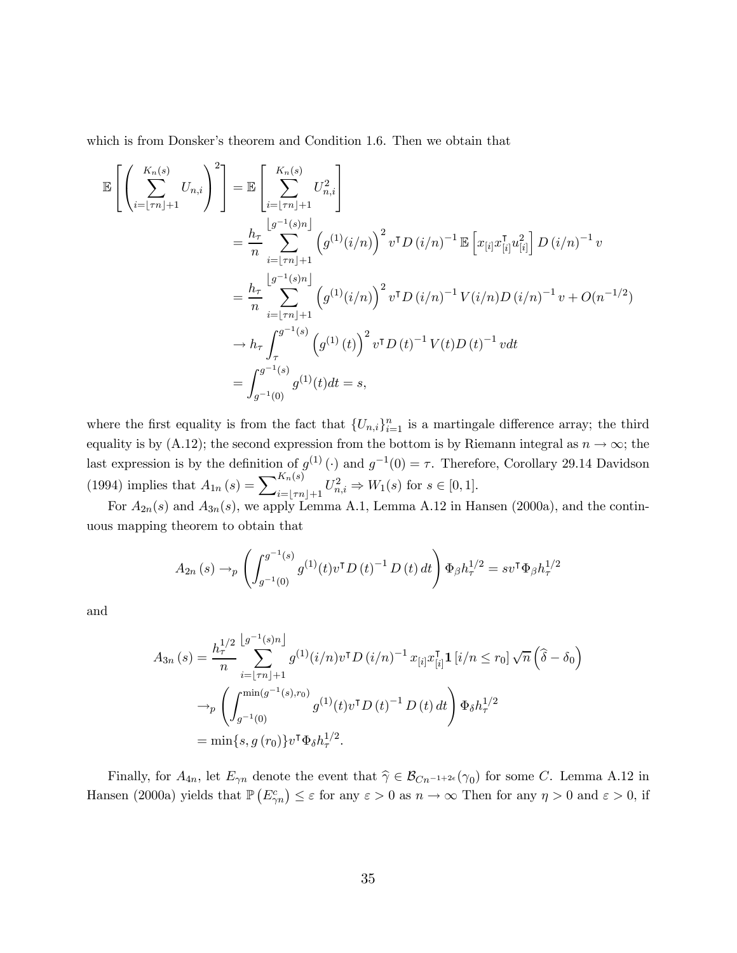which is from Donsker's theorem and Condition 1.6. Then we obtain that

$$
\mathbb{E}\left[\left(\sum_{i=\lfloor\tau n\rfloor+1}^{K_{n}(s)} U_{n,i}\right)^{2}\right] = \mathbb{E}\left[\sum_{i=\lfloor\tau n\rfloor+1}^{K_{n}(s)} U_{n,i}^{2}\right]
$$
\n
$$
= \frac{h_{\tau}}{n} \sum_{i=\lfloor\tau n\rfloor+1}^{[g^{-1}(s)n]} \left(g^{(1)}(i/n)\right)^{2} v^{\intercal} D(i/n)^{-1} \mathbb{E}\left[x_{[i]} x_{[i]}^{\intercal} u_{[i]}^{2}\right] D(i/n)^{-1} v
$$
\n
$$
= \frac{h_{\tau}}{n} \sum_{i=\lfloor\tau n\rfloor+1}^{[g^{-1}(s)n]} \left(g^{(1)}(i/n)\right)^{2} v^{\intercal} D(i/n)^{-1} V(i/n) D(i/n)^{-1} v + O(n^{-1/2})
$$
\n
$$
\to h_{\tau} \int_{\tau}^{g^{-1}(s)} \left(g^{(1)}(t)\right)^{2} v^{\intercal} D(t)^{-1} V(t) D(t)^{-1} v dt
$$
\n
$$
= \int_{g^{-1}(0)}^{g^{-1}(s)} g^{(1)}(t) dt = s,
$$

where the first equality is from the fact that  ${U_{n,i}}_{i=1}^n$  is a martingale difference array; the third equality is by (A.12); the second expression from the bottom is by Riemann integral as  $n \to \infty$ ; the last expression is by the definition of  $g^{(1)}(t)$  and  $g^{-1}(0) = \tau$ . Therefore, Corollary 29.14 Davidson (1994) implies that  $A_{1n}(s) = \sum_{i=\lfloor \tau n \rfloor+1}^{K_n(s)} U_{n,i}^2 \Rightarrow W_1(s)$  for  $s \in [0,1]$ .

For  $A_{2n}(s)$  and  $A_{3n}(s)$ , we apply Lemma A.1, Lemma A.12 in Hansen (2000a), and the continuous mapping theorem to obtain that

$$
A_{2n}(s) \to_p \left( \int_{g^{-1}(0)}^{g^{-1}(s)} g^{(1)}(t) v^{\mathsf{T}} D(t)^{-1} D(t) dt \right) \Phi_{\beta} h_{\tau}^{1/2} = s v^{\mathsf{T}} \Phi_{\beta} h_{\tau}^{1/2}
$$

and

$$
A_{3n}(s) = \frac{h_{\tau}^{1/2}}{n} \sum_{i=\lfloor \tau n \rfloor + 1}^{\lfloor g^{-1}(s)n \rfloor} g^{(1)}(i/n) v^{\mathsf{T}} D(i/n)^{-1} x_{[i]} x_{[i]}^{\mathsf{T}} \mathbf{1}_{[i/n \le r_0]} \sqrt{n} \left( \widehat{\delta} - \delta_0 \right)
$$
  

$$
\rightarrow_p \left( \int_{g^{-1}(0)}^{\min(g^{-1}(s), r_0)} g^{(1)}(t) v^{\mathsf{T}} D(t)^{-1} D(t) dt \right) \Phi_{\delta} h_{\tau}^{1/2}
$$
  

$$
= \min\{s, g(r_0)\} v^{\mathsf{T}} \Phi_{\delta} h_{\tau}^{1/2}.
$$

Finally, for  $A_{4n}$ , let  $E_{\gamma n}$  denote the event that  $\hat{\gamma} \in \mathcal{B}_{Cn^{-1+2\epsilon}}(\gamma_0)$  for some C. Lemma A.12 in Hansen (2000a) yields that  $\mathbb{P}(E_{\gamma n}^c) \leq \varepsilon$  for any  $\varepsilon > 0$  as  $n \to \infty$  Then for any  $\eta > 0$  and  $\varepsilon > 0$ , if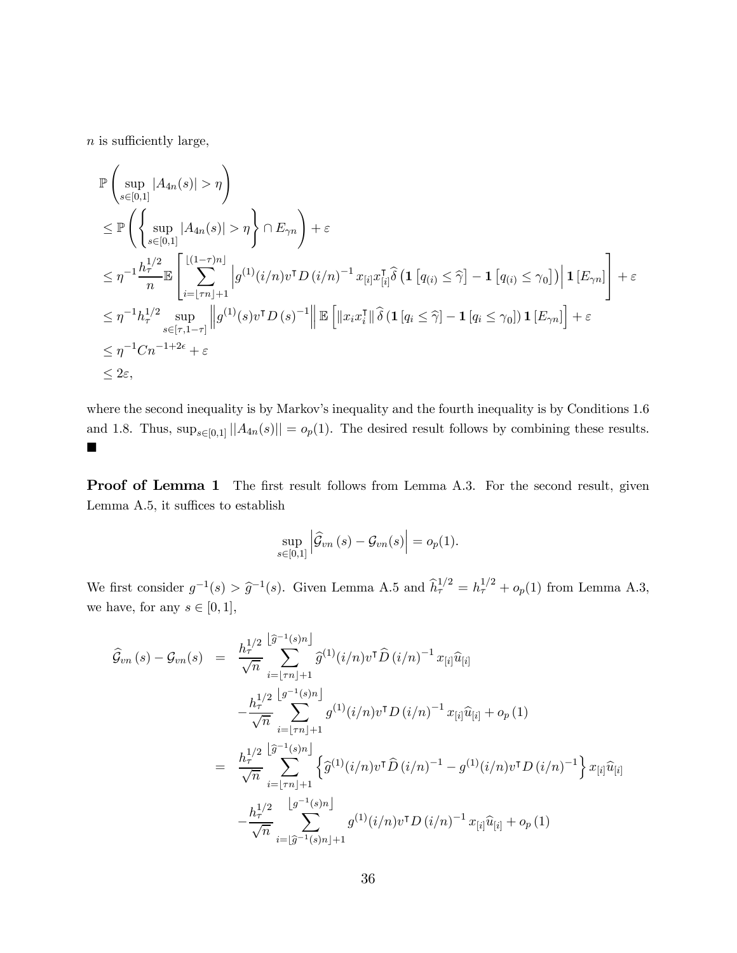$n$  is sufficiently large,

$$
\mathbb{P}\left(\sup_{s\in[0,1]}|A_{4n}(s)|>\eta\right)
$$
\n
$$
\leq \mathbb{P}\left(\left\{\sup_{s\in[0,1]}|A_{4n}(s)|>\eta\right\}\cap E_{\gamma n}\right)+\varepsilon
$$
\n
$$
\leq \eta^{-1}\frac{h_{\tau}^{1/2}}{n}\mathbb{E}\left[\sum_{i=\lfloor\tau n\rfloor+1}^{\lfloor(1-\tau)n\rfloor} |g^{(1)}(i/n)v^{\intercal}D(i/n)^{-1}x_{[i]}x_{[i]}^{\intercal}\hat{\delta}\left(\mathbf{1}\left[q_{(i)}\leq\widehat{\gamma}\right]-\mathbf{1}\left[q_{(i)}\leq\gamma_{0}\right]\right)|\mathbf{1}\left[E_{\gamma n}\right]\right]+\varepsilon
$$
\n
$$
\leq \eta^{-1}h_{\tau}^{1/2}\sup_{s\in[\tau,1-\tau]}||g^{(1)}(s)v^{\intercal}D(s)^{-1}||\mathbb{E}\left[\|x_{i}x_{i}^{\intercal}\|\hat{\delta}\left(\mathbf{1}\left[q_{i}\leq\widehat{\gamma}\right]-\mathbf{1}\left[q_{i}\leq\gamma_{0}\right]\right)\mathbf{1}\left[E_{\gamma n}\right]\right]+\varepsilon
$$
\n
$$
\leq \eta^{-1}Cn^{-1+2\epsilon}+\varepsilon
$$
\n
$$
\leq 2\varepsilon,
$$

where the second inequality is by Markov's inequality and the fourth inequality is by Conditions 1.6 and 1.8. Thus,  $\sup_{s\in[0,1]}||A_{4n}(s)|| = o_p(1)$ . The desired result follows by combining these results.  $\blacksquare$ 

Proof of Lemma 1 The first result follows from Lemma A.3. For the second result, given Lemma A.5, it suffices to establish

$$
\sup_{s\in[0,1]}\left|\widehat{\mathcal{G}}_{vn}\left(s\right)-\mathcal{G}_{vn}(s)\right|=o_p(1).
$$

We first consider  $g^{-1}(s) > \hat{g}^{-1}(s)$ . Given Lemma A.5 and  $\hat{h}^{1/2}_{\tau} = h^{1/2}_{\tau} + o_p(1)$  from Lemma A.3, we have, for any  $s\in[0,1],$ 

$$
\hat{\mathcal{G}}_{vn}(s) - \mathcal{G}_{vn}(s) = \frac{h_{\tau}^{1/2} \left[ \hat{g}^{-1}(s)n \right]}{\sqrt{n}} \hat{g}^{(1)}(i/n)v^{\mathsf{T}} \hat{D}(i/n)^{-1} x_{[i]} \hat{u}_{[i]}
$$
\n
$$
- \frac{h_{\tau}^{1/2} \left[ g^{-1}(s)n \right]}{\sqrt{n}} \sum_{i=\lfloor \tau n \rfloor + 1}^{n} g^{(1)}(i/n)v^{\mathsf{T}} D(i/n)^{-1} x_{[i]} \hat{u}_{[i]} + o_p(1)
$$
\n
$$
= \frac{h_{\tau}^{1/2} \left[ \hat{g}^{-1}(s)n \right]}{\sqrt{n}} \sum_{i=\lfloor \tau n \rfloor + 1}^{n} \left\{ \hat{g}^{(1)}(i/n)v^{\mathsf{T}} \hat{D}(i/n)^{-1} - g^{(1)}(i/n)v^{\mathsf{T}} D(i/n)^{-1} \right\} x_{[i]} \hat{u}_{[i]}
$$
\n
$$
- \frac{h_{\tau}^{1/2} \left[ g^{-1}(s)n \right]}{\sqrt{n}} \sum_{i=\lfloor \hat{g}^{-1}(s)n \rfloor + 1}^{n} g^{(1)}(i/n)v^{\mathsf{T}} D(i/n)^{-1} x_{[i]} \hat{u}_{[i]} + o_p(1)
$$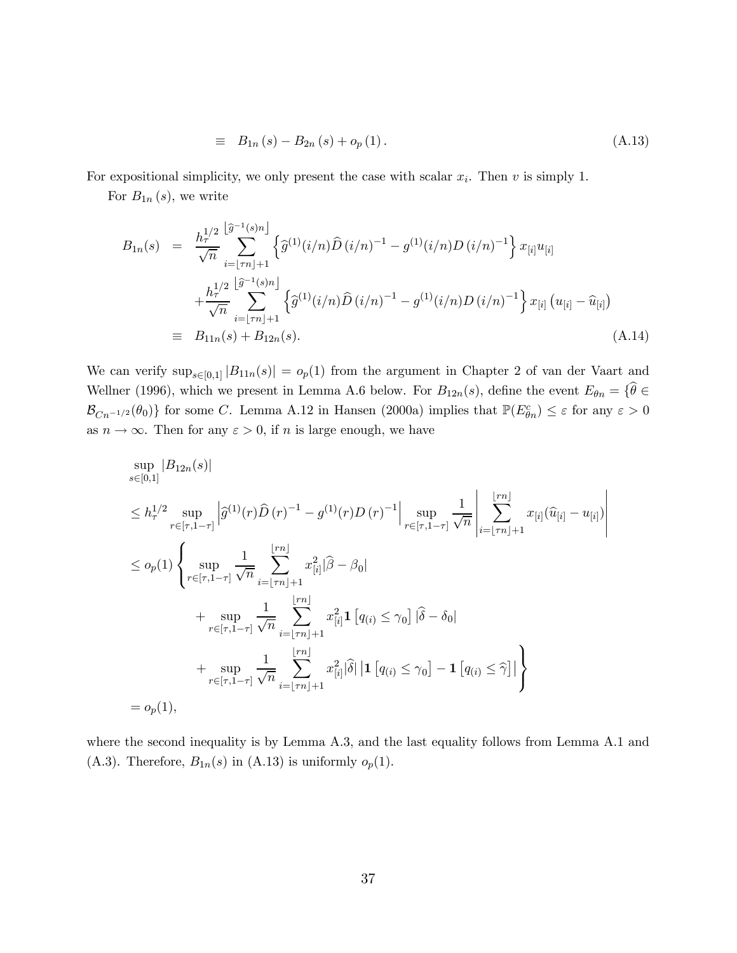$$
\equiv B_{1n}(s) - B_{2n}(s) + o_p(1). \tag{A.13}
$$

For expositional simplicity, we only present the case with scalar  $x_i$ . Then  $v$  is simply 1.

For  $B_{1n}(s)$ , we write

$$
B_{1n}(s) = \frac{h_{\tau}^{1/2} \left[ \hat{g}^{-1}(s)n \right]}{\sqrt{n}} \left\{ \hat{g}^{(1)}(i/n) \hat{D}(i/n)^{-1} - g^{(1)}(i/n)D(i/n)^{-1} \right\} x_{[i]} u_{[i]} + \frac{h_{\tau}^{1/2} \left[ \hat{g}^{-1}(s)n \right]}{\sqrt{n}} \left\{ \hat{g}^{(1)}(i/n) \hat{D}(i/n)^{-1} - g^{(1)}(i/n)D(i/n)^{-1} \right\} x_{[i]} \left( u_{[i]} - \hat{u}_{[i]} \right)
$$
  
\n
$$
\equiv B_{11n}(s) + B_{12n}(s).
$$
\n(A.14)

We can verify  $\sup_{s\in [0,1]} |B_{11n}(s)| = o_p(1)$  from the argument in Chapter 2 of van der Vaart and Wellner (1996), which we present in Lemma A.6 below. For  $B_{12n}(s)$ , define the event  $E_{\theta n} = {\hat{\theta}} \in$  $\mathcal{B}_{Cn^{-1/2}}(\theta_0)$  for some C. Lemma A.12 in Hansen (2000a) implies that  $\mathbb{P}(E_{\theta n}^c) \leq \varepsilon$  for any  $\varepsilon > 0$ as  $n \to \infty$ . Then for any  $\varepsilon > 0$ , if *n* is large enough, we have

$$
\sup_{s\in[0,1]} |B_{12n}(s)|
$$
\n
$$
\leq h_{\tau}^{1/2} \sup_{r\in[\tau,1-\tau]} \left| \hat{g}^{(1)}(r)\hat{D}(r)^{-1} - g^{(1)}(r)D(r)^{-1} \right| \sup_{r\in[\tau,1-\tau]} \frac{1}{\sqrt{n}} \left| \sum_{i=\lfloor \tau n \rfloor+1}^{\lfloor \tau n \rfloor} x_{[i]}(\hat{u}_{[i]} - u_{[i]}) \right|
$$
\n
$$
\leq o_p(1) \left\{ \sup_{r\in[\tau,1-\tau]} \frac{1}{\sqrt{n}} \sum_{i=\lfloor \tau n \rfloor+1}^{\lfloor \tau n \rfloor} x_{[i]}^2 |\hat{\beta} - \beta_0| + \sup_{r\in[\tau,1-\tau]} \frac{1}{\sqrt{n}} \sum_{i=\lfloor \tau n \rfloor+1}^{\lfloor \tau n \rfloor} x_{[i]}^2 1 [q_{(i)} \leq \gamma_0] |\hat{\delta} - \delta_0| + \sup_{r\in[\tau,1-\tau]} \frac{1}{\sqrt{n}} \sum_{i=\lfloor \tau n \rfloor+1}^{\lfloor \tau n \rfloor} x_{[i]}^2 |\hat{\delta}| |1 [q_{(i)} \leq \gamma_0] - 1 [q_{(i)} \leq \hat{\gamma}]| \right\}
$$
\n
$$
= o_p(1),
$$

where the second inequality is by Lemma A.3, and the last equality follows from Lemma A.1 and (A.3). Therefore,  $B_{1n}(s)$  in (A.13) is uniformly  $o_p(1)$ .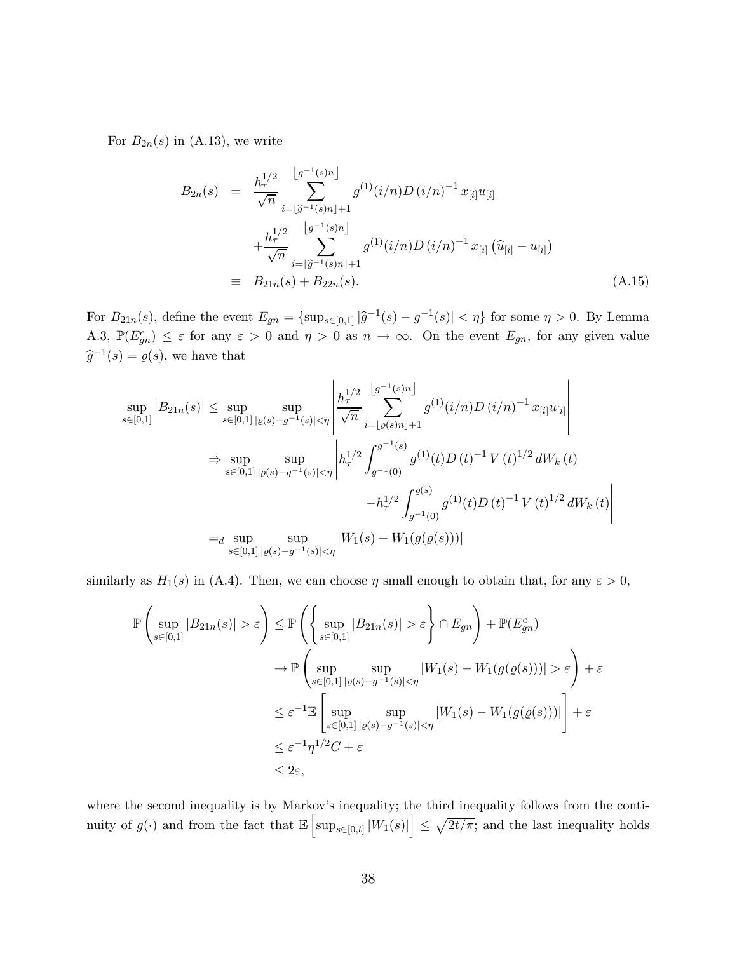For  $B_{2n}(s)$  in (A.13), we write

$$
B_{2n}(s) = \frac{h_{\tau}^{1/2}}{\sqrt{n}} \sum_{i=\lfloor \widehat{g}^{-1}(s)n \rfloor}^{\lfloor g^{-1}(s)n \rfloor} g^{(1)}(i/n) D(i/n)^{-1} x_{[i]} u_{[i]}
$$
  
+ 
$$
\frac{h_{\tau}^{1/2}}{\sqrt{n}} \sum_{i=\lfloor \widehat{g}^{-1}(s)n \rfloor+1}^{\lfloor g^{-1}(s)n \rfloor} g^{(1)}(i/n) D(i/n)^{-1} x_{[i]} (\widehat{u}_{[i]} - u_{[i]})
$$
  
= 
$$
B_{21n}(s) + B_{22n}(s).
$$
 (A.15)

For  $B_{21n}(s)$ , define the event  $E_{gn} = {\sup_{s \in [0,1]} |\widehat{g}^{-1}(s) - g^{-1}(s)| < \eta}$  for some  $\eta > 0$ . By Lemma A.3,  $\mathbb{P}(E_{gn}^c) \leq \varepsilon$  for any  $\varepsilon > 0$  and  $\eta > 0$  as  $n \to \infty$ . On the event  $E_{gn}$ , for any given value  $\widehat{g}^{-1}(s) = \varrho(s)$ , we have that

$$
\sup_{s\in[0,1]}|B_{21n}(s)| \leq \sup_{s\in[0,1]} \sup_{|\varrho(s)-g^{-1}(s)|<\eta} \left| \frac{h_{\tau}^{1/2}}{\sqrt{n}} \sum_{i=\lfloor \varrho(s)n \rfloor+1}^{\lfloor g^{-1}(s)n \rfloor} g^{(1)}(i/n)D(i/n)^{-1} x_{[i]} u_{[i]} \right|
$$
  
\n
$$
\Rightarrow \sup_{s\in[0,1]} \sup_{|\varrho(s)-g^{-1}(s)|<\eta} \left| h_{\tau}^{1/2} \int_{g^{-1}(0)}^{g^{-1}(s)} g^{(1)}(t)D(t)^{-1} V(t)^{1/2} dW_k(t) -h_{\tau}^{1/2} \int_{g^{-1}(0)}^{g(s)} g^{(1)}(t)D(t)^{-1} V(t)^{1/2} dW_k(t) \right|
$$
  
\n
$$
=_{d} \sup_{s\in[0,1]} \sup_{|\varrho(s)-g^{-1}(s)|<\eta} |W_1(s)-W_1(g(\varrho(s)))|
$$

similarly as  $H_1(s)$  in (A.4). Then, we can choose  $\eta$  small enough to obtain that, for any  $\varepsilon > 0$ ,

$$
\mathbb{P}\left(\sup_{s\in[0,1]}|B_{21n}(s)| > \varepsilon\right) \leq \mathbb{P}\left(\left\{\sup_{s\in[0,1]}|B_{21n}(s)| > \varepsilon\right\} \cap E_{gn}\right) + \mathbb{P}(E_{gn}^c)
$$
  

$$
\to \mathbb{P}\left(\sup_{s\in[0,1]}|\sup_{\varrho(s)-g^{-1}(s)|<\eta}|W_1(s) - W_1(g(\varrho(s)))| > \varepsilon\right) + \varepsilon
$$
  

$$
\leq \varepsilon^{-1}\mathbb{E}\left[\sup_{s\in[0,1]}|\sup_{\varrho(s)-g^{-1}(s)|<\eta}|W_1(s) - W_1(g(\varrho(s)))|\right] + \varepsilon
$$
  

$$
\leq \varepsilon^{-1}\eta^{1/2}C + \varepsilon
$$
  

$$
\leq 2\varepsilon,
$$

where the second inequality is by Markov's inequality; the third inequality follows from the continuity of  $g(\cdot)$  and from the fact that  $\mathbb{E}\left[\sup_{s\in[0,t]}|W_1(s)|\right] \leq \sqrt{2t/\pi}$ , and the last inequality holds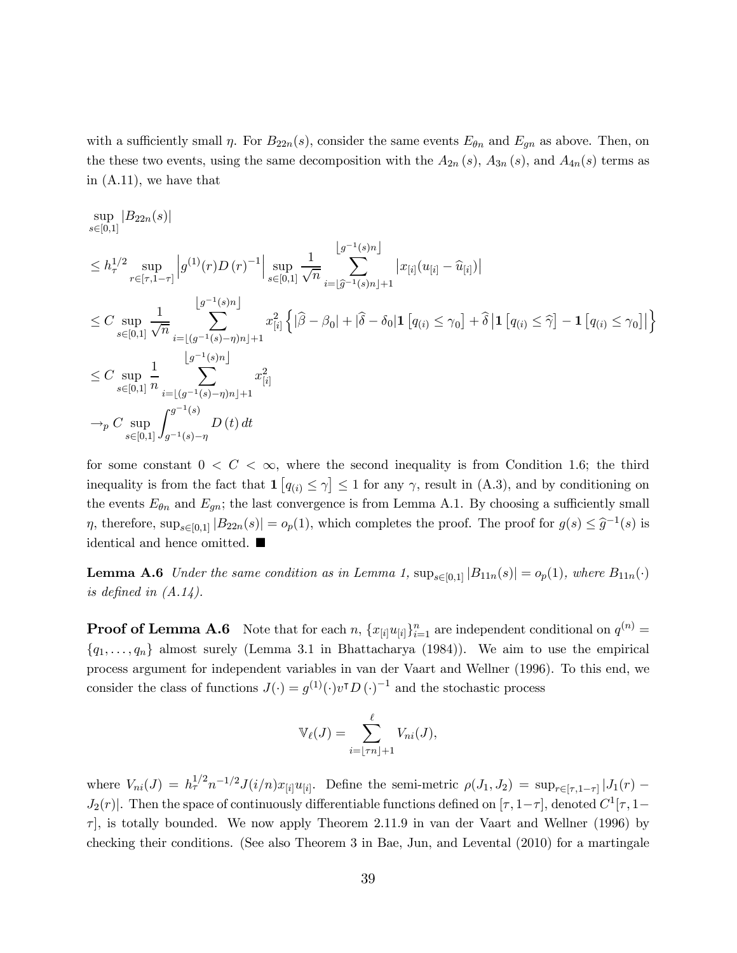with a sufficiently small  $\eta$ . For  $B_{22n}(s)$ , consider the same events  $E_{\theta n}$  and  $E_{gn}$  as above. Then, on the these two events, using the same decomposition with the  $A_{2n}(s)$ ,  $A_{3n}(s)$ , and  $A_{4n}(s)$  terms as in (A.11), we have that

$$
\sup_{s\in[0,1]} |B_{22n}(s)|
$$
\n
$$
\leq h_{\tau}^{1/2} \sup_{r\in[\tau,1-\tau]} |g^{(1)}(r)D(r)^{-1}| \sup_{s\in[0,1]} \frac{1}{\sqrt{n}} \sum_{i=\lfloor \hat{g}^{-1}(s)n \rfloor}^{\lfloor g^{-1}(s)n \rfloor} |x_{[i]}(u_{[i]} - \hat{u}_{[i]})|
$$
\n
$$
\leq C \sup_{s\in[0,1]} \frac{1}{\sqrt{n}} \sum_{i=\lfloor (g^{-1}(s)-\eta)n \rfloor+1}^{\lfloor g^{-1}(s)n \rfloor} x_{[i]}^2 \left\{ |\hat{\beta} - \beta_0| + |\hat{\delta} - \delta_0| \mathbf{1} [q_{(i)} \leq \gamma_0] + \hat{\delta} \left| \mathbf{1} [q_{(i)} \leq \hat{\gamma}] - \mathbf{1} [q_{(i)} \leq \gamma_0] \right| \right\}
$$
\n
$$
\leq C \sup_{s\in[0,1]} \frac{1}{n} \sum_{i=\lfloor (g^{-1}(s)-\eta)n \rfloor+1}^{\lfloor g^{-1}(s)n \rfloor} x_{[i]}^2
$$
\n
$$
\to_p C \sup_{s\in[0,1]} \int_{g^{-1}(s)-\eta}^{g^{-1}(s)} D(t) dt
$$

for some constant  $0 < C < \infty$ , where the second inequality is from Condition 1.6; the third inequality is from the fact that  $1 (q_{(i)} \leq \gamma] \leq 1$  for any  $\gamma$ , result in (A.3), and by conditioning on the events  $E_{\theta n}$  and  $E_{gn}$ ; the last convergence is from Lemma A.1. By choosing a sufficiently small  $\eta$ , therefore,  $\sup_{s\in[0,1]}|B_{22n}(s)| = o_p(1)$ , which completes the proof. The proof for  $g(s) \leq \hat{g}^{-1}(s)$  is identical and hence omitted.  $\blacksquare$ 

**Lemma A.6** Under the same condition as in Lemma 1,  $\sup_{s\in[0,1]}|B_{11n}(s)| = o_p(1)$ , where  $B_{11n}(\cdot)$ is defined in  $(A.14)$ .

**Proof of Lemma A.6** Note that for each n,  $\{x_{[i]}u_{[i]}\}_{i=1}^n$  are independent conditional on  $q^{(n)}$  =  ${q_1, \ldots, q_n}$  almost surely (Lemma 3.1 in Bhattacharya (1984)). We aim to use the empirical process argument for independent variables in van der Vaart and Wellner (1996). To this end, we consider the class of functions  $J(\cdot) = g^{(1)}(\cdot)v^{T}D(\cdot)^{-1}$  and the stochastic process

$$
\mathbb{V}_{\ell}(J) = \sum_{i=\lfloor \tau n \rfloor + 1}^{\ell} V_{ni}(J),
$$

where  $V_{ni}(J) = h_{\tau}^{1/2} n^{-1/2} J(i/n) x_{[i]} u_{[i]}$ . Define the semi-metric  $\rho(J_1, J_2) = \sup_{r \in [\tau, 1-\tau]} |J_1(r) J_2(r)$ . Then the space of continuously differentiable functions defined on  $[\tau, 1-\tau]$ , denoted  $C^1[\tau, 1-\tau]$  $\tau$ , is totally bounded. We now apply Theorem 2.11.9 in van der Vaart and Wellner (1996) by checking their conditions. (See also Theorem 3 in Bae, Jun, and Levental (2010) for a martingale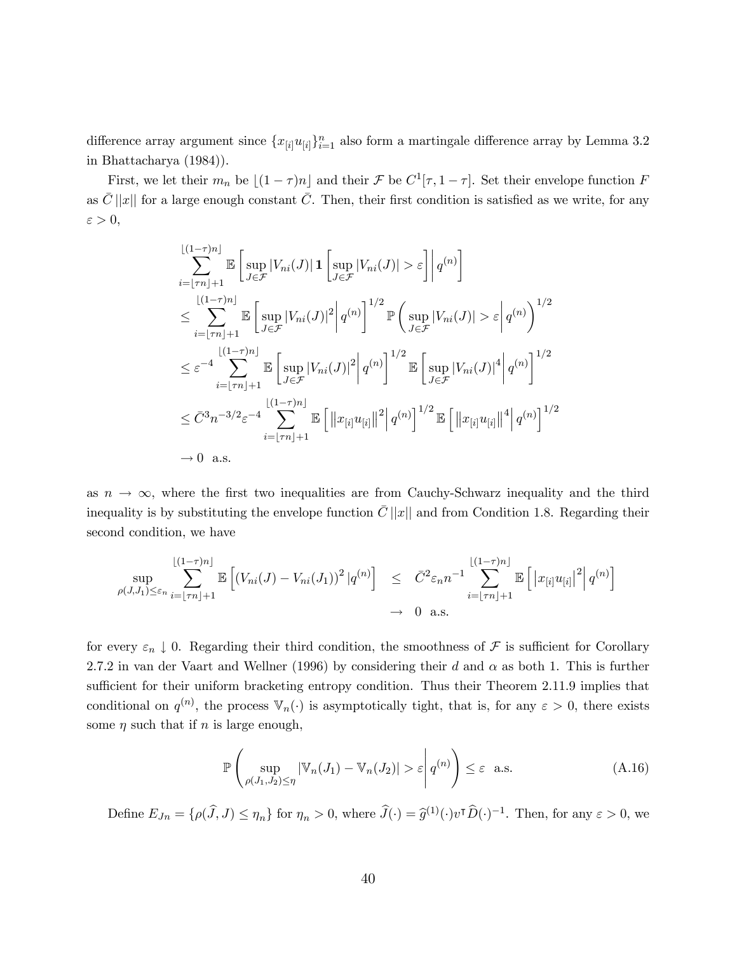difference array argument since  ${x_{[i]}u_{[i]}}_{i=1}^n$  also form a martingale difference array by Lemma 3.2 in Bhattacharya (1984)).

First, we let their  $m_n$  be  $[(1 - \tau)n]$  and their F be  $C^1[\tau, 1 - \tau]$ . Set their envelope function F as  $\bar{C}$  ||x|| for a large enough constant  $\bar{C}$ . Then, their first condition is satisfied as we write, for any  $\varepsilon > 0$ ,

$$
\sum_{i=\lfloor \tau n \rfloor+1}^{\lfloor (1-\tau)n \rfloor} \mathbb{E} \left[ \sup_{J \in \mathcal{F}} |V_{ni}(J)| \mathbf{1} \left[ \sup_{J \in \mathcal{F}} |V_{ni}(J)| > \varepsilon \right] \right] q^{(n)} \right]
$$
\n
$$
\leq \sum_{i=\lfloor \tau n \rfloor+1}^{\lfloor (1-\tau)n \rfloor} \mathbb{E} \left[ \sup_{J \in \mathcal{F}} |V_{ni}(J)|^2 \right] q^{(n)} \right]^{1/2} \mathbb{P} \left( \sup_{J \in \mathcal{F}} |V_{ni}(J)| > \varepsilon \right| q^{(n)} \right)^{1/2}
$$
\n
$$
\leq \varepsilon^{-4} \sum_{i=\lfloor \tau n \rfloor+1}^{\lfloor (1-\tau)n \rfloor} \mathbb{E} \left[ \sup_{J \in \mathcal{F}} |V_{ni}(J)|^2 \right| q^{(n)} \right]^{1/2} \mathbb{E} \left[ \sup_{J \in \mathcal{F}} |V_{ni}(J)|^4 \right| q^{(n)} \right]^{1/2}
$$
\n
$$
\leq \bar{C}^3 n^{-3/2} \varepsilon^{-4} \sum_{i=\lfloor \tau n \rfloor+1}^{\lfloor (1-\tau)n \rfloor} \mathbb{E} \left[ \left\| x_{[i]} u_{[i]} \right\|^2 \right| q^{(n)} \right]^{1/2} \mathbb{E} \left[ \left\| x_{[i]} u_{[i]} \right\|^4 \right| q^{(n)} \right]^{1/2}
$$
\n
$$
\to 0 \quad \text{a.s.}
$$

as  $n \to \infty$ , where the first two inequalities are from Cauchy-Schwarz inequality and the third inequality is by substituting the envelope function  $\bar{C} ||x||$  and from Condition 1.8. Regarding their second condition, we have

$$
\sup_{\rho(J,J_1)\leq\varepsilon_n}\sum_{i=\lfloor\tau n\rfloor+1}^{\lfloor(1-\tau)n\rfloor}\mathbb{E}\left[\left(V_{ni}(J)-V_{ni}(J_1)\right)^2|q^{(n)}\right] \leq \bar{C}^2\varepsilon_n n^{-1}\sum_{i=\lfloor\tau n\rfloor+1}^{\lfloor(1-\tau)n\rfloor}\mathbb{E}\left[\left|x_{[i]}u_{[i]}\right|^2\right|q^{(n)}\right]
$$
  
 $\to 0$  a.s.

for every  $\varepsilon_n \downarrow 0$ . Regarding their third condition, the smoothness of  $\mathcal F$  is sufficient for Corollary 2.7.2 in van der Vaart and Wellner (1996) by considering their d and  $\alpha$  as both 1. This is further sufficient for their uniform bracketing entropy condition. Thus their Theorem 2.11.9 implies that conditional on  $q^{(n)}$ , the process  $\mathbb{V}_n(\cdot)$  is asymptotically tight, that is, for any  $\varepsilon > 0$ , there exists some  $\eta$  such that if  $n$  is large enough,

$$
\mathbb{P}\left(\sup_{\rho(J_1,J_2)\le\eta} |\mathbb{V}_n(J_1) - \mathbb{V}_n(J_2)| > \varepsilon \, \middle| \, q^{(n)} \right) \le \varepsilon \quad \text{a.s.} \tag{A.16}
$$

Define  $E_{Jn} = \{\rho(\widehat{J},J) \leq \eta_n\}$  for  $\eta_n > 0$ , where  $\widehat{J}(\cdot) = \widehat{g}^{(1)}(\cdot)v^{\intercal}\widehat{D}(\cdot)^{-1}$ . Then, for any  $\varepsilon > 0$ , we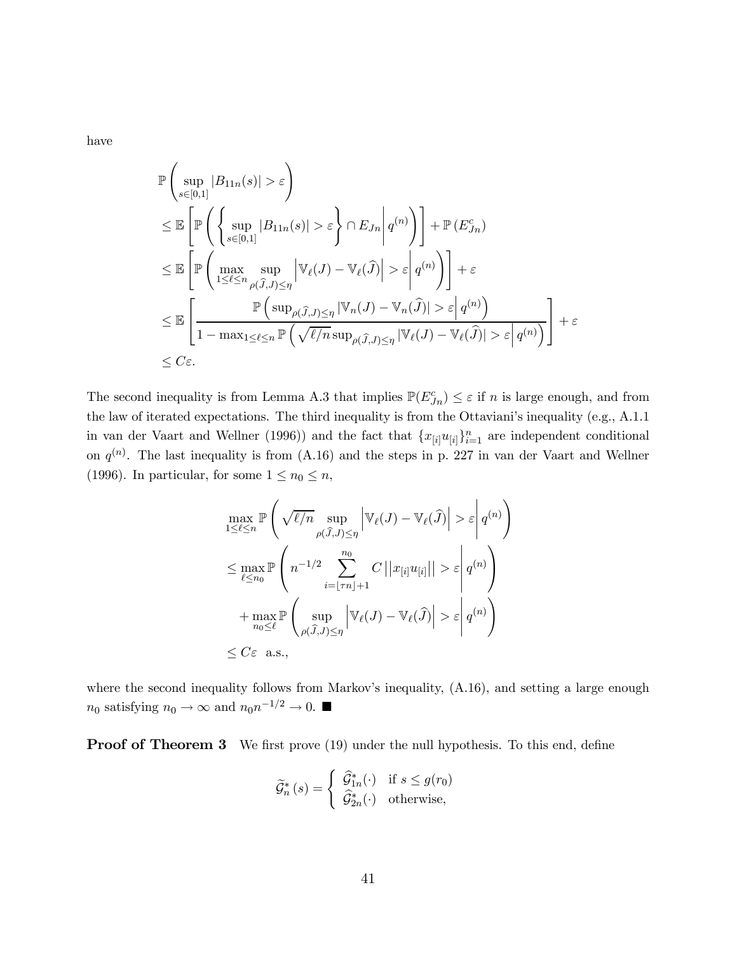have

$$
\mathbb{P}\left(\sup_{s\in[0,1]}|B_{11n}(s)|>\varepsilon\right)
$$
\n
$$
\leq \mathbb{E}\left[\mathbb{P}\left(\left\{\sup_{s\in[0,1]}|B_{11n}(s)|>\varepsilon\right\}\cap E_{Jn}\middle|q^{(n)}\right)\right]+\mathbb{P}\left(E_{Jn}^c\right)
$$
\n
$$
\leq \mathbb{E}\left[\mathbb{P}\left(\max_{1\leq\ell\leq n}\sup_{\rho(\hat{J},J)\leq\eta}\big|\mathbb{V}_{\ell}(J)-\mathbb{V}_{\ell}(\hat{J})\big|>\varepsilon\middle|q^{(n)}\right)\right]+\varepsilon
$$
\n
$$
\leq \mathbb{E}\left[\frac{\mathbb{P}\left(\sup_{\rho(\hat{J},J)\leq\eta}|\mathbb{V}_{n}(J)-\mathbb{V}_{n}(\hat{J})|>\varepsilon\middle|q^{(n)}\right)}{1-\max_{1\leq\ell\leq n}\mathbb{P}\left(\sqrt{\ell/n}\sup_{\rho(\hat{J},J)\leq\eta}|\mathbb{V}_{\ell}(J)-\mathbb{V}_{\ell}(\hat{J})|>\varepsilon\middle|q^{(n)}\right)}\right]+\varepsilon
$$
\n
$$
\leq C\varepsilon.
$$

The second inequality is from Lemma A.3 that implies  $\mathbb{P}(E_{J_n}^c) \leq \varepsilon$  if n is large enough, and from the law of iterated expectations. The third inequality is from the Ottaviani's inequality (e.g., A.1.1 in van der Vaart and Wellner (1996)) and the fact that  ${x_{[i]}u_{[i]}}_{i=1}^n$  are independent conditional on  $q^{(n)}$ . The last inequality is from (A.16) and the steps in p. 227 in van der Vaart and Wellner (1996). In particular, for some  $1 \leq n_0 \leq n$ ,

$$
\max_{1 \leq \ell \leq n} \mathbb{P}\left(\sqrt{\ell/n} \sup_{\rho(\widehat{J},J) \leq \eta} \left|\mathbb{V}_{\ell}(J) - \mathbb{V}_{\ell}(\widehat{J})\right| > \varepsilon \middle| q^{(n)}\right)
$$
\n
$$
\leq \max_{\ell \leq n_0} \mathbb{P}\left(n^{-1/2} \sum_{i=\lfloor \tau n \rfloor + 1}^{n_0} C \left|\left|x_{[i]} u_{[i]}\right|\right| > \varepsilon \middle| q^{(n)}\right)
$$
\n
$$
+ \max_{n_0 \leq \ell} \mathbb{P}\left(\sup_{\rho(\widehat{J},J) \leq \eta} \left|\mathbb{V}_{\ell}(J) - \mathbb{V}_{\ell}(\widehat{J})\right| > \varepsilon \middle| q^{(n)}\right)
$$
\n
$$
\leq C \varepsilon \text{ a.s.},
$$

where the second inequality follows from Markov's inequality,  $(A.16)$ , and setting a large enough  $n_0$  satisfying  $n_0 \to \infty$  and  $n_0 n^{-1/2} \to 0$ .

**Proof of Theorem 3** We first prove (19) under the null hypothesis. To this end, define

$$
\widetilde{\mathcal{G}}_n^*(s) = \begin{cases} \widehat{\mathcal{G}}_{1n}^*(\cdot) & \text{if } s \le g(r_0) \\ \widehat{\mathcal{G}}_{2n}^*(\cdot) & \text{otherwise,} \end{cases}
$$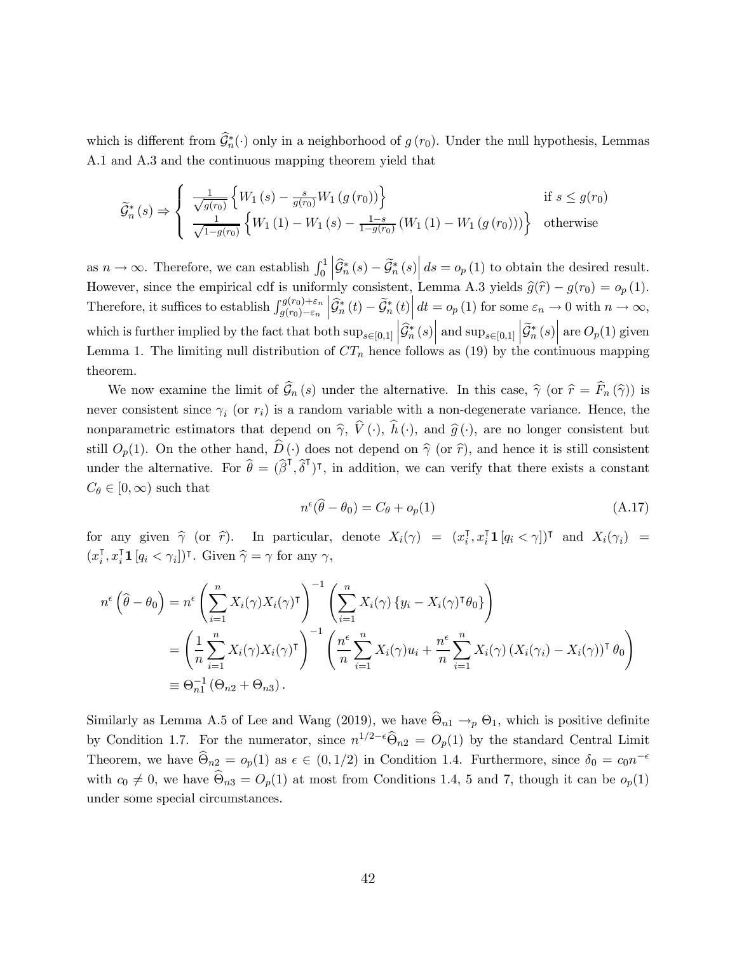which is different from  $\mathcal{G}_n^*(\cdot)$  only in a neighborhood of  $g(r_0)$ . Under the null hypothesis, Lemmas A.1 and A.3 and the continuous mapping theorem yield that

$$
\widetilde{\mathcal{G}}_{n}^{*}(s) \Rightarrow \begin{cases} \frac{1}{\sqrt{g(r_{0})}} \left\{ W_{1}\left(s\right) - \frac{s}{g(r_{0})} W_{1}\left(g\left(r_{0}\right)\right) \right\} & \text{if } s \le g(r_{0}) \\ \frac{1}{\sqrt{1 - g(r_{0})}} \left\{ W_{1}\left(1\right) - W_{1}\left(s\right) - \frac{1 - s}{1 - g(r_{0})} \left(W_{1}\left(1\right) - W_{1}\left(g\left(r_{0}\right)\right)\right) \right\} & \text{otherwise} \end{cases}
$$

as  $n \to \infty$ . Therefore, we can establish  $\int_0^1 \left| \widehat{\mathcal{G}}_n^*(s) - \widetilde{\mathcal{G}}_n^*(s) \right| ds = o_p(1)$  to obtain the desired result. However, since the empirical cdf is uniformly consistent, Lemma A.3 yields  $\hat{g}(\hat{r}) - g(r_0) = o_p(1)$ .<br>Therefore, it suffices to setablish  $\hat{g}(r_0) + \varepsilon_n |\hat{\sigma}^*(t)| \frac{d}{dt} = \hat{g}(1)$  for some  $\varepsilon_n \to 0$  with  $r_0 \to \infty$ . Therefore, it suffices to establish  $\int_{g(r_0)-\varepsilon_n}^{g(r_0)+\varepsilon_n} \left| \widehat{\mathcal{G}}_n^*(t) - \widetilde{\mathcal{G}}_n^*(t) \right| dt = o_p(1)$  for some  $\varepsilon_n \to 0$  with  $n \to \infty$ , which is further implied by the fact that both  $\sup_{s \in [0,1]} \left| \widehat{\mathcal{G}}_n^*(s$  $\mathcal{L}_{\in [0,1]} \left| \mathcal{G}_n^*(s) \right| \text{ and } \sup_{s \in [0,1]} \left| \mathcal{G}_n^*(s) \right| \text{ are } O_p(1) \text{ given}$ Lemma 1. The limiting null distribution of  $CT_n$  hence follows as (19) by the continuous mapping theorem.

We now examine the limit of  $\widehat{\mathcal{G}}_n(s)$  under the alternative. In this case,  $\widehat{\gamma}$  (or  $\widehat{r} = \widehat{F}_n(\widehat{\gamma})$ ) is never consistent since  $\gamma_i$  (or  $r_i$ ) is a random variable with a non-degenerate variance. Hence, the nonparametric estimators that depend on  $\hat{\gamma}$ ,  $V(\cdot)$ ,  $h(\cdot)$ , and  $\hat{g}(\cdot)$ , are no longer consistent but still  $O_p(1)$ . On the other hand,  $\widehat{D}(\cdot)$  does not depend on  $\widehat{\gamma}$  (or  $\widehat{r}$ ), and hence it is still consistent under the alternative. For  $\hat{\theta} = (\hat{\beta}^{\mathsf{T}}, \hat{\delta}^{\mathsf{T}})^{\mathsf{T}}$ , in addition, we can verify that there exists a constant  $C_{\theta} \in [0, \infty)$  such that

$$
n^{\epsilon}(\widehat{\theta} - \theta_0) = C_{\theta} + o_p(1) \tag{A.17}
$$

for any given  $\hat{\gamma}$  (or  $\hat{r}$ ). In particular, denote  $X_i(\gamma) = (x_i^{\mathsf{T}}, x_i^{\mathsf{T}} \mathbf{1} [q_i \langle \gamma \rangle])^{\mathsf{T}}$  and  $X_i(\gamma_i) =$  $(x_i^{\mathsf{T}}, x_i^{\mathsf{T}} \mathbf{1} [q_i < \gamma_i])^{\mathsf{T}}$ . Given  $\widehat{\gamma} = \gamma$  for any  $\gamma$ ,

$$
n^{\epsilon}(\widehat{\theta} - \theta_0) = n^{\epsilon} \left( \sum_{i=1}^n X_i(\gamma) X_i(\gamma)^\intercal \right)^{-1} \left( \sum_{i=1}^n X_i(\gamma) \{ y_i - X_i(\gamma)^\intercal \theta_0 \} \right)
$$
  
= 
$$
\left( \frac{1}{n} \sum_{i=1}^n X_i(\gamma) X_i(\gamma)^\intercal \right)^{-1} \left( \frac{n^{\epsilon}}{n} \sum_{i=1}^n X_i(\gamma) u_i + \frac{n^{\epsilon}}{n} \sum_{i=1}^n X_i(\gamma) (X_i(\gamma_i) - X_i(\gamma))^\intercal \theta_0 \right)
$$
  
\equiv 
$$
\Theta_{n1}^{-1} (\Theta_{n2} + \Theta_{n3}).
$$

Similarly as Lemma A.5 of Lee and Wang (2019), we have  $\hat{\Theta}_{n1} \rightarrow_{p} \Theta_1$ , which is positive definite by Condition 1.7. For the numerator, since  $n^{1/2-\epsilon}\widehat{\Theta}_{n2} = O_p(1)$  by the standard Central Limit Theorem, we have  $\widehat{\Theta}_{n2} = o_p(1)$  as  $\epsilon \in (0, 1/2)$  in Condition 1.4. Furthermore, since  $\delta_0 = c_0 n^{-\epsilon}$ with  $c_0 \neq 0$ , we have  $\widehat{\Theta}_{n3} = O_p(1)$  at most from Conditions 1.4, 5 and 7, though it can be  $o_p(1)$ under some special circumstances.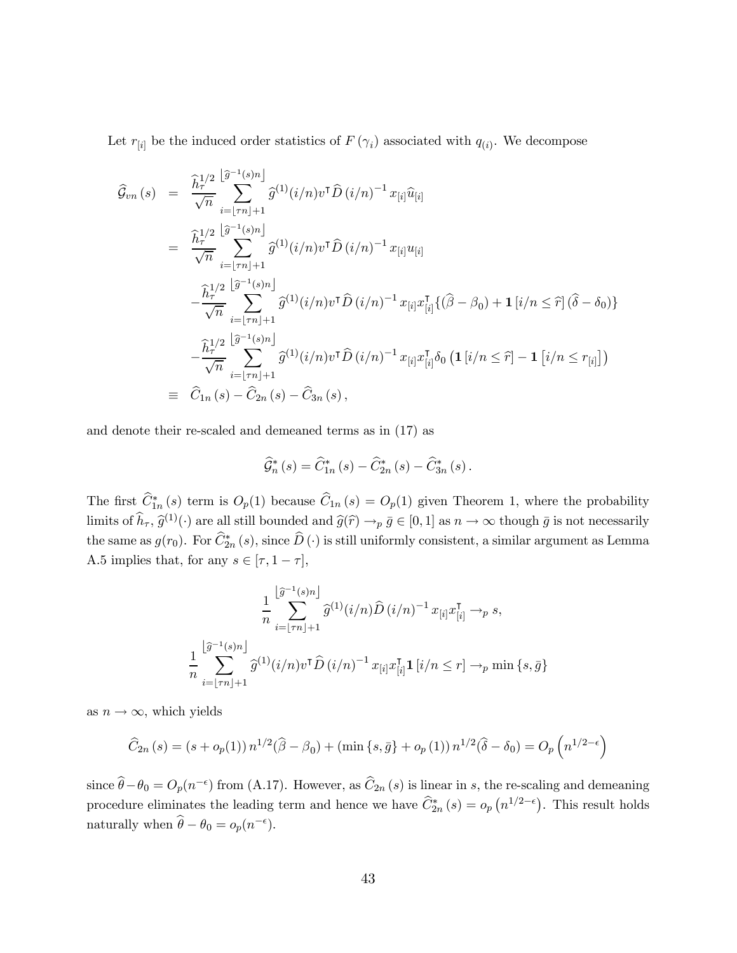Let  $r_{[i]}$  be the induced order statistics of  $F(\gamma_i)$  associated with  $q_{(i)}$ . We decompose

$$
\hat{\mathcal{G}}_{vn}(s) = \frac{\hat{h}_{\tau}^{1/2} \left[ \hat{\sigma}^{-1}(s)n \right]}{\sqrt{n}} \hat{\mathcal{G}}^{(1)}(i/n) v^{\mathsf{T}} \hat{D}(i/n)^{-1} x_{[i]} \hat{u}_{[i]}
$$
\n
$$
= \frac{\hat{h}_{\tau}^{1/2} \left[ \hat{\sigma}^{-1}(s)n \right]}{\sqrt{n}} \hat{\mathcal{G}}^{(1)}(i/n) v^{\mathsf{T}} \hat{D}(i/n)^{-1} x_{[i]} u_{[i]}
$$
\n
$$
- \frac{\hat{h}_{\tau}^{1/2} \left[ \hat{\sigma}^{-1}(s)n \right]}{\sqrt{n}} \hat{\mathcal{G}}^{(1)}(i/n) v^{\mathsf{T}} \hat{D}(i/n)^{-1} x_{[i]} x_{[i]}^{\mathsf{T}} \{(\hat{\beta} - \beta_0) + \mathbf{1} \left[ i/n \leq \hat{\tau} \right] (\hat{\delta} - \delta_0) \}
$$
\n
$$
- \frac{\hat{h}_{\tau}^{1/2} \left[ \hat{\sigma}^{-1}(s)n \right]}{\sqrt{n}} \hat{\mathcal{G}}^{(1)}(i/n) v^{\mathsf{T}} \hat{D}(i/n)^{-1} x_{[i]} x_{[i]}^{\mathsf{T}} \{(\hat{\beta} - \beta_0) + \mathbf{1} \left[ i/n \leq \hat{\tau} \right] (\hat{\delta} - \delta_0) \}
$$
\n
$$
- \frac{\hat{h}_{\tau}^{1/2} \left[ \hat{\sigma}^{-1}(s)n \right]}{\sqrt{n}} \hat{\mathcal{G}}^{(1)}(i/n) v^{\mathsf{T}} \hat{D}(i/n)^{-1} x_{[i]} x_{[i]}^{\mathsf{T}} \delta_0 \left( \mathbf{1} \left[ i/n \leq \hat{\tau} \right] - \mathbf{1} \left[ i/n \leq r_{[i]} \right] \right)
$$
\n
$$
\equiv \hat{C}_{1n}(s) - \hat{C}_{2n}(s) - \hat{C}_{3n}(s),
$$

and denote their re-scaled and demeaned terms as in (17) as

$$
\widehat{G}_{n}^{*}\left(s\right) = \widehat{C}_{1n}^{*}\left(s\right) - \widehat{C}_{2n}^{*}\left(s\right) - \widehat{C}_{3n}^{*}\left(s\right).
$$

The first  $C_{1n}^*(s)$  term is  $O_p(1)$  because  $C_{1n}(s) = O_p(1)$  given Theorem 1, where the probability limits of  $\hat{h}_{\tau}$ ,  $\hat{g}^{(1)}(\cdot)$  are all still bounded and  $\hat{g}(\hat{r}) \to_p \bar{g} \in [0, 1]$  as  $n \to \infty$  though  $\bar{g}$  is not necessarily the same as  $g(r_0)$ . For  $C_{2n}^*(s)$ , since  $D(\cdot)$  is still uniformly consistent, a similar argument as Lemma A.5 implies that, for any  $s \in [\tau, 1 - \tau]$ ,

$$
\frac{1}{n} \sum_{i=\lfloor \tau n \rfloor + 1}^{\lfloor \widehat{g}^{-1}(s)n \rfloor} \widehat{g}^{(1)}(i/n) \widehat{D}(i/n)^{-1} x_{[i]} x_{[i]}^{\mathsf{T}} \to_{p} s,
$$
  

$$
\frac{1}{n} \sum_{i=\lfloor \tau n \rfloor + 1}^{\lfloor \widehat{g}^{-1}(s)n \rfloor} \widehat{g}^{(1)}(i/n) v^{\mathsf{T}} \widehat{D}(i/n)^{-1} x_{[i]} x_{[i]}^{\mathsf{T}} \mathbf{1}_{[i/n \le r] \to_{p} \min \{s, \overline{g}\}
$$

as  $n \to \infty$ , which yields

$$
\widehat{C}_{2n}(s) = (s + o_p(1)) n^{1/2} (\widehat{\beta} - \beta_0) + (\min\{s, \bar{g}\} + o_p(1)) n^{1/2} (\widehat{\delta} - \delta_0) = O_p\left(n^{1/2 - \epsilon}\right)
$$

since  $\hat{\theta} - \theta_0 = O_p(n^{-\epsilon})$  from (A.17). However, as  $\hat{C}_{2n}(s)$  is linear in s, the re-scaling and demeaning procedure eliminates the leading term and hence we have  $\hat{C}_{2n}^*(s) = o_p(n^{1/2-\epsilon})$ . This result holds naturally when  $\hat{\theta} - \theta_0 = o_p(n^{-\epsilon}).$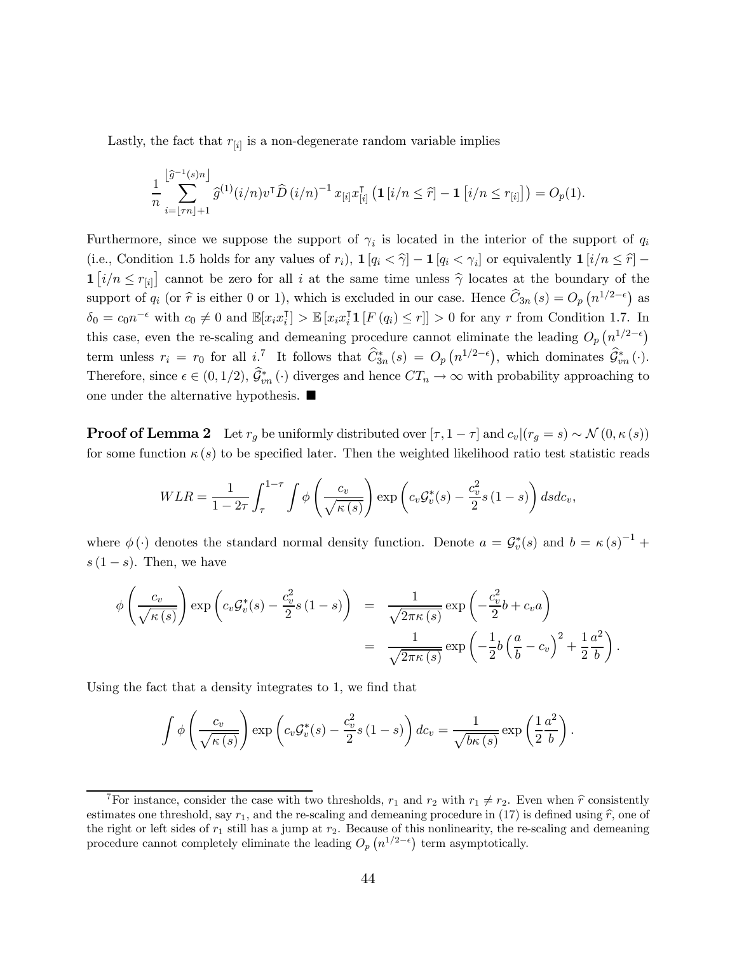Lastly, the fact that  $r_{[i]}$  is a non-degenerate random variable implies

$$
\frac{1}{n}\sum_{i=\lfloor \tau n\rfloor+1}^{\lfloor \widehat{g}^{-1}(s)n\rfloor} \widehat{g}^{(1)}(i/n)v^{\intercal}\widehat{D}(i/n)^{-1}x_{[i]}x_{[i]}^{\intercal}\left(\mathbf{1}\left[i/n\leq \widehat{r}\right]-\mathbf{1}\left[i/n\leq r_{[i]}\right]\right)=O_p(1).
$$

Furthermore, since we suppose the support of  $\gamma_i$  is located in the interior of the support of  $q_i$ (i.e., Condition 1.5 holds for any values of  $r_i$ ),  $\mathbf{1} [q_i < \hat{\gamma}] - \mathbf{1} [q_i < \gamma_i]$  or equivalently  $\mathbf{1} [i/n \leq \hat{r}] \mathbf{1} [i/n \le r_{[i]}]$  cannot be zero for all i at the same time unless  $\hat{\gamma}$  locates at the boundary of the support of  $q_i$  (or  $\hat{r}$  is either 0 or 1), which is excluded in our case. Hence  $\hat{C}_{3n}(s) = O_p(n^{1/2-\epsilon})$  as  $\delta_0 = c_0 n^{-\epsilon}$  with  $c_0 \neq 0$  and  $\mathbb{E}[x_i x_i^{\intercal}] > \mathbb{E}[x_i x_i^{\intercal} \mathbf{1}[F(q_i) \leq r]] > 0$  for any r from Condition 1.7. In this case, even the re-scaling and demeaning procedure cannot eliminate the leading  $O_p(n^{1/2-\epsilon})$ term unless  $r_i = r_0$  for all i.<sup>7</sup> It follows that  $\hat{C}_{3n}^*(s) = O_p(n^{1/2-\epsilon})$ , which dominates  $\hat{G}_{vn}^*(\cdot)$ . Therefore, since  $\epsilon \in (0,1/2), \mathcal{G}_{vn}^*(\cdot)$  diverges and hence  $CT_n \to \infty$  with probability approaching to one under the alternative hypothesis.  $\blacksquare$ 

**Proof of Lemma 2** Let  $r_g$  be uniformly distributed over  $[\tau, 1 - \tau]$  and  $c_v | (r_g = s) \sim \mathcal{N}(0, \kappa(s))$ for some function  $\kappa(s)$  to be specified later. Then the weighted likelihood ratio test statistic reads

$$
WLR = \frac{1}{1 - 2\tau} \int_{\tau}^{1 - \tau} \int \phi \left( \frac{c_v}{\sqrt{\kappa(s)}} \right) \exp \left( c_v \mathcal{G}_v^*(s) - \frac{c_v^2}{2} s (1 - s) \right) ds dc_v,
$$

where  $\phi(\cdot)$  denotes the standard normal density function. Denote  $a = \mathcal{G}_v^*(s)$  and  $b = \kappa(s)^{-1}$  +  $s(1-s)$ . Then, we have

$$
\phi\left(\frac{c_v}{\sqrt{\kappa(s)}}\right) \exp\left(c_v \mathcal{G}_v^*(s) - \frac{c_v^2}{2}s(1-s)\right) = \frac{1}{\sqrt{2\pi\kappa(s)}} \exp\left(-\frac{c_v^2}{2}b + c_v a\right)
$$

$$
= \frac{1}{\sqrt{2\pi\kappa(s)}} \exp\left(-\frac{1}{2}b\left(\frac{a}{b} - c_v\right)^2 + \frac{1}{2}\frac{a^2}{b}\right).
$$

Using the fact that a density integrates to 1, we find that

$$
\int \phi \left( \frac{c_v}{\sqrt{\kappa(s)}} \right) \exp \left( c_v \mathcal{G}_v^*(s) - \frac{c_v^2}{2} s (1-s) \right) d c_v = \frac{1}{\sqrt{b \kappa(s)}} \exp \left( \frac{1}{2} \frac{a^2}{b} \right).
$$

<sup>&</sup>lt;sup>7</sup>For instance, consider the case with two thresholds,  $r_1$  and  $r_2$  with  $r_1 \neq r_2$ . Even when  $\hat{r}$  consistently estimates one threshold, say  $r_1$ , and the re-scaling and demeaning procedure in (17) is defined using  $\hat{r}$ , one of the right or left sides of  $r_1$  still has a jump at  $r_2$ . Because of this nonlinearity, the re-scaling and demeaning procedure cannot completely eliminate the leading  $O_p(n^{1/2-\epsilon})$  term asymptotically.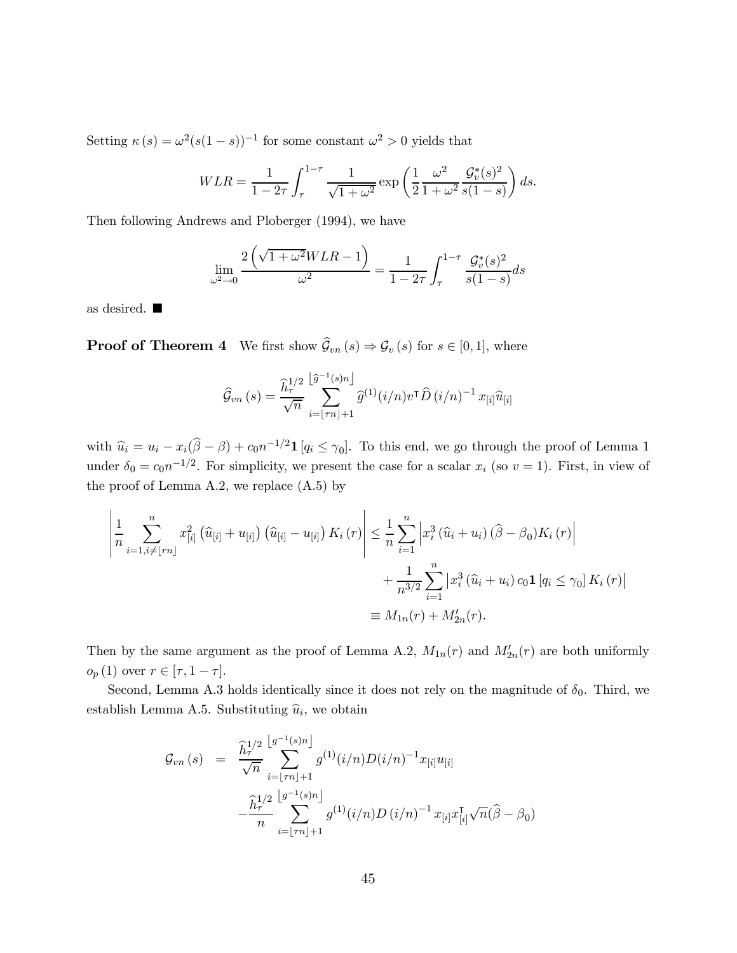Setting  $\kappa(s) = \omega^2(s(1-s))^{-1}$  for some constant  $\omega^2 > 0$  yields that

$$
WLR = \frac{1}{1 - 2\tau} \int_{\tau}^{1 - \tau} \frac{1}{\sqrt{1 + \omega^2}} \exp\left(\frac{1}{2} \frac{\omega^2}{1 + \omega^2} \frac{\mathcal{G}_v^*(s)^2}{s(1 - s)}\right) ds.
$$

Then following Andrews and Ploberger (1994), we have

$$
\lim_{\omega^2 \to 0} \frac{2\left(\sqrt{1+\omega^2}WLR - 1\right)}{\omega^2} = \frac{1}{1 - 2\tau} \int_{\tau}^{1-\tau} \frac{\mathcal{G}_v^*(s)^2}{s(1-s)} ds
$$

as desired.  $\blacksquare$ 

**Proof of Theorem 4** We first show  $\widehat{\mathcal{G}}_{vn}(s) \Rightarrow \mathcal{G}_v(s)$  for  $s \in [0,1]$ , where

$$
\widehat{\mathcal{G}}_{vn}(s) = \frac{\widehat{h}_{\tau}^{1/2}}{\sqrt{n}} \sum_{i=\lfloor \tau n \rfloor+1}^{\lfloor \widehat{g}^{-1}(s)n \rfloor} \widehat{g}^{(1)}(i/n) v^{\mathsf{T}} \widehat{D}(i/n)^{-1} x_{[i]} \widehat{u}_{[i]}
$$

with  $\hat{u}_i = u_i - x_i(\hat{\beta} - \beta) + c_0 n^{-1/2} \mathbf{1} [q_i \leq \gamma_0].$  To this end, we go through the proof of Lemma 1 under  $\delta_0 = c_0 n^{-1/2}$ . For simplicity, we present the case for a scalar  $x_i$  (so  $v = 1$ ). First, in view of the proof of Lemma A.2, we replace  $(A.5)$  by

$$
\left| \frac{1}{n} \sum_{i=1, i \neq [rn]}^{n} x_{[i]}^2 \left( \hat{u}_{[i]} + u_{[i]} \right) \left( \hat{u}_{[i]} - u_{[i]} \right) K_i(r) \right| \leq \frac{1}{n} \sum_{i=1}^{n} \left| x_i^3 \left( \hat{u}_i + u_i \right) \left( \hat{\beta} - \beta_0 \right) K_i(r) \right|
$$
  
+ 
$$
\frac{1}{n^{3/2}} \sum_{i=1}^{n} \left| x_i^3 \left( \hat{u}_i + u_i \right) c_0 \mathbf{1} \left[ q_i \leq \gamma_0 \right] K_i(r) \right|
$$
  

$$
\equiv M_{1n}(r) + M'_{2n}(r).
$$

Then by the same argument as the proof of Lemma A.2,  $M_{1n}(r)$  and  $M'_{2n}(r)$  are both uniformly  $o_p(1)$  over  $r \in [\tau, 1 - \tau].$ 

Second, Lemma A.3 holds identically since it does not rely on the magnitude of  $\delta_0$ . Third, we establish Lemma A.5. Substituting  $\hat{u}_i$ , we obtain

$$
\mathcal{G}_{vn}(s) = \frac{\hat{h}_{\tau}^{1/2} \left[ g^{-1}(s)n \right]}{\sqrt{n}} g^{(1)}(i/n) D(i/n)^{-1} x_{[i]} u_{[i]}
$$

$$
- \frac{\hat{h}_{\tau}^{1/2} \left[ g^{-1}(s)n \right]}{n} - \frac{\hat{h}_{\tau}^{1/2} \left[ g^{-1}(s)n \right]}{\sum_{i=[\tau n]+1}^{N} g^{(1)}(i/n) D(i/n)^{-1} x_{[i]} x_{[i]}^{\mathsf{T}} \sqrt{n} (\hat{\beta} - \beta_0)
$$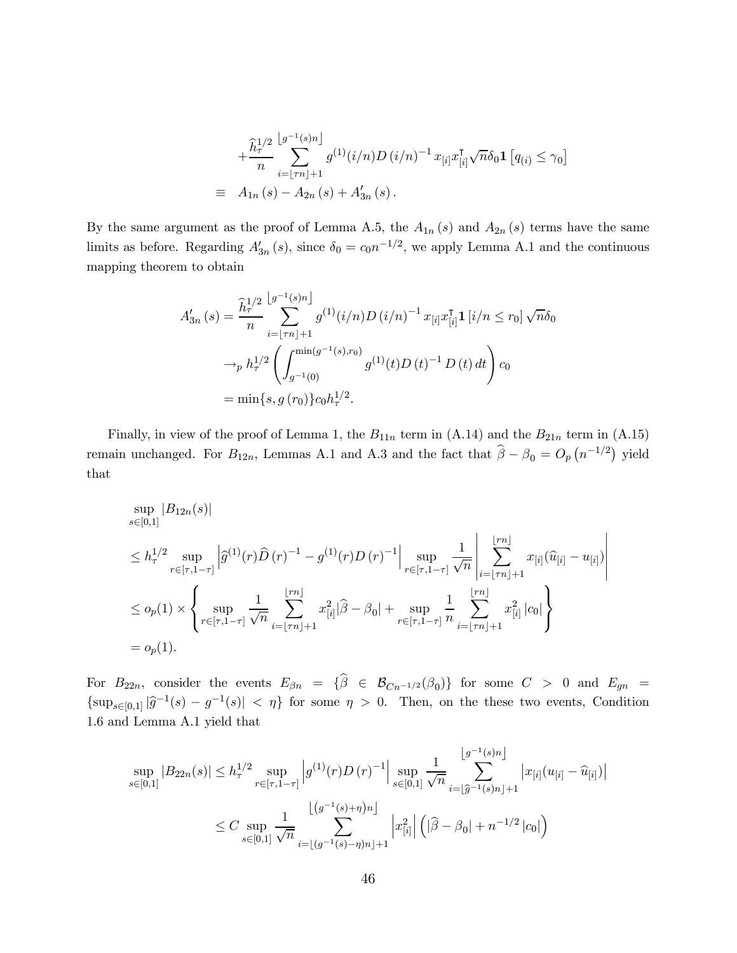$$
+\frac{\hat{h}_{\tau}^{1/2}}{n} \sum_{i=\lfloor \tau n \rfloor+1}^{\lfloor g^{-1}(s)n \rfloor} g^{(1)}(i/n) D(i/n)^{-1} x_{[i]} x_{[i]}^{\mathsf{T}} \sqrt{n} \delta_0 \mathbf{1} [q_{(i)} \le \gamma_0]
$$
  
\n
$$
\equiv A_{1n}(s) - A_{2n}(s) + A'_{3n}(s).
$$

By the same argument as the proof of Lemma A.5, the  $A_{1n}(s)$  and  $A_{2n}(s)$  terms have the same limits as before. Regarding  $A'_{3n}(s)$ , since  $\delta_0 = c_0 n^{-1/2}$ , we apply Lemma A.1 and the continuous mapping theorem to obtain

$$
A'_{3n}(s) = \frac{\hat{h}_{\tau}^{1/2} \left[ g^{-1}(s)n \right]}{n} g^{(1)}(i/n) D(i/n)^{-1} x_{[i]} x_{[i]}^{\mathsf{T}} \mathbf{1}_{[i}/n \le r_0] \sqrt{n} \delta_0
$$

$$
\rightarrow_p h_{\tau}^{1/2} \left( \int_{g^{-1}(0)}^{\min(g^{-1}(s), r_0)} g^{(1)}(t) D(t)^{-1} D(t) dt \right) c_0
$$

$$
= \min\{s, g(r_0)\} c_0 h_{\tau}^{1/2}.
$$

Finally, in view of the proof of Lemma 1, the  $B_{11n}$  term in (A.14) and the  $B_{21n}$  term in (A.15) remain unchanged. For  $B_{12n}$ , Lemmas A.1 and A.3 and the fact that  $\hat{\beta} - \beta_0 = O_p(n^{-1/2})$  yield that

$$
\sup_{s\in[0,1]}|B_{12n}(s)|
$$
\n
$$
\leq h_{\tau}^{1/2} \sup_{r\in[\tau,1-\tau]} \left| \widehat{g}^{(1)}(r)\widehat{D}(r)^{-1} - g^{(1)}(r)D(r)^{-1} \right| \sup_{r\in[\tau,1-\tau]} \frac{1}{\sqrt{n}} \left| \sum_{i=\lfloor \tau n \rfloor+1}^{\lfloor \tau n \rfloor} x_{[i]}(\widehat{u}_{[i]} - u_{[i]}) \right|
$$
\n
$$
\leq o_p(1) \times \left\{ \sup_{r\in[\tau,1-\tau]} \frac{1}{\sqrt{n}} \sum_{i=\lfloor \tau n \rfloor+1}^{\lfloor \tau n \rfloor} x_{[i]}^2 |\widehat{\beta} - \beta_0| + \sup_{r\in[\tau,1-\tau]} \frac{1}{n} \sum_{i=\lfloor \tau n \rfloor+1}^{\lfloor \tau n \rfloor} x_{[i]}^2 |c_0| \right\}
$$
\n
$$
= o_p(1).
$$

For  $B_{22n}$ , consider the events  $E_{\beta n} = {\hat{\beta}} \in \mathcal{B}_{Cn^{-1/2}}(\beta_0)$  for some  $C > 0$  and  $E_{gn} =$  $\{\sup_{s\in[0,1]}|\widehat{g}^{-1}(s)-g^{-1}(s)|<\eta\}$  for some  $\eta>0$ . Then, on the these two events, Condition 1.6 and Lemma A.1 yield that

$$
\sup_{s \in [0,1]} |B_{22n}(s)| \le h_{\tau}^{1/2} \sup_{r \in [\tau,1-\tau]} \left| g^{(1)}(r)D(r)^{-1} \right| \sup_{s \in [0,1]} \frac{1}{\sqrt{n}} \sum_{i=\lfloor \hat{g}^{-1}(s)n \rfloor + 1}^{\lfloor g^{-1}(s)n \rfloor} |x_{[i]}(u_{[i]} - \hat{u}_{[i]})|
$$
  

$$
\le C \sup_{s \in [0,1]} \frac{1}{\sqrt{n}} \sum_{i=\lfloor (g^{-1}(s)-\eta)n \rfloor + 1}^{\lfloor (g^{-1}(s)+\eta)n \rfloor} |x_{[i]}^2| \left( |\hat{\beta} - \beta_0| + n^{-1/2} |c_0| \right)
$$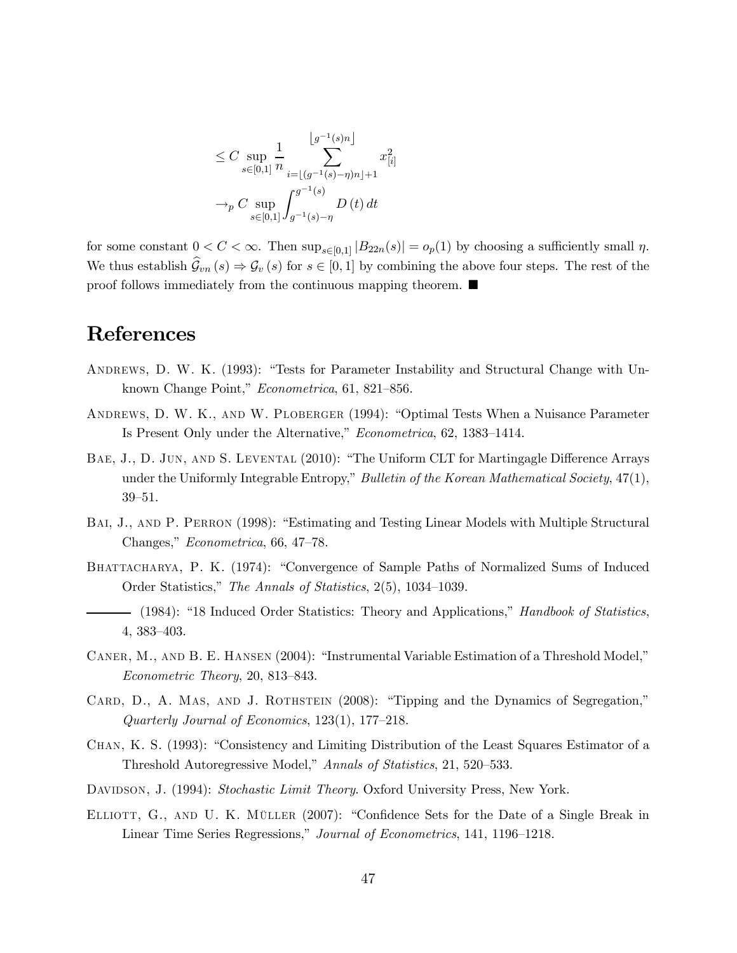$$
\leq C \sup_{s \in [0,1]} \frac{1}{n} \sum_{i=\lfloor (g^{-1}(s)-\eta)n \rfloor + 1}^{\lfloor g^{-1}(s)n \rfloor} x_{[i]}^2
$$

$$
\to_p C \sup_{s \in [0,1]} \int_{g^{-1}(s)-\eta}^{g^{-1}(s)} D(t) dt
$$

for some constant  $0 < C < \infty$ . Then  $\sup_{s \in [0,1]} |B_{22n}(s)| = o_p(1)$  by choosing a sufficiently small  $\eta$ . We thus establish  $\widehat{\mathcal{G}}_{vn}(s) \Rightarrow \mathcal{G}_v(s)$  for  $s \in [0,1]$  by combining the above four steps. The rest of the proof follows immediately from the continuous mapping theorem.  $\blacksquare$ 

# References

- Andrews, D. W. K. (1993): "Tests for Parameter Instability and Structural Change with Unknown Change Point," Econometrica, 61, 821—856.
- Andrews, D. W. K., and W. Ploberger (1994): "Optimal Tests When a Nuisance Parameter Is Present Only under the Alternative," Econometrica, 62, 1383—1414.
- Bae, J., D. Jun, and S. Levental (2010): "The Uniform CLT for Martingagle Difference Arrays under the Uniformly Integrable Entropy," Bulletin of the Korean Mathematical Society, 47(1), 39—51.
- BAI, J., AND P. PERRON (1998): "Estimating and Testing Linear Models with Multiple Structural Changes," Econometrica, 66, 47—78.
- BHATTACHARYA, P. K. (1974): "Convergence of Sample Paths of Normalized Sums of Induced Order Statistics," The Annals of Statistics, 2(5), 1034—1039.
- (1984): "18 Induced Order Statistics: Theory and Applications," *Handbook of Statistics*, 4, 383—403.
- Caner, M., and B. E. Hansen (2004): "Instrumental Variable Estimation of a Threshold Model," Econometric Theory, 20, 813—843.
- CARD, D., A. MAS, AND J. ROTHSTEIN (2008): "Tipping and the Dynamics of Segregation," Quarterly Journal of Economics, 123(1), 177—218.
- Chan, K. S. (1993): "Consistency and Limiting Distribution of the Least Squares Estimator of a Threshold Autoregressive Model," Annals of Statistics, 21, 520—533.
- DAVIDSON, J. (1994): Stochastic Limit Theory. Oxford University Press, New York.
- ELLIOTT, G., AND U. K. MÜLLER (2007): "Confidence Sets for the Date of a Single Break in Linear Time Series Regressions," Journal of Econometrics, 141, 1196—1218.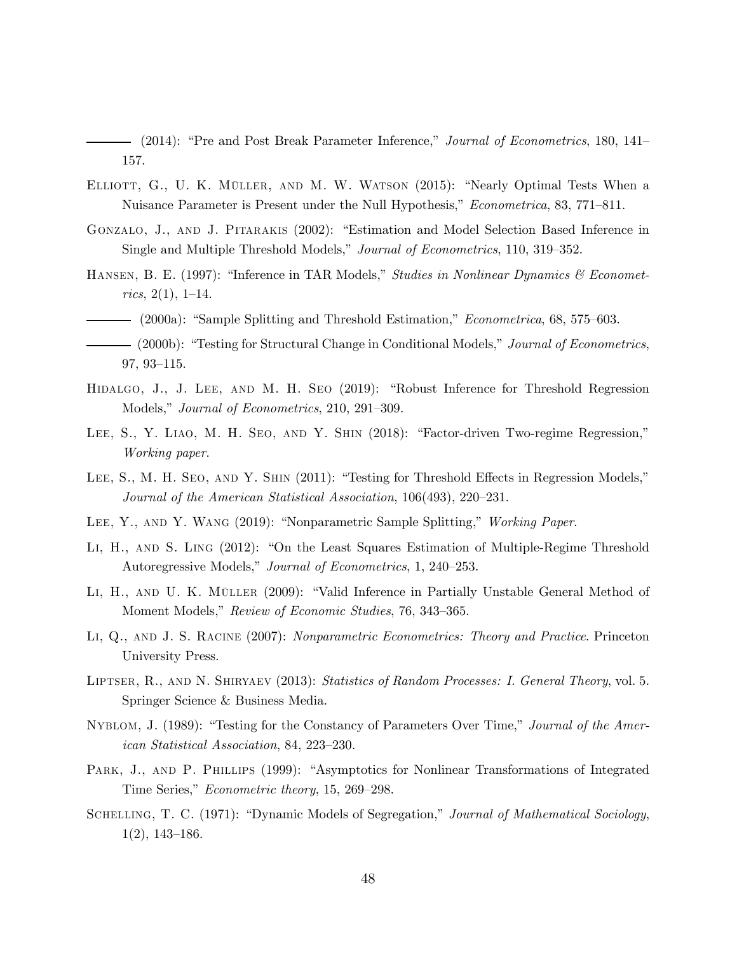(2014): "Pre and Post Break Parameter Inference," Journal of Econometrics, 180, 141— 157.

- Elliott, G., U. K. Müller, and M. W. Watson (2015): "Nearly Optimal Tests When a Nuisance Parameter is Present under the Null Hypothesis," Econometrica, 83, 771—811.
- Gonzalo, J., and J. Pitarakis (2002): "Estimation and Model Selection Based Inference in Single and Multiple Threshold Models," Journal of Econometrics, 110, 319—352.
- HANSEN, B. E. (1997): "Inference in TAR Models," Studies in Nonlinear Dynamics & Economet $rics, 2(1), 1-14.$
- (2000a): "Sample Splitting and Threshold Estimation," Econometrica, 68, 575—603.
- (2000b): "Testing for Structural Change in Conditional Models," Journal of Econometrics, 97, 93—115.
- Hidalgo, J., J. Lee, and M. H. Seo (2019): "Robust Inference for Threshold Regression Models," Journal of Econometrics, 210, 291—309.
- LEE, S., Y. LIAO, M. H. SEO, AND Y. SHIN (2018): "Factor-driven Two-regime Regression," Working paper.
- LEE, S., M. H. SEO, AND Y. SHIN (2011): "Testing for Threshold Effects in Regression Models," Journal of the American Statistical Association, 106(493), 220—231.
- Lee, Y., and Y. Wang (2019): "Nonparametric Sample Splitting," Working Paper.
- Li, H., and S. Ling (2012): "On the Least Squares Estimation of Multiple-Regime Threshold Autoregressive Models," Journal of Econometrics, 1, 240—253.
- LI, H., AND U. K. MÜLLER (2009): "Valid Inference in Partially Unstable General Method of Moment Models," Review of Economic Studies, 76, 343—365.
- Li, Q., and J. S. Racine (2007): Nonparametric Econometrics: Theory and Practice. Princeton University Press.
- LIPTSER, R., AND N. SHIRYAEV (2013): Statistics of Random Processes: I. General Theory, vol. 5. Springer Science & Business Media.
- NYBLOM, J. (1989): "Testing for the Constancy of Parameters Over Time," Journal of the American Statistical Association, 84, 223—230.
- PARK, J., AND P. PHILLIPS (1999): "Asymptotics for Nonlinear Transformations of Integrated Time Series," Econometric theory, 15, 269—298.
- SCHELLING, T. C. (1971): "Dynamic Models of Segregation," Journal of Mathematical Sociology, 1(2), 143—186.